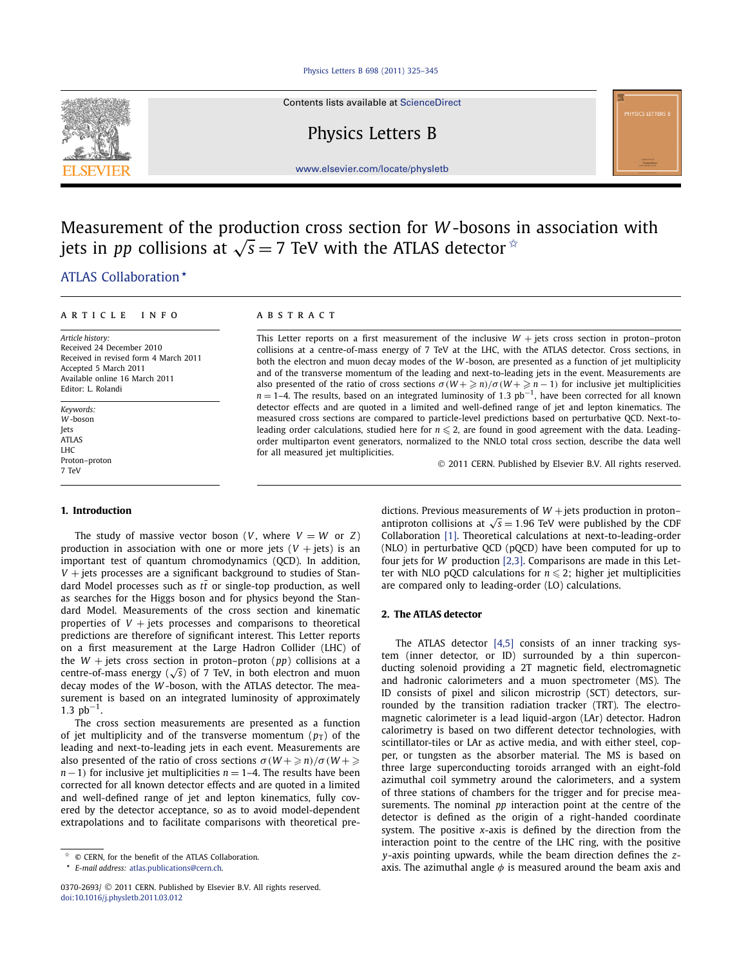#### [Physics Letters B 698 \(2011\) 325–345](http://dx.doi.org/10.1016/j.physletb.2011.03.012)



Contents lists available at [ScienceDirect](http://www.ScienceDirect.com/)

Physics Letters B

[www.elsevier.com/locate/physletb](http://www.elsevier.com/locate/physletb)

# Measurement of the production cross section for *W* -bosons in association with jets in *pp* collisions at  $\sqrt{s} = 7$  TeV with the ATLAS detector  $\dot{x}$

# [.ATLAS Collaboration](#page-8-0) *-*

#### article info abstract

*Article history:* Received 24 December 2010 Received in revised form 4 March 2011 Accepted 5 March 2011 Available online 16 March 2011 Editor: L. Rolandi

*Keywords: W* -boson Jets ATLAS LHC Proton–proton 7 TeV

### **1. Introduction**

The study of massive vector boson (*V*, where  $V = W$  or *Z*) production in association with one or more jets  $(V + jets)$  is an important test of quantum chromodynamics (QCD). In addition, *V* + jets processes are a significant background to studies of Standard Model processes such as  $t\bar{t}$  or single-top production, as well as searches for the Higgs boson and for physics beyond the Standard Model. Measurements of the cross section and kinematic properties of  $V +$  jets processes and comparisons to theoretical predictions are therefore of significant interest. This Letter reports on a first measurement at the Large Hadron Collider (LHC) of the  $W$  + jets cross section in proton–proton ( $pp$ ) collisions at a centre-of-mass energy ( $\sqrt{s}$ ) of 7 TeV, in both electron and muon decay modes of the *W* -boson, with the ATLAS detector. The measurement is based on an integrated luminosity of approximately  $1.3$  pb<sup>-1</sup>.

The cross section measurements are presented as a function of jet multiplicity and of the transverse momentum  $(p_T)$  of the leading and next-to-leading jets in each event. Measurements are also presented of the ratio of cross sections  $\sigma(W + \geq n)/\sigma(W + \geq n)$ *n*−1) for inclusive jet multiplicities *n* = 1–4. The results have been corrected for all known detector effects and are quoted in a limited and well-defined range of jet and lepton kinematics, fully covered by the detector acceptance, so as to avoid model-dependent extrapolations and to facilitate comparisons with theoretical pre-

This Letter reports on a first measurement of the inclusive  $W +$  jets cross section in proton–proton collisions at a centre-of-mass energy of 7 TeV at the LHC, with the ATLAS detector. Cross sections, in both the electron and muon decay modes of the *W* -boson, are presented as a function of jet multiplicity and of the transverse momentum of the leading and next-to-leading jets in the event. Measurements are also presented of the ratio of cross sections  $\sigma(W + \geq n)/\sigma(W + \geq n - 1)$  for inclusive jet multiplicities *n* = 1–4. The results, based on an integrated luminosity of 1.3 pb<sup>-1</sup>, have been corrected for all known detector effects and are quoted in a limited and well-defined range of jet and lepton kinematics. The measured cross sections are compared to particle-level predictions based on perturbative QCD. Next-toleading order calculations, studied here for  $n \leq 2$ , are found in good agreement with the data. Leadingorder multiparton event generators, normalized to the NNLO total cross section, describe the data well for all measured jet multiplicities.

© 2011 CERN. Published by Elsevier B.V. All rights reserved.

dictions. Previous measurements of  $W$  + jets production in proton– antiproton collisions at  $\sqrt{s}$  = 1.96 TeV were published by the CDF Collaboration [\[1\].](#page-7-0) Theoretical calculations at next-to-leading-order (NLO) in perturbative QCD (pQCD) have been computed for up to four jets for *W* production [\[2,3\].](#page-7-0) Comparisons are made in this Letter with NLO pQCD calculations for  $n \leq 2$ ; higher jet multiplicities are compared only to leading-order (LO) calculations.

### **2. The ATLAS detector**

The ATLAS detector [\[4,5\]](#page-7-0) consists of an inner tracking system (inner detector, or ID) surrounded by a thin superconducting solenoid providing a 2T magnetic field, electromagnetic and hadronic calorimeters and a muon spectrometer (MS). The ID consists of pixel and silicon microstrip (SCT) detectors, surrounded by the transition radiation tracker (TRT). The electromagnetic calorimeter is a lead liquid-argon (LAr) detector. Hadron calorimetry is based on two different detector technologies, with scintillator-tiles or LAr as active media, and with either steel, copper, or tungsten as the absorber material. The MS is based on three large superconducting toroids arranged with an eight-fold azimuthal coil symmetry around the calorimeters, and a system of three stations of chambers for the trigger and for precise measurements. The nominal *pp* interaction point at the centre of the detector is defined as the origin of a right-handed coordinate system. The positive *x*-axis is defined by the direction from the interaction point to the centre of the LHC ring, with the positive *y*-axis pointing upwards, while the beam direction defines the *z*axis. The azimuthal angle  $\phi$  is measured around the beam axis and

<sup>✩</sup> © CERN, for the benefit of the ATLAS Collaboration.

*<sup>-</sup>E-mail address:* [atlas.publications@cern.ch](mailto:atlas.publications@cern.ch).

<sup>0370-2693/</sup> © 2011 CERN. Published by Elsevier B.V. All rights reserved. [doi:10.1016/j.physletb.2011.03.012](http://dx.doi.org/10.1016/j.physletb.2011.03.012)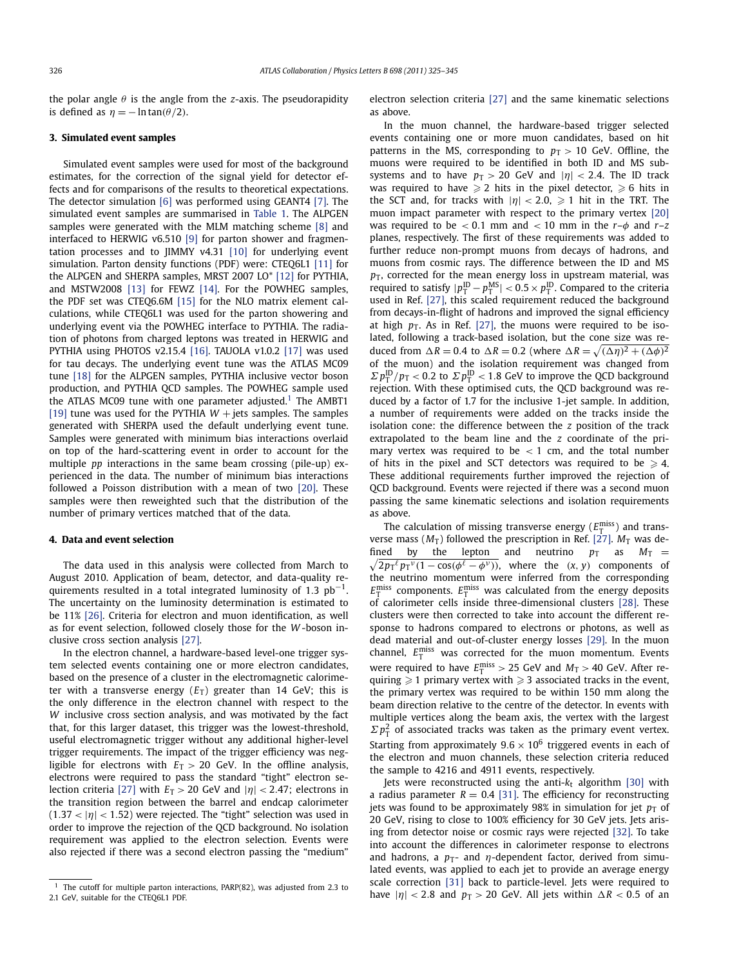the polar angle *θ* is the angle from the *z*-axis. The pseudorapidity is defined as  $\eta = -\ln \tan(\theta/2)$ .

### **3. Simulated event samples**

Simulated event samples were used for most of the background estimates, for the correction of the signal yield for detector effects and for comparisons of the results to theoretical expectations. The detector simulation [\[6\]](#page-7-0) was performed using GEANT4 [\[7\].](#page-7-0) The simulated event samples are summarised in [Table 1.](#page-2-0) The ALPGEN samples were generated with the MLM matching scheme [\[8\]](#page-8-0) and interfaced to HERWIG v6.510 [\[9\]](#page-8-0) for parton shower and fragmentation processes and to JIMMY v4.31 [\[10\]](#page-8-0) for underlying event simulation. Parton density functions (PDF) were: CTEQ6L1 [\[11\]](#page-8-0) for the ALPGEN and SHERPA samples, MRST 2007 LO\* [\[12\]](#page-8-0) for PYTHIA, and MSTW2008 [\[13\]](#page-8-0) for FEWZ [\[14\].](#page-8-0) For the POWHEG samples, the PDF set was CTEQ6.6M [\[15\]](#page-8-0) for the NLO matrix element calculations, while CTEQ6L1 was used for the parton showering and underlying event via the POWHEG interface to PYTHIA. The radiation of photons from charged leptons was treated in HERWIG and PYTHIA using PHOTOS v2.15.4 [\[16\].](#page-8-0) TAUOLA v1.0.2 [\[17\]](#page-8-0) was used for tau decays. The underlying event tune was the ATLAS MC09 tune [\[18\]](#page-8-0) for the ALPGEN samples, PYTHIA inclusive vector boson production, and PYTHIA QCD samples. The POWHEG sample used the ATLAS MC09 tune with one parameter adjusted.<sup>1</sup> The AMBT1 [\[19\]](#page-8-0) tune was used for the PYTHIA  $W$  + jets samples. The samples generated with SHERPA used the default underlying event tune. Samples were generated with minimum bias interactions overlaid on top of the hard-scattering event in order to account for the multiple *pp* interactions in the same beam crossing (pile-up) experienced in the data. The number of minimum bias interactions followed a Poisson distribution with a mean of two [\[20\].](#page-8-0) These samples were then reweighted such that the distribution of the number of primary vertices matched that of the data.

### **4. Data and event selection**

The data used in this analysis were collected from March to August 2010. Application of beam, detector, and data-quality requirements resulted in a total integrated luminosity of 1.3  $pb^{-1}$ . The uncertainty on the luminosity determination is estimated to be 11% [\[26\].](#page-8-0) Criteria for electron and muon identification, as well as for event selection, followed closely those for the *W* -boson inclusive cross section analysis [\[27\].](#page-8-0)

In the electron channel, a hardware-based level-one trigger system selected events containing one or more electron candidates, based on the presence of a cluster in the electromagnetic calorimeter with a transverse energy  $(E_T)$  greater than 14 GeV; this is the only difference in the electron channel with respect to the *W* inclusive cross section analysis, and was motivated by the fact that, for this larger dataset, this trigger was the lowest-threshold, useful electromagnetic trigger without any additional higher-level trigger requirements. The impact of the trigger efficiency was negligible for electrons with  $E_T > 20$  GeV. In the offline analysis, electrons were required to pass the standard "tight" electron se-lection criteria [\[27\]](#page-8-0) with  $E_T > 20$  GeV and  $|\eta| < 2.47$ ; electrons in the transition region between the barrel and endcap calorimeter  $(1.37 < |\eta| < 1.52)$  were rejected. The "tight" selection was used in order to improve the rejection of the QCD background. No isolation requirement was applied to the electron selection. Events were also rejected if there was a second electron passing the "medium"

electron selection criteria [\[27\]](#page-8-0) and the same kinematic selections as above.

In the muon channel, the hardware-based trigger selected events containing one or more muon candidates, based on hit patterns in the MS, corresponding to  $p_T > 10$  GeV. Offline, the muons were required to be identified in both ID and MS subsystems and to have  $p_T > 20$  GeV and  $|\eta| < 2.4$ . The ID track was required to have  $\geqslant 2$  hits in the pixel detector,  $\geqslant 6$  hits in the SCT and, for tracks with  $|\eta| < 2.0$ ,  $\ge 1$  hit in the TRT. The muon impact parameter with respect to the primary vertex [\[20\]](#page-8-0) was required to be  $< 0.1$  mm and  $< 10$  mm in the  $r-\phi$  and  $r-z$ planes, respectively. The first of these requirements was added to further reduce non-prompt muons from decays of hadrons, and muons from cosmic rays. The difference between the ID and MS  $p<sub>T</sub>$ , corrected for the mean energy loss in upstream material, was required to satisfy  $|p_{\text{T}}^{\text{ID}} - p_{\text{T}}^{\text{MS}}| < 0.5 \times p_{\text{T}}^{\text{ID}}$ . Compared to the criteria used in Ref. [\[27\],](#page-8-0) this scaled requirement reduced the background from decays-in-flight of hadrons and improved the signal efficiency at high  $p_T$ . As in Ref. [\[27\],](#page-8-0) the muons were required to be isolated, following a track-based isolation, but the cone size was reduced from  $\Delta R = 0.4$  to  $\Delta R = 0.2$  (where  $\Delta R = \sqrt{(\Delta \eta)^2 + (\Delta \phi)^2}$ of the muon) and the isolation requirement was changed from  $\sum p_{\text{T}}^{\text{ID}}/p_{\text{T}} < 0.2$  to  $\sum p_{\text{T}}^{\text{ID}} < 1.8$  GeV to improve the QCD background rejection. With these optimised cuts, the QCD background was reduced by a factor of 1.7 for the inclusive 1-jet sample. In addition, a number of requirements were added on the tracks inside the isolation cone: the difference between the *z* position of the track extrapolated to the beam line and the *z* coordinate of the primary vertex was required to be *<* 1 cm, and the total number of hits in the pixel and SCT detectors was required to be  $\geqslant$  4. These additional requirements further improved the rejection of QCD background. Events were rejected if there was a second muon passing the same kinematic selections and isolation requirements as above.

The calculation of missing transverse energy  $(E_{\text{T}}^{\text{miss}})$  and transverse mass  $(M_T)$  followed the prescription in Ref. [\[27\].](#page-8-0)  $M_T$  was defined by the lepton and neutrino  $p_T$  as  $M_T =$  $\sqrt{2p_T^{\ell}p_T^{\nu}(1-\cos(\phi^{\ell}-\phi^{\nu}))}$ , where the  $(x, y)$  components of the neutrino momentum were inferred from the corresponding  $E_{\text{T}}^{\text{miss}}$  components.  $E_{\text{T}}^{\text{miss}}$  was calculated from the energy deposits of calorimeter cells inside three-dimensional clusters [\[28\].](#page-8-0) These clusters were then corrected to take into account the different response to hadrons compared to electrons or photons, as well as dead material and out-of-cluster energy losses [\[29\].](#page-8-0) In the muon channel,  $E_T^{\text{miss}}$  was corrected for the muon momentum. Events were required to have  $E_{\text{T}}^{\text{miss}} > 25$  GeV and  $M_{\text{T}} > 40$  GeV. After requiring  $\geqslant 1$  primary vertex with  $\geqslant 3$  associated tracks in the event, the primary vertex was required to be within 150 mm along the beam direction relative to the centre of the detector. In events with multiple vertices along the beam axis, the vertex with the largest  $\sum p_{\rm T}^2$  of associated tracks was taken as the primary event vertex. Starting from approximately  $9.6 \times 10^6$  triggered events in each of the electron and muon channels, these selection criteria reduced the sample to 4216 and 4911 events, respectively.

Jets were reconstructed using the anti- $k_t$  algorithm [\[30\]](#page-8-0) with a radius parameter  $R = 0.4$  [\[31\].](#page-8-0) The efficiency for reconstructing jets was found to be approximately 98% in simulation for jet  $p<sub>T</sub>$  of 20 GeV, rising to close to 100% efficiency for 30 GeV jets. Jets arising from detector noise or cosmic rays were rejected [\[32\].](#page-8-0) To take into account the differences in calorimeter response to electrons and hadrons, a  $p_T$ - and  $\eta$ -dependent factor, derived from simulated events, was applied to each jet to provide an average energy scale correction [\[31\]](#page-8-0) back to particle-level. Jets were required to have  $|\eta|$  < 2.8 and  $p_T > 20$  GeV. All jets within  $\Delta R$  < 0.5 of an

 $1$  The cutoff for multiple parton interactions, PARP(82), was adjusted from 2.3 to 2.1 GeV, suitable for the CTEQ6L1 PDF.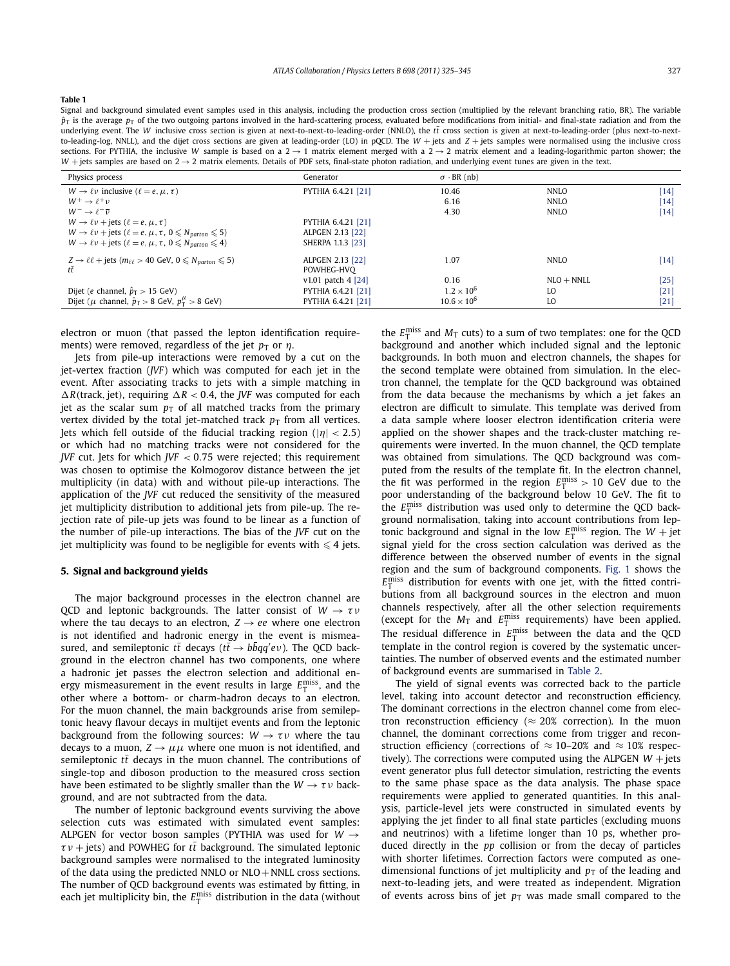<span id="page-2-0"></span>Signal and background simulated event samples used in this analysis, including the production cross section (multiplied by the relevant branching ratio, BR). The variable  $\hat{p}_T$  is the average  $p_T$  of the two outgoing partons involved in the hard-scattering process, evaluated before modifications from initial- and final-state radiation and from the underlying event. The *W* inclusive cross section is given at next-to-next-to-leading-order (NNLO), the  $t\bar{t}$  cross section is given at next-to-leading-order (plus next-to-nextto-leading-log, NNLL), and the dijet cross sections are given at leading-order (LO) in pQCD. The *W* + jets and *Z* + jets samples were normalised using the inclusive cross sections. For PYTHIA, the inclusive *W* sample is based on a  $2 \rightarrow 1$  matrix element merged with a  $2 \rightarrow 2$  matrix element and a leading-logarithmic parton shower; the  $W$  + jets samples are based on  $2 \rightarrow 2$  matrix elements. Details of PDF sets, final-state photon radiation, and underlying event tunes are given in the text.

| Physics process                                                                                | Generator            | $\sigma$ · BR (nb)   |              |        |
|------------------------------------------------------------------------------------------------|----------------------|----------------------|--------------|--------|
| $W \rightarrow \ell \nu$ inclusive $(\ell = e, \mu, \tau)$                                     | PYTHIA 6.4.21 [21]   | 10.46                | NNLO         | $[14]$ |
| $W^+ \rightarrow l^+ \nu$                                                                      |                      | 6.16                 | NNLO         | $[14]$ |
| $W^- \rightarrow \ell^- \bar{\nu}$                                                             |                      | 4.30                 | NNLO         | $[14]$ |
| $W \rightarrow \ell \nu + \text{jets}$ ( $\ell = e, \mu, \tau$ )                               | PYTHIA 6.4.21 [21]   |                      |              |        |
| $W \rightarrow \ell \nu$ + jets ( $\ell = e, \mu, \tau, 0 \leq N_{\text{parton}} \leq 5$ )     | ALPGEN 2.13 [22]     |                      |              |        |
| $W \rightarrow \ell \nu$ + jets ( $\ell = e, \mu, \tau, 0 \leq N_{\text{parton}} \leq 4$ )     | SHERPA 1.1.3 [23]    |                      |              |        |
| $Z \rightarrow \ell \ell$ + jets ( $m_{\ell \ell} > 40$ GeV, $0 \le N_{\text{parton}} \le 5$ ) | ALPGEN 2.13 [22]     | 1.07                 | <b>NNLO</b>  | $[14]$ |
|                                                                                                | POWHEG-HVO           |                      |              |        |
|                                                                                                | $v1.01$ patch 4 [24] | 0.16                 | $NLO + NNLL$ | $[25]$ |
| Dijet (e channel, $\hat{p}_T > 15$ GeV)                                                        | PYTHIA 6.4.21 [21]   | $1.2 \times 10^{6}$  | LO           | [21]   |
| Dijet ( $\mu$ channel, $\hat{p}_T > 8$ GeV, $p_T^{\mu} > 8$ GeV)                               | PYTHIA 6.4.21 [21]   | $10.6 \times 10^{6}$ | LO           | [21]   |
|                                                                                                |                      |                      |              |        |

electron or muon (that passed the lepton identification requirements) were removed, regardless of the jet  $p_T$  or  $\eta$ .

Jets from pile-up interactions were removed by a cut on the jet-vertex fraction (*JVF*) which was computed for each jet in the event. After associating tracks to jets with a simple matching in  $\Delta R$ (track, jet), requiring  $\Delta R < 0.4$ , the *JVF* was computed for each jet as the scalar sum  $p<sub>T</sub>$  of all matched tracks from the primary vertex divided by the total jet-matched track  $p<sub>T</sub>$  from all vertices. Jets which fell outside of the fiducial tracking region (|*η*| *<* <sup>2</sup>*.*5) or which had no matching tracks were not considered for the *JVF* cut. Jets for which *JVF <* 0*.*75 were rejected; this requirement was chosen to optimise the Kolmogorov distance between the jet multiplicity (in data) with and without pile-up interactions. The application of the *JVF* cut reduced the sensitivity of the measured jet multiplicity distribution to additional jets from pile-up. The rejection rate of pile-up jets was found to be linear as a function of the number of pile-up interactions. The bias of the *JVF* cut on the jet multiplicity was found to be negligible for events with  $\leq 4$  jets.

### **5. Signal and background yields**

The major background processes in the electron channel are QCD and leptonic backgrounds. The latter consist of *<sup>W</sup>* → *τν* where the tau decays to an electron,  $Z \rightarrow ee$  where one electron is not identified and hadronic energy in the event is mismeasured, and semileptonic *tt* decays ( $t\bar{t} \rightarrow b\bar{b}q\bar{q}'e\nu$ ). The QCD background in the electron channel has two components, one where a hadronic jet passes the electron selection and additional energy mismeasurement in the event results in large  $E_{\rm T}^{\rm miss}$ , and the other where a bottom- or charm-hadron decays to an electron. For the muon channel, the main backgrounds arise from semileptonic heavy flavour decays in multijet events and from the leptonic background from the following sources:  $W \rightarrow \tau \nu$  where the tau decays to a muon,  $Z \rightarrow \mu\mu$  where one muon is not identified, and semileptonic  $t\bar{t}$  decays in the muon channel. The contributions of single-top and diboson production to the measured cross section have been estimated to be slightly smaller than the  $W \to \tau \nu$  background, and are not subtracted from the data.

The number of leptonic background events surviving the above selection cuts was estimated with simulated event samples: ALPGEN for vector boson samples (PYTHIA was used for *W* →  $\tau v$  + jets) and POWHEG for *tt* background. The simulated leptonic background samples were normalised to the integrated luminosity of the data using the predicted NNLO or  $NLO + NNLL$  cross sections. The number of QCD background events was estimated by fitting, in each jet multiplicity bin, the  $E_{\rm T}^{\rm miss}$  distribution in the data (without

the  $E_{\text{T}}^{\text{miss}}$  and  $M_{\text{T}}$  cuts) to a sum of two templates: one for the QCD background and another which included signal and the leptonic backgrounds. In both muon and electron channels, the shapes for the second template were obtained from simulation. In the electron channel, the template for the QCD background was obtained from the data because the mechanisms by which a jet fakes an electron are difficult to simulate. This template was derived from a data sample where looser electron identification criteria were applied on the shower shapes and the track-cluster matching requirements were inverted. In the muon channel, the QCD template was obtained from simulations. The QCD background was computed from the results of the template fit. In the electron channel, the fit was performed in the region  $E_{\text{T}}^{\text{miss}} > 10$  GeV due to the poor understanding of the background below 10 GeV. The fit to the  $E_{\text{T}}^{\text{miss}}$  distribution was used only to determine the QCD background normalisation, taking into account contributions from leptonic background and signal in the low  $E_{\text{T}}^{\text{miss}}$  region. The  $W + \text{jet}$ signal yield for the cross section calculation was derived as the difference between the observed number of events in the signal region and the sum of background components. [Fig. 1](#page-3-0) shows the  $E_{\rm T}^{\rm miss}$  distribution for events with one jet, with the fitted contributions from all background sources in the electron and muon channels respectively, after all the other selection requirements (except for the  $M_T$  and  $E_T^{\text{miss}}$  requirements) have been applied. The residual difference in  $E_{\text{T}}^{\text{miss}}$  between the data and the QCD template in the control region is covered by the systematic uncertainties. The number of observed events and the estimated number of background events are summarised in [Table 2.](#page-3-0)

The yield of signal events was corrected back to the particle level, taking into account detector and reconstruction efficiency. The dominant corrections in the electron channel come from electron reconstruction efficiency ( $\approx$  20% correction). In the muon channel, the dominant corrections come from trigger and reconstruction efficiency (corrections of  $\approx$  10–20% and  $\approx$  10% respectively). The corrections were computed using the ALPGEN  $W +$  jets event generator plus full detector simulation, restricting the events to the same phase space as the data analysis. The phase space requirements were applied to generated quantities. In this analysis, particle-level jets were constructed in simulated events by applying the jet finder to all final state particles (excluding muons and neutrinos) with a lifetime longer than 10 ps, whether produced directly in the *pp* collision or from the decay of particles with shorter lifetimes. Correction factors were computed as onedimensional functions of jet multiplicity and  $p<sub>T</sub>$  of the leading and next-to-leading jets, and were treated as independent. Migration of events across bins of jet  $p<sub>T</sub>$  was made small compared to the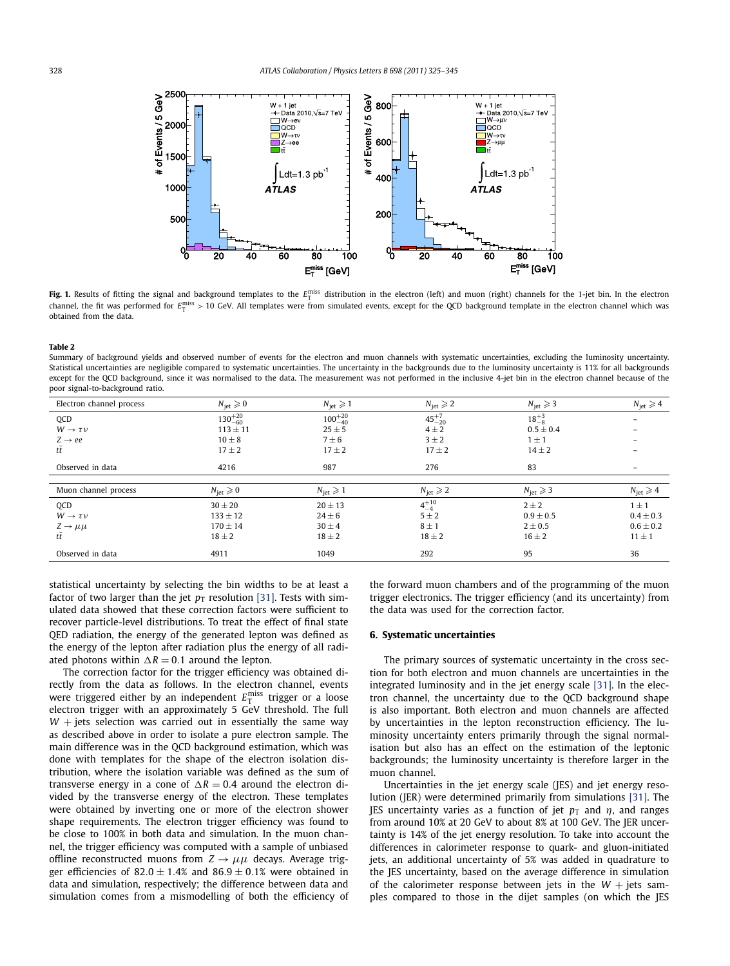<span id="page-3-0"></span>

**Fig. 1.** Results of fitting the signal and background templates to the  $E_T^{\text{miss}}$  distribution in the electron (left) and muon (right) channels for the 1-jet bin. In the electron channel, the fit was performed for  $E_T^{\rm miss} > 10$  GeV. All templates were from simulated events, except for the QCD background template in the electron channel which was obtained from the data.

Summary of background yields and observed number of events for the electron and muon channels with systematic uncertainties, excluding the luminosity uncertainty. Statistical uncertainties are negligible compared to systematic uncertainties. The uncertainty in the backgrounds due to the luminosity uncertainty is 11% for all backgrounds except for the QCD background, since it was normalised to the data. The measurement was not performed in the inclusive 4-jet bin in the electron channel because of the poor signal-to-background ratio.

| Electron channel process | $N_{\text{iet}} \geqslant 0$ | $N_{\text{jet}} \geqslant 1$ | $N_{\text{iet}} \geqslant 2$ | $N_{\text{jet}} \geqslant 3$ | $N_{\text{jet}} \geqslant 4$ |
|--------------------------|------------------------------|------------------------------|------------------------------|------------------------------|------------------------------|
| QCD                      | $130^{+20}_{-60}$            | $100^{+20}_{-40}$            | $45^{+7}_{-20}$              | $18^{+3}_{-8}$               | -                            |
| $W \rightarrow \tau \nu$ | $113 \pm 11$                 | $25 \pm 5$                   | $4 \pm 2$                    | $0.5 \pm 0.4$                | -                            |
| $Z \rightarrow ee$       | $10 \pm 8$                   | $7 \pm 6$                    | $3 \pm 2$                    | $1 \pm 1$                    | $\overline{\phantom{0}}$     |
| tt                       | $17 \pm 2$                   | $17 \pm 2$                   | $17 \pm 2$                   | $14 \pm 2$                   |                              |
| Observed in data         | 4216                         | 987                          | 276                          | 83                           | $\qquad \qquad =$            |
|                          |                              |                              |                              |                              |                              |
| Muon channel process     | $N_{\text{iet}} \geqslant 0$ | $N_{\text{jet}} \geqslant 1$ | $N_{\text{jet}} \geqslant 2$ | $N_{\text{jet}} \geqslant 3$ | $N_{\text{jet}} \geqslant 4$ |
| <b>OCD</b>               | $30 \pm 20$                  | $20 \pm 13$                  | $4^{+10}_{-4}$               | $2 \pm 2$                    | $1 \pm 1$                    |
| $W \rightarrow \tau \nu$ | $133 \pm 12$                 | $24 \pm 6$                   | $5 \pm 2$                    | $0.9 \pm 0.5$                | $0.4 \pm 0.3$                |
| $Z \rightarrow \mu\mu$   | $170 \pm 14$                 | $30 \pm 4$                   | $8 \pm 1$                    | $2 \pm 0.5$                  | $0.6 \pm 0.2$                |
| tī                       | $18 \pm 2$                   | $18 \pm 2$                   | $18 \pm 2$                   | $16 \pm 2$                   | $11 \pm 1$                   |
| Observed in data         | 4911                         | 1049                         | 292                          | 95                           | 36                           |

statistical uncertainty by selecting the bin widths to be at least a factor of two larger than the jet  $p_T$  resolution [\[31\].](#page-8-0) Tests with simulated data showed that these correction factors were sufficient to recover particle-level distributions. To treat the effect of final state QED radiation, the energy of the generated lepton was defined as the energy of the lepton after radiation plus the energy of all radiated photons within  $\Delta R = 0.1$  around the lepton.

The correction factor for the trigger efficiency was obtained directly from the data as follows. In the electron channel, events were triggered either by an independent  $E_{\textrm{T}}^{\textrm{miss}}$  trigger or a loose electron trigger with an approximately 5 GeV threshold. The full  $W$  + jets selection was carried out in essentially the same way as described above in order to isolate a pure electron sample. The main difference was in the QCD background estimation, which was done with templates for the shape of the electron isolation distribution, where the isolation variable was defined as the sum of transverse energy in a cone of  $\Delta R = 0.4$  around the electron divided by the transverse energy of the electron. These templates were obtained by inverting one or more of the electron shower shape requirements. The electron trigger efficiency was found to be close to 100% in both data and simulation. In the muon channel, the trigger efficiency was computed with a sample of unbiased offline reconstructed muons from  $Z \rightarrow \mu\mu$  decays. Average trigger efficiencies of  $82.0 \pm 1.4$ % and  $86.9 \pm 0.1$ % were obtained in data and simulation, respectively; the difference between data and simulation comes from a mismodelling of both the efficiency of the forward muon chambers and of the programming of the muon trigger electronics. The trigger efficiency (and its uncertainty) from the data was used for the correction factor.

### **6. Systematic uncertainties**

The primary sources of systematic uncertainty in the cross section for both electron and muon channels are uncertainties in the integrated luminosity and in the jet energy scale [\[31\].](#page-8-0) In the electron channel, the uncertainty due to the QCD background shape is also important. Both electron and muon channels are affected by uncertainties in the lepton reconstruction efficiency. The luminosity uncertainty enters primarily through the signal normalisation but also has an effect on the estimation of the leptonic backgrounds; the luminosity uncertainty is therefore larger in the muon channel.

Uncertainties in the jet energy scale (JES) and jet energy resolution (JER) were determined primarily from simulations [\[31\].](#page-8-0) The JES uncertainty varies as a function of jet  $p<sub>T</sub>$  and  $\eta$ , and ranges from around 10% at 20 GeV to about 8% at 100 GeV. The JER uncertainty is 14% of the jet energy resolution. To take into account the differences in calorimeter response to quark- and gluon-initiated jets, an additional uncertainty of 5% was added in quadrature to the JES uncertainty, based on the average difference in simulation of the calorimeter response between jets in the  $W +$  jets samples compared to those in the dijet samples (on which the JES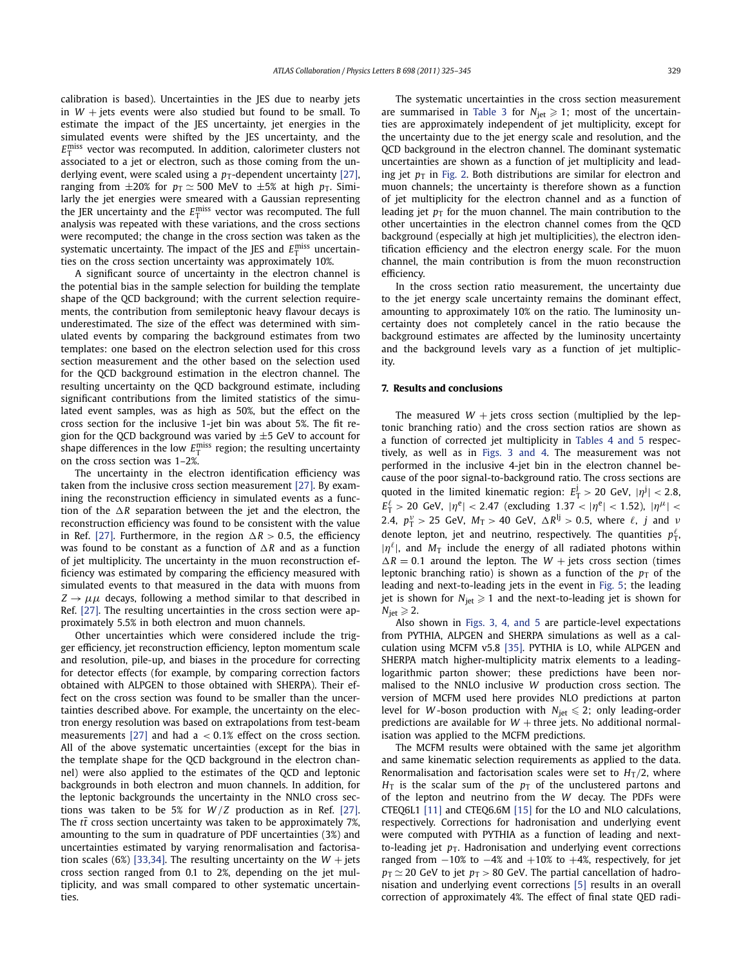calibration is based). Uncertainties in the JES due to nearby jets in  $W$  + jets events were also studied but found to be small. To estimate the impact of the JES uncertainty, jet energies in the simulated events were shifted by the JES uncertainty, and the  $E_{\text{T}}^{\text{miss}}$  vector was recomputed. In addition, calorimeter clusters not associated to a jet or electron, such as those coming from the underlying event, were scaled using a  $p_T$ -dependent uncertainty [\[27\],](#page-8-0) ranging from  $\pm 20\%$  for  $p_T \simeq 500$  MeV to  $\pm 5\%$  at high  $p_T$ . Similarly the jet energies were smeared with a Gaussian representing the JER uncertainty and the  $E_{\rm T}^{\rm miss}$  vector was recomputed. The full analysis was repeated with these variations, and the cross sections were recomputed; the change in the cross section was taken as the systematic uncertainty. The impact of the JES and  $E_{\rm T}^{\rm miss}$  uncertainties on the cross section uncertainty was approximately 10%.

A significant source of uncertainty in the electron channel is the potential bias in the sample selection for building the template shape of the QCD background; with the current selection requirements, the contribution from semileptonic heavy flavour decays is underestimated. The size of the effect was determined with simulated events by comparing the background estimates from two templates: one based on the electron selection used for this cross section measurement and the other based on the selection used for the QCD background estimation in the electron channel. The resulting uncertainty on the QCD background estimate, including significant contributions from the limited statistics of the simulated event samples, was as high as 50%, but the effect on the cross section for the inclusive 1-jet bin was about 5%. The fit region for the QCD background was varied by  $\pm$ 5 GeV to account for shape differences in the low  $E_{\rm T}^{\rm miss}$  region; the resulting uncertainty on the cross section was 1–2%.

The uncertainty in the electron identification efficiency was taken from the inclusive cross section measurement [\[27\].](#page-8-0) By examining the reconstruction efficiency in simulated events as a function of the  $\Delta R$  separation between the jet and the electron, the reconstruction efficiency was found to be consistent with the value in Ref. [\[27\].](#page-8-0) Furthermore, in the region  $\Delta R > 0.5$ , the efficiency was found to be constant as a function of  $\Delta R$  and as a function of jet multiplicity. The uncertainty in the muon reconstruction efficiency was estimated by comparing the efficiency measured with simulated events to that measured in the data with muons from  $Z \rightarrow \mu\mu$  decays, following a method similar to that described in Ref. [\[27\].](#page-8-0) The resulting uncertainties in the cross section were approximately 5.5% in both electron and muon channels.

Other uncertainties which were considered include the trigger efficiency, jet reconstruction efficiency, lepton momentum scale and resolution, pile-up, and biases in the procedure for correcting for detector effects (for example, by comparing correction factors obtained with ALPGEN to those obtained with SHERPA). Their effect on the cross section was found to be smaller than the uncertainties described above. For example, the uncertainty on the electron energy resolution was based on extrapolations from test-beam measurements [\[27\]](#page-8-0) and had a *<* 0*.*1% effect on the cross section. All of the above systematic uncertainties (except for the bias in the template shape for the QCD background in the electron channel) were also applied to the estimates of the QCD and leptonic backgrounds in both electron and muon channels. In addition, for the leptonic backgrounds the uncertainty in the NNLO cross sections was taken to be 5% for  $W/Z$  production as in Ref. [\[27\].](#page-8-0) The  $t\bar{t}$  cross section uncertainty was taken to be approximately 7%, amounting to the sum in quadrature of PDF uncertainties (3%) and uncertainties estimated by varying renormalisation and factorisa-tion scales (6%) [\[33,34\].](#page-8-0) The resulting uncertainty on the  $W +$  jets cross section ranged from 0.1 to 2%, depending on the jet multiplicity, and was small compared to other systematic uncertainties.

The systematic uncertainties in the cross section measurement are summarised in [Table 3](#page-5-0) for  $N_{jet} \geq 1$ ; most of the uncertainties are approximately independent of jet multiplicity, except for the uncertainty due to the jet energy scale and resolution, and the QCD background in the electron channel. The dominant systematic uncertainties are shown as a function of jet multiplicity and leading jet  $p<sub>T</sub>$  in [Fig. 2.](#page-5-0) Both distributions are similar for electron and muon channels; the uncertainty is therefore shown as a function of jet multiplicity for the electron channel and as a function of leading jet  $p<sub>T</sub>$  for the muon channel. The main contribution to the other uncertainties in the electron channel comes from the QCD background (especially at high jet multiplicities), the electron identification efficiency and the electron energy scale. For the muon channel, the main contribution is from the muon reconstruction efficiency.

In the cross section ratio measurement, the uncertainty due to the jet energy scale uncertainty remains the dominant effect, amounting to approximately 10% on the ratio. The luminosity uncertainty does not completely cancel in the ratio because the background estimates are affected by the luminosity uncertainty and the background levels vary as a function of jet multiplicity.

### **7. Results and conclusions**

The measured  $W$  + jets cross section (multiplied by the leptonic branching ratio) and the cross section ratios are shown as a function of corrected jet multiplicity in [Tables 4 and 5](#page-5-0) respectively, as well as in [Figs. 3 and 4.](#page-6-0) The measurement was not performed in the inclusive 4-jet bin in the electron channel because of the poor signal-to-background ratio. The cross sections are quoted in the limited kinematic region:  $E_T^j > 20$  GeV,  $|\eta^j| < 2.8$ ,  $E_{\text{T}}^{\ell} > 20$  GeV,  $|\eta^{\text{e}}| < 2.47$  (excluding 1.37  $< |\eta^{\text{e}}| < 1.52$ ),  $|\eta^{\mu}| <$ 2.4,  $p_T^{\nu} > 25$  GeV,  $M_T > 40$  GeV,  $\Delta R^{lj} > 0.5$ , where  $\ell$ ,  $j$  and  $\nu$ denote lepton, jet and neutrino, respectively. The quantities  $p_T^{\ell}$ ,  $|\eta^{\ell}|$ , and  $M_{\text{T}}$  include the energy of all radiated photons within  $\Delta R = 0.1$  around the lepton. The *W* + jets cross section (times leptonic branching ratio) is shown as a function of the  $p<sub>T</sub>$  of the leading and next-to-leading jets in the event in [Fig. 5;](#page-7-0) the leading jet is shown for  $N_\mathrm{jet} \geqslant 1$  and the next-to-leading jet is shown for  $N_{\rm jet}$   $\geqslant$  2.

Also shown in [Figs. 3, 4, and 5](#page-6-0) are particle-level expectations from PYTHIA, ALPGEN and SHERPA simulations as well as a calculation using MCFM v5.8 [\[35\].](#page-8-0) PYTHIA is LO, while ALPGEN and SHERPA match higher-multiplicity matrix elements to a leadinglogarithmic parton shower; these predictions have been normalised to the NNLO inclusive *W* production cross section. The version of MCFM used here provides NLO predictions at parton level for *W*-boson production with  $N_{jet} \le 2$ ; only leading-order predictions are available for  $W$  + three jets. No additional normalisation was applied to the MCFM predictions.

The MCFM results were obtained with the same jet algorithm and same kinematic selection requirements as applied to the data. Renormalisation and factorisation scales were set to  $H_T/2$ , where  $H<sub>T</sub>$  is the scalar sum of the  $p<sub>T</sub>$  of the unclustered partons and of the lepton and neutrino from the *W* decay. The PDFs were CTEQ6L1 [\[11\]](#page-8-0) and CTEQ6.6M [\[15\]](#page-8-0) for the LO and NLO calculations, respectively. Corrections for hadronisation and underlying event were computed with PYTHIA as a function of leading and nextto-leading jet  $p<sub>T</sub>$ . Hadronisation and underlying event corrections ranged from  $-10\%$  to  $-4\%$  and  $+10\%$  to  $+4\%$ , respectively, for jet  $p_T \simeq 20$  GeV to jet  $p_T > 80$  GeV. The partial cancellation of hadronisation and underlying event corrections [\[5\]](#page-7-0) results in an overall correction of approximately 4%. The effect of final state QED radi-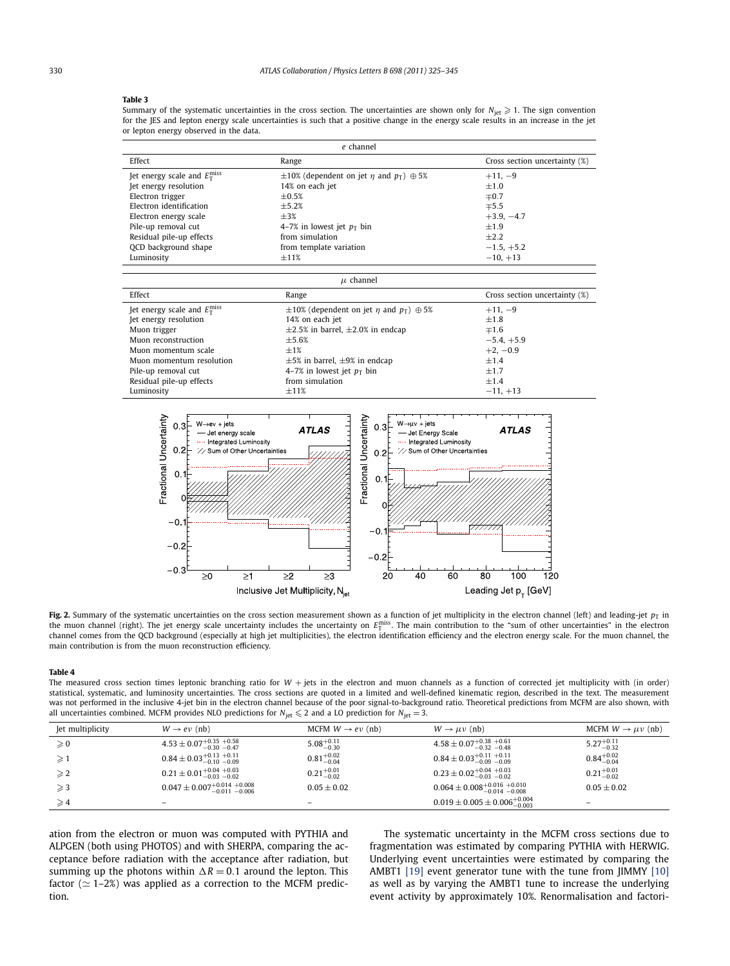<span id="page-5-0"></span>Summary of the systematic uncertainties in the cross section. The uncertainties are shown only for  $N_{\rm jet}\geqslant 1$ . The sign convention for the JES and lepton energy scale uncertainties is such that a positive change in the energy scale results in an increase in the jet or lepton energy observed in the data.

| e channel                                   |                                                               |                               |  |
|---------------------------------------------|---------------------------------------------------------------|-------------------------------|--|
| Effect                                      | Range                                                         | Cross section uncertainty (%) |  |
| Jet energy scale and $E_{\rm T}^{\rm miss}$ | $\pm 10\%$ (dependent on jet <i>n</i> and $p_T$ ) $\oplus$ 5% | $+11, -9$                     |  |
| Jet energy resolution                       | 14% on each jet                                               | $+1.0$                        |  |
| Electron trigger                            | $+0.5%$                                                       | $\mp 0.7$                     |  |
| Electron identification                     | $+5.2%$                                                       | $\mp 5.5$                     |  |
| Electron energy scale                       | $+3%$                                                         | $+3.9, -4.7$                  |  |
| Pile-up removal cut                         | 4–7% in lowest jet $p_T$ bin                                  | $+1.9$                        |  |
| Residual pile-up effects                    | from simulation                                               | $+2.2$                        |  |
| OCD background shape                        | from template variation                                       | $-1.5, +5.2$                  |  |
| Luminosity                                  | $\pm 11\%$                                                    | $-10, +13$                    |  |

| $\mu$ channel                               |                                                             |                               |  |
|---------------------------------------------|-------------------------------------------------------------|-------------------------------|--|
| Effect                                      | Range                                                       | Cross section uncertainty (%) |  |
| Jet energy scale and $E_{\rm T}^{\rm miss}$ | $\pm 10\%$ (dependent on jet $\eta$ and $p_T$ ) $\oplus$ 5% | $+11, -9$                     |  |
| Jet energy resolution                       | 14% on each jet                                             | $+1.8$                        |  |
| Muon trigger<br>Muon reconstruction         | $\pm 2.5\%$ in barrel, $\pm 2.0\%$ in endcap<br>$+5.6%$     | $\mp 1.6$                     |  |
| Muon momentum scale                         | $+1%$                                                       | $-5.4, +5.9$<br>$+2, -0.9$    |  |
| Muon momentum resolution                    | $\pm$ 5% in barrel, $\pm$ 9% in endcap                      | $+1.4$                        |  |
| Pile-up removal cut                         | 4–7% in lowest jet $p_T$ bin                                | $+1.7$                        |  |
| Residual pile-up effects                    | from simulation                                             | $+1.4$                        |  |
| Luminosity                                  | $+11%$                                                      | $-11, +13$                    |  |



Fig. 2. Summary of the systematic uncertainties on the cross section measurement shown as a function of jet multiplicity in the electron channel (left) and leading-jet  $p_T$  in the muon channel (right). The jet energy scale uncertainty includes the uncertainty on  $E_{\rm T}^{\rm miss}$ . The main contribution to the "sum of other uncertainties" in the electron channel comes from the QCD background (especially at high jet multiplicities), the electron identification efficiency and the electron energy scale. For the muon channel, the main contribution is from the muon reconstruction efficiency.

#### **Table 4**

The measured cross section times leptonic branching ratio for  $W +$  jets in the electron and muon channels as a function of corrected jet multiplicity with (in order) statistical, systematic, and luminosity uncertainties. The cross sections are quoted in a limited and well-defined kinematic region, described in the text. The measurement was not performed in the inclusive 4-jet bin in the electron channel because of the poor signal-to-background ratio. Theoretical predictions from MCFM are also shown, with all uncertainties combined. MCFM provides NLO predictions for  $N_{jet} \le 2$  and a LO prediction for  $N_{jet} = 3$ .

| Jet multiplicity | $W \rightarrow e \nu$ (nb)                 | MCFM $W \rightarrow e \nu$ (nb) | $W \rightarrow \mu \nu$ (nb)                     | MCFM $W \rightarrow \mu \nu$ (nb) |
|------------------|--------------------------------------------|---------------------------------|--------------------------------------------------|-----------------------------------|
| $\geqslant 0$    | $4.53 \pm 0.07_{-0.30}^{+0.35}$ +0.58      | $5.08^{+0.11}_{-0.30}$          | $4.58 \pm 0.07_{-0.32}^{+0.38}~_{-0.48}^{+0.61}$ | $5.27^{+0.11}_{-0.32}$            |
| $\geqslant$ 1    | $0.84 \pm 0.03_{-0.10}^{+0.13}$ +0.11      | $0.81^{+0.02}_{-0.04}$          | $0.84 \pm 0.03_{-0.09}^{+0.11}$ +0.11            | $0.84^{+0.02}_{-0.04}$            |
| $\geqslant$ 2    | $0.21 \pm 0.01^{+0.04}_{-0.03}$ -0.02      | $0.21^{+0.01}_{-0.02}$          | $0.23 \pm 0.02^{+0.04}_{-0.03}$ -0.02            | $0.21_{-0.02}^{+0.01}$            |
| $\geqslant$ 3    | $0.047 \pm 0.007^{+0.014}_{-0.011}$ -0.006 | $0.05 \pm 0.02$                 | $0.064 \pm 0.008^{+0.016}_{-0.014}$ -0.008       | $0.05 \pm 0.02$                   |
| $\geqslant 4$    | $\overline{\phantom{0}}$                   | $\overline{\phantom{a}}$        | $0.019 \pm 0.005 \pm 0.006_{-0.003}^{+0.004}$    | -                                 |

ation from the electron or muon was computed with PYTHIA and ALPGEN (both using PHOTOS) and with SHERPA, comparing the acceptance before radiation with the acceptance after radiation, but summing up the photons within  $\Delta R = 0.1$  around the lepton. This factor ( $\simeq$  1–2%) was applied as a correction to the MCFM prediction.

The systematic uncertainty in the MCFM cross sections due to fragmentation was estimated by comparing PYTHIA with HERWIG. Underlying event uncertainties were estimated by comparing the AMBT1 [\[19\]](#page-8-0) event generator tune with the tune from JIMMY [\[10\]](#page-8-0) as well as by varying the AMBT1 tune to increase the underlying event activity by approximately 10%. Renormalisation and factori-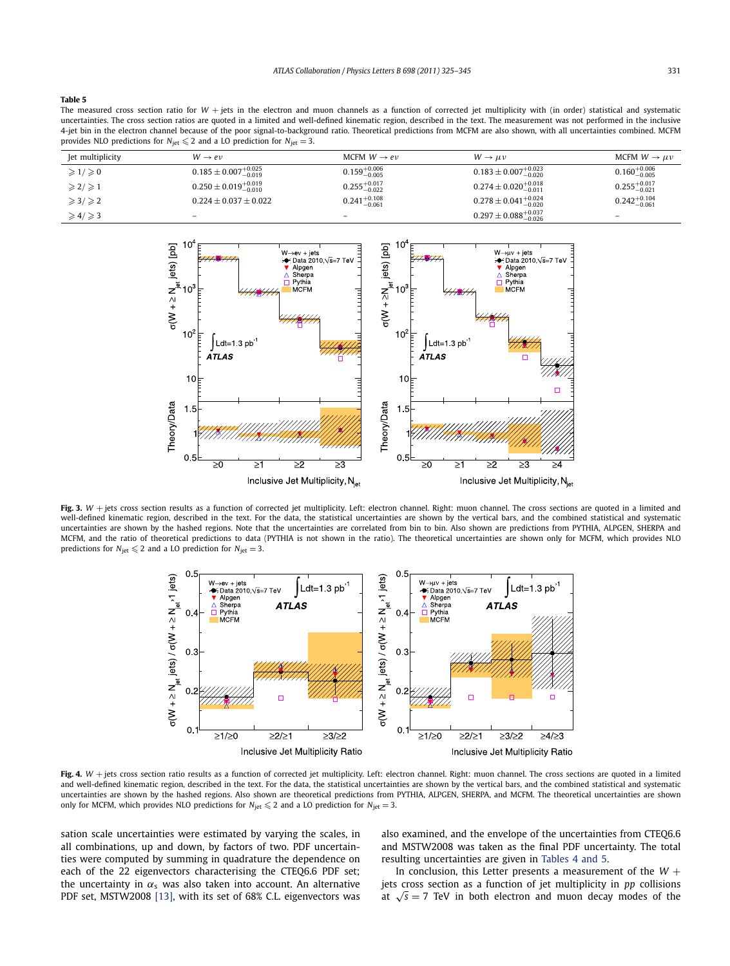<span id="page-6-0"></span>The measured cross section ratio for W + jets in the electron and muon channels as a function of corrected jet multiplicity with (in order) statistical and systematic uncertainties. The cross section ratios are quoted in a limited and well-defined kinematic region, described in the text. The measurement was not performed in the inclusive 4-jet bin in the electron channel because of the poor signal-to-background ratio. Theoretical predictions from MCFM are also shown, with all uncertainties combined. MCFM provides NLO predictions for  $N_{\text{jet}} \leq 2$  and a LO prediction for  $N_{\text{jet}} = 3$ .

| Jet multiplicity              | $W \rightarrow e \nu$               | MCFM $W \rightarrow e \nu$ | $W \rightarrow \mu \nu$             | MCFM $W \rightarrow \mu \nu$ |
|-------------------------------|-------------------------------------|----------------------------|-------------------------------------|------------------------------|
| $\geqslant$ 1/ $\geqslant$ 0  | $0.185 \pm 0.007^{+0.025}_{-0.019}$ | $0.159^{+0.006}_{-0.005}$  | $0.183 \pm 0.007^{+0.023}_{-0.020}$ | $0.160^{+0.006}_{-0.005}$    |
| $\geqslant$ 2/ $\geqslant$ 1  | $0.250 \pm 0.019^{+0.019}_{-0.010}$ | $0.255_{-0.022}^{+0.017}$  | $0.274 \pm 0.020^{+0.018}_{-0.011}$ | $0.255_{-0.021}^{+0.017}$    |
| $\geqslant$ 3/ $\geqslant$ 2  | $0.224 \pm 0.037 \pm 0.022$         | $0.241_{-0.061}^{+0.108}$  | $0.278 \pm 0.041^{+0.024}_{-0.020}$ | $0.242^{+0.104}_{-0.061}$    |
| $\geqslant 4$ / $\geqslant$ 3 |                                     | $\qquad \qquad -$          | $0.297 \pm 0.088^{+0.037}_{-0.026}$ |                              |



Fig. 3.  $W$  + jets cross section results as a function of corrected jet multiplicity. Left: electron channel. Right: muon channel. The cross sections are quoted in a limited and well-defined kinematic region, described in the text. For the data, the statistical uncertainties are shown by the vertical bars, and the combined statistical and systematic uncertainties are shown by the hashed regions. Note that the uncertainties are correlated from bin to bin. Also shown are predictions from PYTHIA, ALPGEN, SHERPA and MCFM, and the ratio of theoretical predictions to data (PYTHIA is not shown in the ratio). The theoretical uncertainties are shown only for MCFM, which provides NLO predictions for  $N_{\text{jet}} \leq 2$  and a LO prediction for  $N_{\text{jet}} = 3$ .



Fig. 4.  $W$  + jets cross section ratio results as a function of corrected jet multiplicity. Left: electron channel. Right: muon channel. The cross sections are quoted in a limited and well-defined kinematic region, described in the text. For the data, the statistical uncertainties are shown by the vertical bars, and the combined statistical and systematic uncertainties are shown by the hashed regions. Also shown are theoretical predictions from PYTHIA, ALPGEN, SHERPA, and MCFM. The theoretical uncertainties are shown only for MCFM, which provides NLO predictions for  $N_{jet} \leq 2$  and a LO prediction for  $N_{jet} = 3$ .

sation scale uncertainties were estimated by varying the scales, in all combinations, up and down, by factors of two. PDF uncertainties were computed by summing in quadrature the dependence on each of the 22 eigenvectors characterising the CTEQ6.6 PDF set; the uncertainty in  $\alpha_s$  was also taken into account. An alternative PDF set, MSTW2008 [\[13\],](#page-8-0) with its set of 68% C.L. eigenvectors was also examined, and the envelope of the uncertainties from CTEQ6.6 and MSTW2008 was taken as the final PDF uncertainty. The total resulting uncertainties are given in [Tables 4 and 5.](#page-5-0)

In conclusion, this Letter presents a measurement of the  $W +$ jets cross section as a function of jet multiplicity in *pp* collisions at  $\sqrt{s}$  = 7 TeV in both electron and muon decay modes of the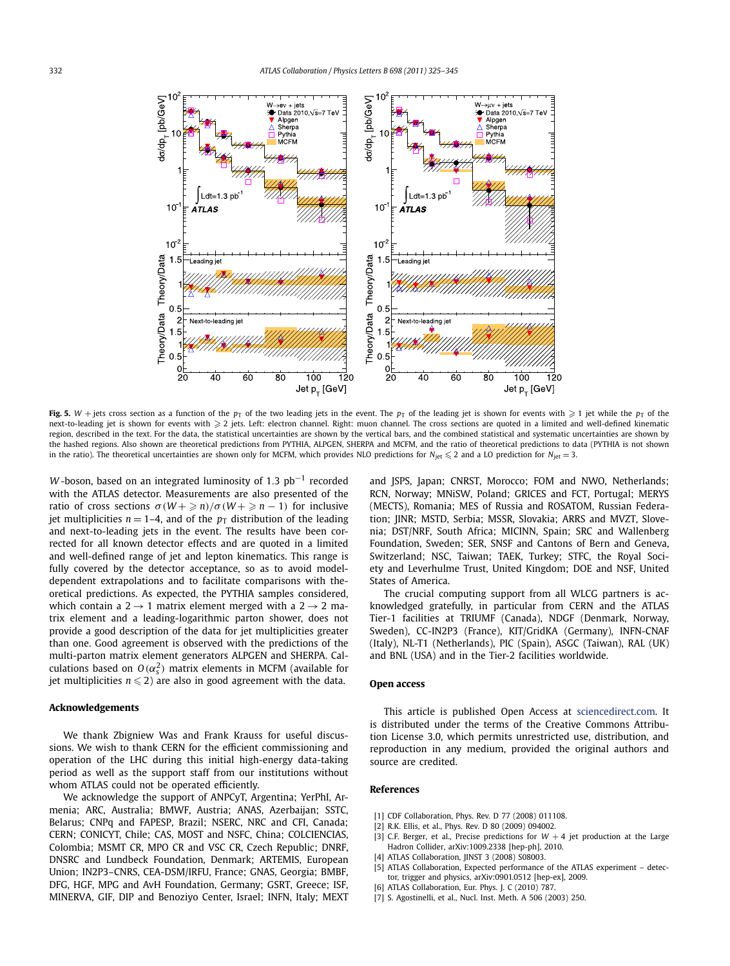<span id="page-7-0"></span>

**Fig. 5.**  $W$  + jets cross section as a function of the  $p_T$  of the two leading jets in the event. The  $p_T$  of the leading jet is shown for events with  $\geqslant1$  jet while the  $p_T$  of the next-to-leading jet is shown for events with  $\geqslant 2$  jets. Left: electron channel. Right: muon channel. The cross sections are quoted in a limited and well-defined kinematic region, described in the text. For the data, the statistical uncertainties are shown by the vertical bars, and the combined statistical and systematic uncertainties are shown by the hashed regions. Also shown are theoretical predictions from PYTHIA, ALPGEN, SHERPA and MCFM, and the ratio of theoretical predictions to data (PYTHIA is not shown in the ratio). The theoretical uncertainties are shown only for MCFM, which provides NLO predictions for  $N_{jet} \leq 2$  and a LO prediction for  $N_{jet} = 3$ .

*W* -boson, based on an integrated luminosity of 1.3 pb<sup>-1</sup> recorded with the ATLAS detector. Measurements are also presented of the ratio of cross sections  $\sigma(W + \geq n)/\sigma(W + \geq n - 1)$  for inclusive jet multiplicities  $n = 1-4$ , and of the  $p<sub>T</sub>$  distribution of the leading and next-to-leading jets in the event. The results have been corrected for all known detector effects and are quoted in a limited and well-defined range of jet and lepton kinematics. This range is fully covered by the detector acceptance, so as to avoid modeldependent extrapolations and to facilitate comparisons with theoretical predictions. As expected, the PYTHIA samples considered, which contain a  $2 \rightarrow 1$  matrix element merged with a  $2 \rightarrow 2$  matrix element and a leading-logarithmic parton shower, does not provide a good description of the data for jet multiplicities greater than one. Good agreement is observed with the predictions of the multi-parton matrix element generators ALPGEN and SHERPA. Calculations based on  $O(\alpha_s^2)$  matrix elements in MCFM (available for jet multiplicities  $n \leq 2$ ) are also in good agreement with the data.

### **Acknowledgements**

We thank Zbigniew Was and Frank Krauss for useful discussions. We wish to thank CERN for the efficient commissioning and operation of the LHC during this initial high-energy data-taking period as well as the support staff from our institutions without whom ATLAS could not be operated efficiently.

We acknowledge the support of ANPCyT, Argentina; YerPhI, Armenia; ARC, Australia; BMWF, Austria; ANAS, Azerbaijan; SSTC, Belarus; CNPq and FAPESP, Brazil; NSERC, NRC and CFI, Canada; CERN; CONICYT, Chile; CAS, MOST and NSFC, China; COLCIENCIAS, Colombia; MSMT CR, MPO CR and VSC CR, Czech Republic; DNRF, DNSRC and Lundbeck Foundation, Denmark; ARTEMIS, European Union; IN2P3–CNRS, CEA-DSM/IRFU, France; GNAS, Georgia; BMBF, DFG, HGF, MPG and AvH Foundation, Germany; GSRT, Greece; ISF, MINERVA, GIF, DIP and Benoziyo Center, Israel; INFN, Italy; MEXT

and JSPS, Japan; CNRST, Morocco; FOM and NWO, Netherlands; RCN, Norway; MNiSW, Poland; GRICES and FCT, Portugal; MERYS (MECTS), Romania; MES of Russia and ROSATOM, Russian Federation; JINR; MSTD, Serbia; MSSR, Slovakia; ARRS and MVZT, Slovenia; DST/NRF, South Africa; MICINN, Spain; SRC and Wallenberg Foundation, Sweden; SER, SNSF and Cantons of Bern and Geneva, Switzerland; NSC, Taiwan; TAEK, Turkey; STFC, the Royal Society and Leverhulme Trust, United Kingdom; DOE and NSF, United States of America.

The crucial computing support from all WLCG partners is acknowledged gratefully, in particular from CERN and the ATLAS Tier-1 facilities at TRIUMF (Canada), NDGF (Denmark, Norway, Sweden), CC-IN2P3 (France), KIT/GridKA (Germany), INFN-CNAF (Italy), NL-T1 (Netherlands), PIC (Spain), ASGC (Taiwan), RAL (UK) and BNL (USA) and in the Tier-2 facilities worldwide.

#### **Open access**

This article is published Open Access at [sciencedirect.com](http://www.sciencedirect.com). It is distributed under the terms of the Creative Commons Attribution License 3.0, which permits unrestricted use, distribution, and reproduction in any medium, provided the original authors and source are credited.

#### **References**

- [1] CDF Collaboration, Phys. Rev. D 77 (2008) 011108
- [2] R.K. Ellis, et al., Phys. Rev. D 80 (2009) 094002.
- [3] C.F. Berger, et al., Precise predictions for  $W + 4$  jet production at the Large Hadron Collider, arXiv:1009.2338 [hep-ph], 2010.
- [4] ATLAS Collaboration, JINST 3 (2008) S08003.
- [5] ATLAS Collaboration, Expected performance of the ATLAS experiment detector, trigger and physics, arXiv:0901.0512 [hep-ex], 2009.
- [6] ATLAS Collaboration, Eur. Phys. J. C (2010) 787.
- [7] S. Agostinelli, et al., Nucl. Inst. Meth. A 506 (2003) 250.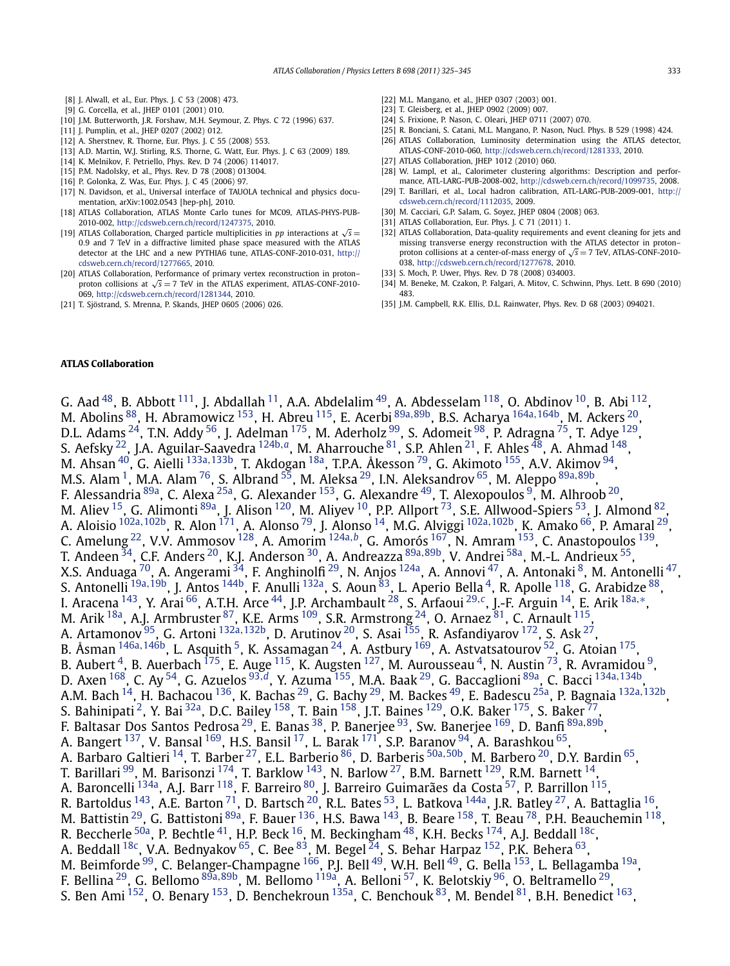- <span id="page-8-0"></span>[8] J. Alwall, et al., Eur. Phys. J. C 53 (2008) 473.
- [9] G. Corcella, et al., JHEP 0101 (2001) 010.
- [10] J.M. Butterworth, J.R. Forshaw, M.H. Seymour, Z. Phys. C 72 (1996) 637.
- [11] J. Pumplin, et al., JHEP 0207 (2002) 012.
- [12] A. Sherstnev, R. Thorne, Eur. Phys. J. C 55 (2008) 553.
- [13] A.D. Martin, W.J. Stirling, R.S. Thorne, G. Watt, Eur. Phys. J. C 63 (2009) 189.
- [14] K. Melnikov, F. Petriello, Phys. Rev. D 74 (2006) 114017.
- [15] P.M. Nadolsky, et al., Phys. Rev. D 78 (2008) 013004.
- [16] P. Golonka, Z. Was, Eur. Phys. J. C 45 (2006) 97.
- [17] N. Davidson, et al., Universal interface of TAUOLA technical and physics documentation, arXiv:1002.0543 [hep-ph], 2010.
- [18] ATLAS Collaboration, ATLAS Monte Carlo tunes for MC09, ATLAS-PHYS-PUB-2010-002, <http://cdsweb.cern.ch/record/1247375>, 2010.
- [19] ATLAS Collaboration, Charged particle multiplicities in *pp* interactions at  $\sqrt{s}$  = 0*.*9 and 7 TeV in a diffractive limited phase space measured with the ATLAS detector at the LHC and a new PYTHIA6 tune, ATLAS-CONF-2010-031, [http://](http://cdsweb.cern.ch/record/1277665) [cdsweb.cern.ch/record/1277665,](http://cdsweb.cern.ch/record/1277665) 2010.
- [20] ATLAS Collaboration, Performance of primary vertex reconstruction in proton– proton collisions at  $\sqrt{s}$  = 7 TeV in the ATLAS experiment, ATLAS-CONF-2010-069, <http://cdsweb.cern.ch/record/1281344>, 2010.
- [21] T. Sjöstrand, S. Mrenna, P. Skands, JHEP 0605 (2006) 026.
- [22] M.L. Mangano, et al., IHEP 0307 (2003) 001.
- [23] T. Gleisberg, et al., JHEP 0902 (2009) 007.
- [24] S. Frixione, P. Nason, C. Oleari, JHEP 0711 (2007) 070.
- [25] R. Bonciani, S. Catani, M.L. Mangano, P. Nason, Nucl. Phys. B 529 (1998) 424.
- [26] ATLAS Collaboration, Luminosity determination using the ATLAS detector,
- ATLAS-CONF-2010-060, <http://cdsweb.cern.ch/record/1281333>, 2010.
- [27] ATLAS Collaboration, JHEP 1012 (2010) 060.
- [28] W. Lampl, et al., Calorimeter clustering algorithms: Description and performance, ATL-LARG-PUB-2008-002, [http://cdsweb.cern.ch/record/1099735,](http://cdsweb.cern.ch/record/1099735) 2008.
- [29] T. Barillari, et al., Local hadron calibration, ATL-LARG-PUB-2009-001, [http://](http://cdsweb.cern.ch/record/1112035) [cdsweb.cern.ch/record/1112035,](http://cdsweb.cern.ch/record/1112035) 2009.
- [30] M. Cacciari, G.P. Salam, G. Soyez, JHEP 0804 (2008) 063.
- [31] ATLAS Collaboration, Eur. Phys. J. C 71 (2011) 1.
- [32] ATLAS Collaboration, Data-quality requirements and event cleaning for jets and missing transverse energy reconstruction with the ATLAS detector in proton– proton collisions at a center-of-mass energy of <sup>√</sup>*<sup>s</sup>* <sup>=</sup> 7 TeV, ATLAS-CONF-2010- 038, <http://cdsweb.cern.ch/record/1277678>, 2010.
- [33] S. Moch, P. Uwer, Phys. Rev. D 78 (2008) 034003.
- [34] M. Beneke, M. Czakon, P. Falgari, A. Mitov, C. Schwinn, Phys. Lett. B 690 (2010) 483.
- [35] J.M. Campbell, R.K. Ellis, D.L. Rainwater, Phys. Rev. D 68 (2003) 094021.

## **ATLAS Collaboration**

G. Aad <sup>48</sup>, B. Abbott <sup>111</sup>, J. Abdallah <sup>11</sup>, A.A. Abdelalim <sup>49</sup>, A. Abdesselam <sup>118</sup>, O. Abdinov <sup>10</sup>, B. Abi <sup>112</sup>, M. Abolins [88,](#page-18-0) H. Abramowicz [153,](#page-19-0) H. Abreu [115,](#page-19-0) E. Acerbi [89a](#page-18-0)*,*[89b,](#page-18-0) B.S. Acharya [164a](#page-19-0)*,*[164b,](#page-19-0) M. Ackers [20,](#page-17-0) D.L. Adams  $^{24}$ , T.N. Addy  $^{56}$ , J. Adelman  $^{175}$ , M. Aderholz  $^{99}$ , S. Adomeit  $^{98}$  $^{98}$  $^{98}$ , P. Adragna  $^{75}$ , T. Adye  $^{129}$ , S. Aefsky [22,](#page-17-0) J.A. Aguilar-Saavedra [124b](#page-19-0)*,[a](#page-20-0)*, M. Aharrouche [81,](#page-18-0) S.P. Ahlen [21,](#page-17-0) F. Ahles [48,](#page-18-0) A. Ahmad [148,](#page-19-0) M. Ahsan [40,](#page-18-0) G. Aielli [133a](#page-19-0)*,*[133b,](#page-19-0) T. Akdogan [18a,](#page-17-0) T.P.A. Åkesson [79,](#page-18-0) G. Akimoto [155,](#page-19-0) A.V. Akimov [94,](#page-18-0) M.S. Alam [1,](#page-17-0) M.A. Alam [76,](#page-18-0) S. Albrand [55](#page-18-0), M. Aleksa [29,](#page-17-0) I.N. Aleksandrov [65,](#page-18-0) M. Aleppo [89a](#page-18-0)*,*[89b,](#page-18-0) F. Alessandria [89a,](#page-18-0) C. Alexa [25a,](#page-17-0) G. Alexander [153,](#page-19-0) G. Alexandre [49,](#page-18-0) T. Alexopoulos [9,](#page-17-0) M. Alhroob [20,](#page-17-0) M. Aliev <sup>15</sup>, G. Alimonti <sup>89a</sup>, J. Alison <sup>120</sup>, M. Aliyev <sup>10</sup>, P.P. Allport <sup>73</sup>, S.E. Allwood-Spiers <sup>53</sup>, J. Almond <sup>82</sup> A. Aloisio [102a](#page-18-0)*,*[102b,](#page-18-0) R. Alon [171,](#page-19-0) A. Alonso [79](#page-18-0), J. Alonso [14,](#page-17-0) M.G. Alviggi [102a](#page-18-0)*,*[102b,](#page-18-0) K. Amako [66,](#page-18-0) P. Amaral [29,](#page-17-0) C. Amelung [22,](#page-17-0) V.V. Ammosov [128,](#page-19-0) A. Amorim [124a](#page-19-0)*,[b](#page-20-0)*, G. Amorós [167,](#page-19-0) N. Amram [153,](#page-19-0) C. Anastopoulos [139,](#page-19-0) T. Andeen [34](#page-18-0), C.F. Anders [20,](#page-17-0) K.J. Anderson [30,](#page-17-0) A. Andreazza [89a](#page-18-0)*,*[89b,](#page-18-0) V. Andrei [58a,](#page-18-0) M.-L. Andrieux [55,](#page-18-0) X.S. Anduaga <sup>70</sup>, A. Angerami <sup>34</sup>, F. Anghinolfi <sup>29</sup>, N. Anjos <sup>124a</sup>, A. Annovi <sup>47</sup>, A. Antonaki <sup>8</sup>, M. Antonelli <sup>47</sup>, S. Antonelli <sup>[19a](#page-17-0), 19b</sup>, J. Antos <sup>1[4](#page-17-0)4b</sup>, F. Anulli <sup>132a</sup>, S. Aoun <sup>83</sup>, L. Aperio Bella <sup>4</sup>, R. Apolle <sup>118</sup>, G. Arabidze <sup>88</sup>, I. Aracena [143,](#page-19-0) Y. Arai [66,](#page-18-0) A.T.H. Arce [44,](#page-18-0) J.P. Archambault [28,](#page-17-0) S. Arfaoui [29](#page-17-0)*,[c](#page-20-0)*, J.-F. Arguin [14,](#page-17-0) E. Arik [18a](#page-17-0)*,*[∗](#page-20-0), M. Arik <sup>18a</sup>, A.J. Armbruster <sup>87</sup>, K.E. Arms <sup>109</sup>, S.R. Armstrong <sup>24</sup>, O. Arnaez <sup>81</sup>, C. Arnault <sup>115</sup> A. Artamonov [95,](#page-18-0) G. Artoni [132a](#page-19-0)*,*[132b](#page-19-0), D. Arutinov [20,](#page-17-0) S. Asai [155,](#page-19-0) R. Asfandiyarov [172,](#page-19-0) S. Ask [27,](#page-17-0) B. Åsman <sup>[146a](#page-19-0), 146b</sup>, L. Asquith <sup>5</sup>, K. Assamagan <sup>[24](#page-17-0)</sup>, A. Astbury <sup>169</sup>, A. Astvatsatourov <sup>52</sup>, G. Atoian <sup>175</sup>, B. Aubert  $^4$ , B. Auerbach  $^{175}$ , E. Auge  $^{115}$ , K. Augsten  $^{127}$ , M. Aurousseau  $^4$ , N. Austin  $^{73}$ , R. Avramidou  $^9$ , D. Axen [168,](#page-19-0) C. Ay [54,](#page-18-0) G. Azuelos [93](#page-18-0)*,[d](#page-20-0)*, Y. Azuma [155,](#page-19-0) M.A. Baak [29,](#page-17-0) G. Baccaglioni [89a,](#page-18-0) C. Bacci [134a](#page-19-0)*,*[134b,](#page-19-0) A.M. Bach [14,](#page-17-0) H. Bachacou [136,](#page-19-0) K. Bachas [29,](#page-17-0) G. Bachy [29,](#page-17-0) M. Backes [49,](#page-18-0) E. Badescu [25a,](#page-17-0) P. Bagnaia [132a](#page-19-0)*,*[132b,](#page-19-0) S. Bahinipati <sup>2</sup>, Y. Bai <sup>32a</sup>, D.C. Bailey <sup>158</sup>, T. Bain <sup>158</sup>, J.T. Baines <sup>129</sup>, O.K. Baker <sup>175</sup>, S. Baker <sup>77</sup>, F. Baltasar Dos Santos Pedrosa [29](#page-17-0), E. Banas [38,](#page-18-0) P. Banerjee [93,](#page-18-0) Sw. Banerjee [169,](#page-19-0) D. Banfi [89a](#page-18-0)*,*[89b](#page-18-0), A. Bangert <sup>137</sup>, V. Bansal <sup>169</sup>, H.S. Bansil <sup>17</sup>, L. Barak <sup>171</sup>, S.P. Baranov <sup>94</sup>, A. Barashkou <sup>[65](#page-18-0)</sup>, A. Barbaro Galtieri [14,](#page-17-0) T. Barber [27,](#page-17-0) E.L. Barberio [86,](#page-18-0) D. Barberis [50a](#page-18-0)*,*[50b,](#page-18-0) M. Barbero [20,](#page-17-0) D.Y. Bardin [65,](#page-18-0) T. Barillari <sup>99</sup>, M. Barisonzi <sup>174</sup>, T. Barklow <sup>143</sup>, N. Barlow <sup>27</sup>, B.M. Barnett <sup>129</sup>, R.M. Barnett <sup>14</sup>, A. Baroncelli <sup>134a</sup>, A.J. Barr <sup>118</sup>, F. Barreiro <sup>[80](#page-18-0)</sup>, J. Barreiro Guimarães da Costa <sup>57</sup>, P. Barrillon <sup>115</sup>, R. Bartoldus  $^{143}$ , A.E. Barton  $^{71}$ , D. Bartsch  $^{20}$ , R.L. Bates  $^{53}$ , L. Batkova  $^{144}$ a, J.R. Batley  $^{27}$ , A. Battaglia  $^{16}$ , M. Battistin  $^{29}$ , G. Battistoni  $^{89a}$ , F. Bauer  $^{136}$  $^{136}$  $^{136}$ , H.S. Bawa  $^{143}$ , B. Beare  $^{158}$ , T. Beau  $^{78}$ , P.H. Beauchemin  $^{118}$ , R. Beccherle <sup>[50a](#page-18-0)</sup>, P. Bechtle <sup>41</sup>, H.P. Beck <sup>16</sup>, M. Beckingham <sup>48</sup>, K.H. Becks <sup>174</sup>, A.J. Beddall <sup>[18c](#page-17-0)</sup>, A. Beddall <sup>[18c](#page-17-0)</sup>, V.A. Bednyakov <sup>65</sup>, C. Bee <sup>83</sup>, M. Begel  $\frac{24}{4}$ , S. Behar Harpaz <sup>152</sup>, P.K. Behera <sup>63</sup>, M. Beimforde <sup>99</sup>, C. Belanger-Champagne <sup>166</sup>, P.J. Bell <sup>49</sup>, W.H. Bell <sup>49</sup>, G. Bella <sup>153</sup>, L. Bellagamba <sup>19a</sup>, F. Bellina [29,](#page-17-0) G. Bellomo [89a](#page-18-0)*,*[89b,](#page-18-0) M. Bellomo [119a,](#page-19-0) A. Belloni [57,](#page-18-0) K. Belotskiy [96,](#page-18-0) O. Beltramello [29,](#page-17-0) S. Ben Ami  $^{152}$ , O. Benary  $^{153}$ , D. Benchekroun  $^{135a}$ , C. Benchouk  $^{83}$ , M. Bendel  $^{81}$ , B.H. Benedict  $^{163}$ ,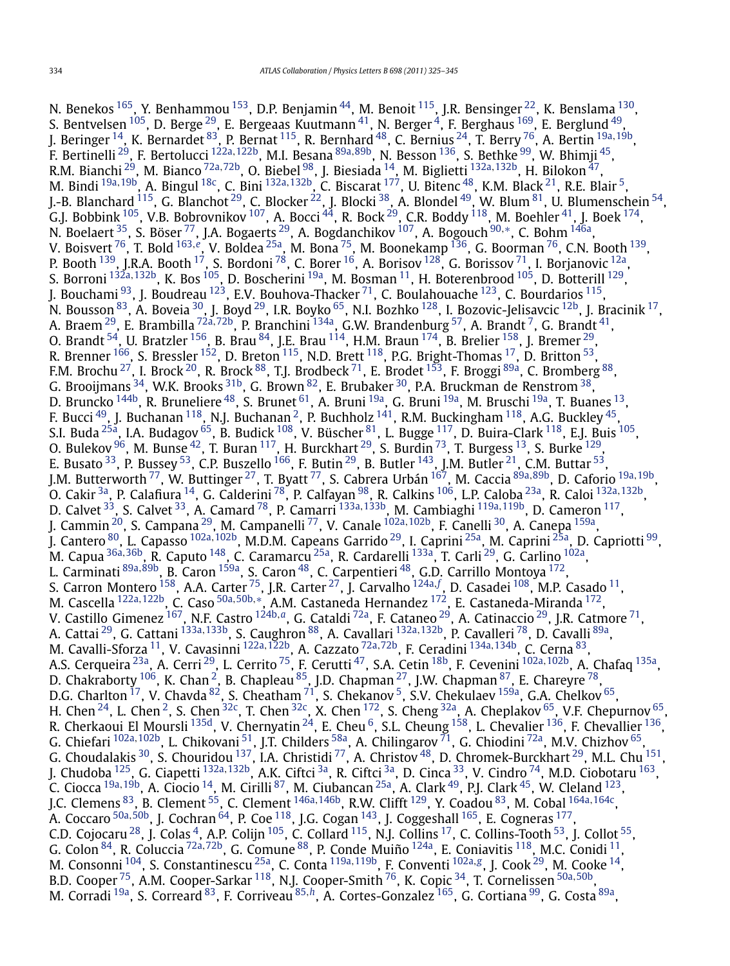N. Benekos <sup>165</sup>, Y. Benhammou <sup>153</sup>, D.P. Benjamin <sup>44</sup>, M. Benoit <sup>115</sup>, J.R. Bensinger <sup>22</sup>, K. Benslama <sup>130</sup>, S. Bentvelsen  $^{105}$ , D. Berge  $^{29}$ , E. Bergeaas Kuutmann  $^{41}$  $^{41}$  $^{41}$ , N. Berger  $^{4}$ , F. Berghaus  $^{169}$ , E. Berglund  $^{49}$ , J. Beringer [14,](#page-17-0) K. Bernardet [83,](#page-18-0) P. Bernat [115,](#page-19-0) R. Bernhard [48,](#page-18-0) C. Bernius [24,](#page-17-0) T. Berry [76,](#page-18-0) A. Bertin [19a](#page-17-0)*,*[19b,](#page-17-0) F. Bertinelli [29,](#page-17-0) F. Bertolucci [122a](#page-19-0)*,*[122b,](#page-19-0) M.I. Besana [89a](#page-18-0)*,*[89b,](#page-18-0) N. Besson [136,](#page-19-0) S. Bethke [99,](#page-18-0) W. Bhimji [45,](#page-18-0) R.M. Bianchi [29,](#page-17-0) M. Bianco [72a](#page-18-0)*,*[72b,](#page-18-0) O. Biebel [98,](#page-18-0) J. Biesiada [14,](#page-17-0) M. Biglietti [132a](#page-19-0)*,*[132b,](#page-19-0) H. Bilokon [47](#page-18-0), M. Bindi [19a](#page-17-0)*,*[19b,](#page-17-0) A. Bingul [18c,](#page-17-0) C. Bini [132a](#page-19-0)*,*[132b,](#page-19-0) C. Biscarat [177,](#page-19-0) U. Bitenc [48,](#page-18-0) K.M. Black [21,](#page-17-0) R.E. Blair [5](#page-17-0), J.-B. Blanchard <sup>115</sup>, G. Blanchot <sup>29</sup>, C. Blocker <sup>22</sup>, J. Blocki <sup>38</sup>, A. Blondel <sup>49</sup>, W. Blum <sup>81</sup>, U. Blumenschein <sup>54</sup>, G.J. Bobbink  $^{105}$ , V.B. Bobrovnikov  $^{107}$ , A. Bocci  $^{44}$ , R. Bock  $^{29}$ , C.R. Boddy  $^{118}$ , M. Boehler  $^{41}$ , J. Boek  $^{174}$ , N. Boelaert [35,](#page-18-0) S. Böser [77,](#page-18-0) J.A. Bogaerts [29,](#page-17-0) A. Bogdanchikov [107,](#page-19-0) A. Bogouch [90](#page-18-0)*,*[∗](#page-20-0), C. Bohm [146a,](#page-19-0) V. Boisvert [76,](#page-18-0) T. Bold [163](#page-19-0)*,[e](#page-20-0)*, V. Boldea [25a,](#page-17-0) M. Bona [75,](#page-18-0) M. Boonekamp [136,](#page-19-0) G. Boorman [76,](#page-18-0) C.N. Booth [139,](#page-19-0) P. Booth <sup>139</sup>, J.R.A. Booth <sup>17</sup>, S. Bordoni <sup>78</sup>, C. Borer <sup>16</sup>, A. Borisov <sup>128</sup>, G. Borissov <sup>71</sup>, I. Borjanovic <sup>12a</sup>, S. Borroni [132a](#page-19-0)*,*[132b,](#page-19-0) K. Bos [105,](#page-18-0) D. Boscherini [19a,](#page-17-0) M. Bosman [11,](#page-17-0) H. Boterenbrood [105,](#page-18-0) D. Botterill [129,](#page-19-0) J. Bouchami <sup>93</sup>, J. Boudreau <sup>123</sup>, E.V. Bouhova-Thacker <sup>[71](#page-18-0)</sup>, C. Boulahouache <sup>123</sup>, C. Bourdarios <sup>115</sup>, N. Bousson  $^{83}$  $^{83}$  $^{83}$ , A. Boveia  $^{30}$ , J. Boyd  $^{29}$ , I.R. Boyko  $^{65}$ , N.I. Bozhko  $^{128}$ , I. Bozovic-Jelisavcic  $^{12\text{b}}$ , J. Bracinik  $^{17}$ , A. Braem [29,](#page-17-0) E. Brambilla [72a](#page-18-0)*,*[72b,](#page-18-0) P. Branchini [134a,](#page-19-0) G.W. Brandenburg [57](#page-18-0), A. Brandt [7,](#page-17-0) G. Brandt [41](#page-18-0), O. Brandt  $^{54}$  $^{54}$  $^{54}$ , U. Bratzler  $^{156}$ , B. Brau  $^{84}$ , J.E. Brau  $^{114}$ , H.M. Braun  $^{174}$ , B. Brelier  $^{158}$  $^{158}$  $^{158}$ , J. Bremer  $^{29}$ , R. Brenner <sup>166</sup>, S. Bressler <sup>152</sup>, D. Breton <sup>115</sup>, N.D. Brett <sup>118</sup>, P.G. Bright-Thomas <sup>17</sup>, D. Britton <sup>53</sup>, F.M. Brochu<sup>27</sup>, I. Brock <sup>[20](#page-17-0)</sup>, R. Brock <sup>88</sup>, T.J. Brodbeck <sup>[71](#page-18-0)</sup>, E. Brodet <sup>153</sup>, F. Broggi <sup>89a</sup>, C. Bromberg <sup>88</sup>, G. Brooijmans  $^{34}$ , W.K. Brooks  $^{31\mathrm{b}}$ , G. Brown  $^{82}$ , E. Brubaker  $^{30}$ , P.A. Bruckman de Renstrom  $^{38}$ , D. Bruncko <sup>144b</sup>, R. Bruneliere <sup>48</sup>, S. Brunet <sup>[61](#page-18-0)</sup>, A. Bruni <sup>[19a](#page-17-0)</sup>, G. Bruni <sup>19a</sup>, M. Bruschi <sup>19a</sup>, T. Buanes <sup>13</sup>, F. Bucci <sup>49</sup>, J. Buchanan <sup>118</sup>, N.J. Buchanan <sup>2</sup>, P. Buchholz <sup>141</sup>, R.M. Buckingham <sup>118</sup>, A.G. Buckley <sup>45</sup>, S.I. Buda [25a,](#page-17-0) I.A. Budagov [65,](#page-18-0) B. Budick [108,](#page-19-0) V. Büscher [81,](#page-18-0) L. Bugge [117](#page-19-0), D. Buira-Clark [118,](#page-19-0) E.J. Buis [105,](#page-18-0) O. Bulekov  $96$ , M. Bunse  $42$ , T. Buran  $117$ , H. Burckhart  $29$ , S. Burdin  $73$ , T. Burgess  $13$ , S. Burke  $129$ , E. Busato  $^{33}$ , P. Bussey  $^{53}$ , C.P. Buszello  $^{166}$ , F. Butin  $^{29}$ , B. Butler  $^{143}$ , J.M. Butler  $^{21}$ , C.M. Buttar  $^{53}$ , J.M. Butterworth [77,](#page-18-0) W. Buttinger [27,](#page-17-0) T. Byatt [77,](#page-18-0) S. Cabrera Urbán [167,](#page-19-0) M. Caccia [89a](#page-18-0)*,*[89b,](#page-18-0) D. Caforio [19a](#page-17-0)*,*[19b,](#page-17-0) O. Cakir [3a](#page-17-0), P. Calafiura [14,](#page-17-0) G. Calderini [78,](#page-18-0) P. Calfayan [98,](#page-18-0) R. Calkins [106,](#page-19-0) L.P. Caloba [23a,](#page-17-0) R. Caloi [132a](#page-19-0)*,*[132b,](#page-19-0) D. Calvet [33,](#page-18-0) S. Calvet [33,](#page-18-0) A. Camard [78](#page-18-0), P. Camarri [133a](#page-19-0)*,*[133b,](#page-19-0) M. Cambiaghi [119a](#page-19-0)*,*[119b,](#page-19-0) D. Cameron [117,](#page-19-0) J. Cammin [20](#page-17-0), S. Campana [29,](#page-17-0) M. Campanelli [77,](#page-18-0) V. Canale [102a](#page-18-0)*,*[102b,](#page-18-0) F. Canelli [30,](#page-17-0) A. Canepa [159a,](#page-19-0) J. Cantero [80,](#page-18-0) L. Capasso [102a](#page-18-0)*,*[102b,](#page-18-0) M.D.M. Capeans Garrido [29,](#page-17-0) I. Caprini [25a,](#page-17-0) M. Caprini [25a,](#page-17-0) D. Capriotti [99,](#page-18-0) M. Capua [36a](#page-18-0)*,*[36b,](#page-18-0) R. Caputo [148,](#page-19-0) C. Caramarcu [25a,](#page-17-0) R. Cardarelli [133a,](#page-19-0) T. Carli [29,](#page-17-0) G. Carlino [102a,](#page-18-0) L. Carminati [89a](#page-18-0)*,*[89b,](#page-18-0) B. Caron [159a,](#page-19-0) S. Caron [48,](#page-18-0) C. Carpentieri [48,](#page-18-0) G.D. Carrillo Montoya [172](#page-19-0), S. Carron Montero [158,](#page-19-0) A.A. Carter [75,](#page-18-0) J.R. Carter [27](#page-17-0), J. Carvalho [124a](#page-19-0)*,[f](#page-20-0)* , D. Casadei [108,](#page-19-0) M.P. Casado [11,](#page-17-0) M. Cascella [122a](#page-19-0)*,*[122b,](#page-19-0) C. Caso [50a](#page-18-0)*,*[50b](#page-18-0)*,*[∗](#page-20-0), A.M. Castaneda Hernandez [172,](#page-19-0) E. Castaneda-Miranda [172,](#page-19-0) V. Castillo Gimenez [167,](#page-19-0) N.F. Castro [124b](#page-19-0)*,[a](#page-20-0)*, G. Cataldi [72a,](#page-18-0) F. Cataneo [29,](#page-17-0) A. Catinaccio [29,](#page-17-0) J.R. Catmore [71,](#page-18-0) A. Cattai [29,](#page-17-0) G. Cattani [133a](#page-19-0)*,*[133b,](#page-19-0) S. Caughron [88,](#page-18-0) A. Cavallari [132a](#page-19-0)*,*[132b,](#page-19-0) P. Cavalleri [78,](#page-18-0) D. Cavalli [89a,](#page-18-0) M. Cavalli-Sforza [11,](#page-17-0) V. Cavasinni [122a](#page-19-0)*,*[122b,](#page-19-0) A. Cazzato [72a](#page-18-0)*,*[72b,](#page-18-0) F. Ceradini [134a](#page-19-0)*,*[134b,](#page-19-0) C. Cerna [83,](#page-18-0) A.S. Cerqueira [23a,](#page-17-0) A. Cerri [29,](#page-17-0) L. Cerrito [75,](#page-18-0) F. Cerutti [47,](#page-18-0) S.A. Cetin [18b,](#page-17-0) F. Cevenini [102a](#page-18-0)*,*[102b,](#page-18-0) A. Chafaq [135a](#page-19-0), D. Chakraborty  $^{106}$ , K. Chan  $^2$ , B. Chapleau  $^{85}$ , J.D. Chapman  $^{27}$ , J.W. Chapman  $^{87}$ , E. Chareyre  $^{78}$ , D.G. Charlton  $^{17}$  $^{17}$  $^{17}$ , V. Chavda  $^{82}$ , S. Cheatham  $^{71}$ , S. Chekanov  $^5$  $^5$ , S.V. Chekulaev  $^{159a}$ , G.A. Chelkov  $^{65}$ , H. Chen  $^{24}$ , L. Chen  $^2$ , S. Chen  $^{32c}$ , T. Chen  $^{32c}$ , X. Chen  $^{172}$ , S. Cheng  $^{32a}$  $^{32a}$  $^{32a}$ , A. Cheplakov  $^{65}$  $^{65}$  $^{65}$ , V.F. Chepurnov  $^{65}$ , R. Cherkaoui El Moursli $^{135\text{d}}$ , V. Chernyatin $^{24}$  $^{24}$  $^{24}$ , E. Cheu $^6$ , S.L. Cheung $^{158}$ , L. Chevalier $^{136}$ , F. Chevallier $^{136}$ , G. Chiefari [102a](#page-18-0)*,*[102b,](#page-18-0) L. Chikovani [51](#page-18-0), J.T. Childers [58a,](#page-18-0) A. Chilingarov [71,](#page-18-0) G. Chiodini [72a,](#page-18-0) M.V. Chizhov [65,](#page-18-0) G. Choudalakis  $^{30}$ , S. Chouridou  $^{137}$ , I.A. Christidi  $^{77}$ , A. Christov  $^{48}$ , D. Chromek-Burckhart  $^{29}$ , M.L. Chu  $^{151}$ , J. Chudoba [125,](#page-19-0) G. Ciapetti [132a](#page-19-0)*,*[132b,](#page-19-0) A.K. Ciftci [3a,](#page-17-0) R. Ciftci [3a,](#page-17-0) D. Cinca [33,](#page-18-0) V. Cindro [74,](#page-18-0) M.D. Ciobotaru [163,](#page-19-0) C. Ciocca [19a](#page-17-0)*,*[19b,](#page-17-0) A. Ciocio [14,](#page-17-0) M. Cirilli [87,](#page-18-0) M. Ciubancan [25a,](#page-17-0) A. Clark [49,](#page-18-0) P.J. Clark [45,](#page-18-0) W. Cleland [123](#page-19-0), J.C. Clemens [83,](#page-18-0) B. Clement [55,](#page-18-0) C. Clement [146a](#page-19-0)*,*[146b,](#page-19-0) R.W. Clifft [129](#page-19-0), Y. Coadou [83,](#page-18-0) M. Cobal [164a](#page-19-0)*,*[164c,](#page-19-0) A. Coccaro [50a](#page-18-0)*,*[50b](#page-18-0), J. Cochran [64,](#page-18-0) P. Coe [118,](#page-19-0) J.G. Cogan [143,](#page-19-0) J. Coggeshall [165,](#page-19-0) E. Cogneras [177,](#page-19-0) C.D. Cojocaru <sup>28</sup>, J. Colas <sup>4</sup>, A.P. Colijn <sup>105</sup>, C. Collard <sup>115</sup>, N.J. Collins <sup>17</sup>, C. Collins-Tooth <sup>53</sup>, J. Collot <sup>55</sup>, G. Colon [84,](#page-18-0) R. Coluccia [72a](#page-18-0)*,*[72b,](#page-18-0) G. Comune [88,](#page-18-0) P. Conde Muiño [124a,](#page-19-0) E. Coniavitis [118,](#page-19-0) M.C. Conidi [11,](#page-17-0) M. Consonni [104,](#page-18-0) S. Constantinescu [25a,](#page-17-0) C. Conta [119a](#page-19-0)*,*[119b,](#page-19-0) F. Conventi [102a](#page-18-0)*,[g](#page-20-0)*, J. Cook [29,](#page-17-0) M. Cooke [14,](#page-17-0) B.D. Cooper [75,](#page-18-0) A.M. Cooper-Sarkar [118,](#page-19-0) N.J. Cooper-Smith [76,](#page-18-0) K. Copic [34,](#page-18-0) T. Cornelissen [50a](#page-18-0)*,*[50b,](#page-18-0) M. Corradi [19a,](#page-17-0) S. Correard [83](#page-18-0), F. Corriveau [85](#page-18-0)*,[h](#page-20-0)*, A. Cortes-Gonzalez [165,](#page-19-0) G. Cortiana [99,](#page-18-0) G. Costa [89a,](#page-18-0)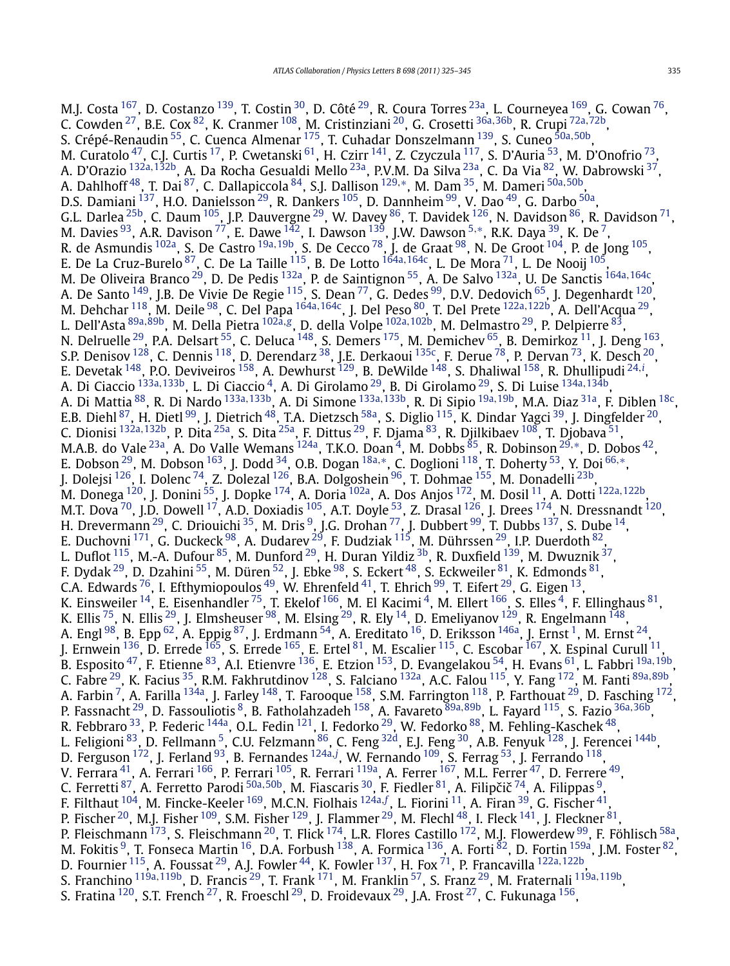M.J. Costa <sup>167</sup>, D. Costanzo <sup>139</sup>, T. Costin <sup>30</sup>, D. Côté <sup>29</sup>, R. Coura Torres <sup>23a</sup>, L. Courneyea <sup>169</sup>, G. Cowan <sup>76</sup>, C. Cowden [27,](#page-17-0) B.E. Cox [82,](#page-18-0) K. Cranmer [108,](#page-19-0) M. Cristinziani [20,](#page-17-0) G. Crosetti [36a](#page-18-0)*,*[36b,](#page-18-0) R. Crupi [72a](#page-18-0)*,*[72b,](#page-18-0) S. Crépé-Renaudin [55,](#page-18-0) C. Cuenca Almenar [175,](#page-19-0) T. Cuhadar Donszelmann [139,](#page-19-0) S. Cuneo [50a](#page-18-0)*,*[50b,](#page-18-0) M. Curatolo  $^{47}$ , C.J. Curtis  $^{17}$ , P. Cwetanski  $^{61}$ , H. Czirr  $^{141}$  $^{141}$  $^{141}$ , Z. Czyczula  $^{117}$ , S. D'Auria  $^{53}$ , M. D'Onofrio  $^{73},$ A. D'Orazio [132a](#page-19-0)*,*[132b,](#page-19-0) A. Da Rocha Gesualdi Mello [23a](#page-17-0), P.V.M. Da Silva [23a,](#page-17-0) C. Da Via [82,](#page-18-0) W. Dabrowski [37,](#page-18-0) A. Dahlhoff [48,](#page-18-0) T. Dai [87,](#page-18-0) C. Dallapiccola [84,](#page-18-0) S.J. Dallison [129](#page-19-0)*,*[∗](#page-20-0), M. Dam [35,](#page-18-0) M. Dameri [50a](#page-18-0)*,*[50b,](#page-18-0) D.S. Damiani  $^{137}$ , H.O. Danielsson  $^{29}$ , R. Dankers  $^{105}$ , D. Dannheim  $^{99}$ , V. Dao  $^{49}$ , G. Darbo  $^{50a}$ , G.L. Darlea <sup>25b</sup>, C. Daum <sup>105</sup>, J.P. Dauvergne <sup>29</sup>, W. Davey <sup>86</sup>, T. Davidek <sup>126</sup>, N. Davidson <sup>86</sup>, R. Davidson <sup>71</sup>, M. Davies [93,](#page-18-0) A.R. Davison [77,](#page-18-0) E. Dawe [142,](#page-19-0) I. Dawson [139,](#page-19-0) J.W. Dawson [5](#page-17-0)*,*[∗](#page-20-0), R.K. Daya [39,](#page-18-0) K. De [7,](#page-17-0) R. de Asmundis [102a,](#page-18-0) S. De Castro [19a](#page-17-0)*,*[19b,](#page-17-0) S. De Cecco [78,](#page-18-0) J. de Graat [98,](#page-18-0) N. De Groot [104,](#page-18-0) P. de Jong [105,](#page-18-0) E. De La Cruz-Burelo [87,](#page-18-0) C. De La Taille [115](#page-19-0), B. De Lotto [164a](#page-19-0)*,*[164c,](#page-19-0) L. De Mora [71,](#page-18-0) L. De Nooij [105,](#page-18-0) M. De Oliveira Branco [29,](#page-17-0) D. De Pedis [132a,](#page-19-0) P. de Saintignon [55,](#page-18-0) A. De Salvo [132a,](#page-19-0) U. De Sanctis [164a](#page-19-0)*,*[164c,](#page-19-0) A. De Santo  $^{149}$ , J.B. De Vivie De Regie  $^{115}$ , S. Dean  $^{77}$ , G. Dedes  $^{99}$ , D.V. Dedovich  $^{65}$ , J. Degenhardt  $^{120}$  $^{120}$  $^{120}$ , M. Dehchar [118,](#page-19-0) M. Deile [98](#page-18-0), C. Del Papa [164a](#page-19-0)*,*[164c,](#page-19-0) J. Del Peso [80,](#page-18-0) T. Del Prete [122a](#page-19-0)*,*[122b,](#page-19-0) A. Dell'Acqua [29,](#page-17-0) L. Dell'Asta [89a](#page-18-0)*,*[89b,](#page-18-0) M. Della Pietra [102a](#page-18-0)*,[g](#page-20-0)*, D. della Volpe [102a](#page-18-0)*,*[102b,](#page-18-0) M. Delmastro [29,](#page-17-0) P. Delpierre [83](#page-18-0), N. Delruelle <sup>29</sup>, P.A. Delsart <sup>55</sup>, C. Deluca <sup>[148](#page-19-0)</sup>, S. Demers <sup>175</sup>, M. Demichev <sup>[65](#page-18-0)</sup>, B. Demirkoz <sup>11</sup>, J. Deng <sup>163</sup>, S.P. Denisov <sup>128</sup>, C. Dennis <sup>118</sup>, D. Derendarz <sup>[38](#page-18-0)</sup>, J.E. Derkaoui <sup>135c</sup>, F. Derue <sup>78</sup>, P. Dervan <sup>73</sup>, K. Desch <sup>20</sup>, E. Devetak [148,](#page-19-0) P.O. Deviveiros [158,](#page-19-0) A. Dewhurst [129,](#page-19-0) B. DeWilde [148](#page-19-0), S. Dhaliwal [158,](#page-19-0) R. Dhullipudi [24](#page-17-0)*,[i](#page-20-0)* , A. Di Ciaccio [133a](#page-19-0)*,*[133b,](#page-19-0) L. Di Ciaccio [4,](#page-17-0) A. Di Girolamo [29,](#page-17-0) B. Di Girolamo [29,](#page-17-0) S. Di Luise [134a](#page-19-0)*,*[134b,](#page-19-0) A. Di Mattia [88,](#page-18-0) R. Di Nardo [133a](#page-19-0)*,*[133b,](#page-19-0) A. Di Simone [133a](#page-19-0)*,*[133b,](#page-19-0) R. Di Sipio [19a](#page-17-0)*,*[19b,](#page-17-0) M.A. Diaz [31a,](#page-17-0) F. Diblen [18c,](#page-17-0) E.B. Diehl $^{87}$ , H. Dietl $^{99}$ , J. Dietrich $^{48}$ , T.A. Dietzsch $^{58}$ , S. Diglio $^{115}$ , K. Dindar Yagci $^{39}$ , J. Dingfelder $^{20}$  $^{20}$  $^{20}$ , C. Dionisi [132a](#page-19-0)*,*[132b,](#page-19-0) P. Dita [25a](#page-17-0), S. Dita [25a,](#page-17-0) F. Dittus [29](#page-17-0), F. Djama [83,](#page-18-0) R. Djilkibaev [108,](#page-19-0) T. Djobava [51,](#page-18-0) M.A.B. do Vale [23a,](#page-17-0) A. Do Valle Wemans [124a,](#page-19-0) T.K.O. Doan [4,](#page-17-0) M. Dobbs [85,](#page-18-0) R. Dobinson [29](#page-17-0)*,*[∗](#page-20-0), D. Dobos [42,](#page-18-0) E. Dobson [29,](#page-17-0) M. Dobson [163](#page-19-0), J. Dodd [34,](#page-18-0) O.B. Dogan [18a](#page-17-0)*,*[∗](#page-20-0), C. Doglioni [118,](#page-19-0) T. Doherty [53,](#page-18-0) Y. Doi [66](#page-18-0)*,*[∗](#page-20-0), J. Dolejsi <sup>126</sup>, I. Dolenc <sup>74</sup>, Z. Dolezal <sup>126</sup>, B.A. Dolgoshein <sup>96</sup>, T. Dohmae <sup>155</sup>, M. Donadelli <sup>[23b](#page-17-0)</sup>, M. Donega [120,](#page-19-0) J. Donini [55](#page-18-0), J. Dopke [174,](#page-19-0) A. Doria [102a,](#page-18-0) A. Dos Anjos [172](#page-19-0), M. Dosil [11,](#page-17-0) A. Dotti [122a](#page-19-0)*,*[122b,](#page-19-0) M.T. Dova  $^{70}$ , J.D. Dowell  $^{17}$ , A.D. Doxiadis  $^{105}$ , A.T. Doyle  $^{53}$ , Z. Drasal  $^{126}$  $^{126}$  $^{126}$ , J. Drees  $^{174}$ , N. Dressnandt  $^{120}$ , H. Drevermann  $^{29}$ , C. Driouichi  $^{35}$  $^{35}$  $^{35}$ , M. Dris  $^9$ , J.G. Drohan  $^{77}$  $^{77}$  $^{77}$ , J. Dubbert  $^{99}$ , T. Dubbs  $^{137}$ , S. Dube  $^{14}$ , E. Duchovni  $^{171}$ , G. Duckeck  $^{98}$ , A. Dudarev  $^{29}$  $^{29}$  $^{29}$ , F. Dudziak  $^{115}$ , M. Dührssen  $^{29}$ , I.P. Duerdoth  $^{82}$ , L. Duflot <sup>115</sup>, M.-A. Dufour <sup>85</sup>, M. Dunford <sup>29</sup>, H. Duran Yildiz <sup>3b</sup>, R. Duxfield <sup>[139](#page-19-0)</sup>, M. Dwuznik <sup>37</sup>, F. Dydak <sup>29</sup>, D. Dzahini <sup>55</sup>, M. Düren <sup>52</sup>, J. Ebke <sup>98</sup>, S. Eckert <sup>48</sup>, S. Eckweiler <sup>81</sup>, K. Edmonds <sup>81</sup>, C.A. Edwards  $^{76}$ , I. Efthymiopoulos  $^{49}$ , W. Ehrenfeld  $^{41}$ , T. Ehrich  $^{99}$ , T. Eifert  $^{29}$ , G. Eigen  $^{13}$ , K. Einsweiler  $^{14}$ , E. Eisenhandler  $^{75}$  $^{75}$  $^{75}$ , T. Ekelof  $^{166}$ , M. El Kacimi  $^4$ , M. Ellert  $^{166}$ , S. Elles  $^4$ , F. Ellinghaus  $^{81}$ , K. Ellis <sup>75</sup>, N. Ellis <sup>29</sup>, J. Elmsheuser <sup>[98](#page-18-0)</sup>, M. Elsing <sup>29</sup>, R. Ely <sup>[14](#page-17-0)</sup>, D. Emeliyanov <sup>129</sup>, R. Engelmann <sup>148</sup>, A. Engl $^{98}$  $^{98}$  $^{98}$ , B. Epp $^{62}$ , A. Eppig $^{87}$ , J. Erdmann $^{54}$ , A. Ereditato  $^{16}$ , D. Eriksson $^{146}$ , J. Ernst  $^1$ , M. Ernst  $^{24}$ , J. Ernwein  $^{136}$ , D. Errede  $^{165}$  $^{165}$  $^{165}$ , S. Errede  $^{165}$ , E. Ertel  $^{81}$ , M. Escalier  $^{115}$ , C. Escobar  $^{167}$ , X. Espinal Curull  $^{11}$ , B. Esposito [47,](#page-18-0) F. Etienne [83,](#page-18-0) A.I. Etienvre [136,](#page-19-0) E. Etzion [153,](#page-19-0) D. Evangelakou [54,](#page-18-0) H. Evans [61](#page-18-0), L. Fabbri [19a](#page-17-0)*,*[19b,](#page-17-0) C. Fabre [29,](#page-17-0) K. Facius [35,](#page-18-0) R.M. Fakhrutdinov [128,](#page-19-0) S. Falciano [132a,](#page-19-0) A.C. Falou [115,](#page-19-0) Y. Fang [172,](#page-19-0) M. Fanti [89a](#page-18-0)*,*[89b](#page-18-0), A. Farbin  $^7$ , A. Farilla  $^{134}$ , J. Farley  $^{148}$ , T. Farooque  $^{158}$ , S.M. Farrington  $^{118}$ , P. Farthouat  $^{29}$ , D. Fasching  $^{172}$ , P. Fassnacht [29,](#page-17-0) D. Fassouliotis [8,](#page-17-0) B. Fatholahzadeh [158,](#page-19-0) A. Favareto [89a](#page-18-0)*,*[89b,](#page-18-0) L. Fayard [115,](#page-19-0) S. Fazio [36a](#page-18-0)*,*[36b,](#page-18-0) R. Febbraro  $^{33}$ , P. Federic  $^{144}$ , O.L. Fedin  $^{121}$ , I. Fedorko  $^{29}$ , W. Fedorko  $^{88}$ , M. Fehling-Kaschek  $^{48},$ L. Feligioni <sup>83</sup>, D. Fellmann <sup>5</sup>, C.U. Felzmann <sup>86</sup>, C. Feng <sup>[32d](#page-18-0)</sup>, E.J. Feng <sup>[30](#page-17-0)</sup>, A.B. Fenyuk <sup>128</sup>, J. Ferencei <sup>144b</sup>, D. Ferguson [172](#page-19-0), J. Ferland [93](#page-18-0), B. Fernandes [124a](#page-19-0)*,[j](#page-20-0)* , W. Fernando [109,](#page-19-0) S. Ferrag [53,](#page-18-0) J. Ferrando [118,](#page-19-0) V. Ferrara $^{41}$  $^{41}$  $^{41}$ , A. Ferrari  $^{166}$ , P. Ferrari  $^{105}$ , R. Ferrari  $^{119}$ , A. Ferrer  $^{167}$ , M.L. Ferrer  $^{47}$ , D. Ferrere  $^{49}$ , C. Ferretti <sup>87</sup>, A. Ferretto Parodi <sup>[50a](#page-18-0), 50b</sup>, M. Fiascaris <sup>30</sup>, F. Fiedler <sup>81</sup>, A. Filipčič <sup>74</sup>, A. Filippas <sup>9</sup>, F. Filthaut [104,](#page-18-0) M. Fincke-Keeler [169,](#page-19-0) M.C.N. Fiolhais [124a](#page-19-0)*,[f](#page-20-0)* , L. Fiorini [11,](#page-17-0) A. Firan [39,](#page-18-0) G. Fischer [41,](#page-18-0) P. Fischer <sup>20</sup>, M.J. Fisher <sup>[109](#page-19-0)</sup>, S.M. Fisher <sup>129</sup>, J. Flammer <sup>29</sup>, M. Flechl <sup>48</sup>, I. Fleck <sup>141</sup>, J. Fleckner <sup>81</sup>, P. Fleischmann  $^{173}$ , S. Fleischmann  $^{20}$ , T. Flick  $^{174}$ , L.R. Flores Castillo  $^{172}$ , M.J. Flowerdew  $^{99}$ , F. Föhlisch  $^{58a}$ , M. Fokitis  $^9$ , T. Fonseca Martin  $^{16}$  $^{16}$  $^{16}$ , D.A. Forbush  $^{138}$ , A. Formica  $^{136}$ , A. Forti  $^{82}$ , D. Fortin  $^{159a}$ , J.M. Foster  $^{82}$ , D. Fournier [115,](#page-19-0) A. Foussat [29,](#page-17-0) A.J. Fowler [44,](#page-18-0) K. Fowler [137,](#page-19-0) H. Fox [71,](#page-18-0) P. Francavilla [122a](#page-19-0)*,*[122b,](#page-19-0) S. Franchino [119a](#page-19-0)*,*[119b,](#page-19-0) D. Francis [29,](#page-17-0) T. Frank [171](#page-19-0), M. Franklin [57](#page-18-0), S. Franz [29,](#page-17-0) M. Fraternali [119a](#page-19-0)*,*[119b,](#page-19-0) S. Fratina <sup>120</sup>, S.T. French <sup>27</sup>, R. Froeschl <sup>[29](#page-17-0)</sup>, D. Froidevaux <sup>29</sup>, J.A. Frost <sup>27</sup>, C. Fukunaga <sup>156</sup>,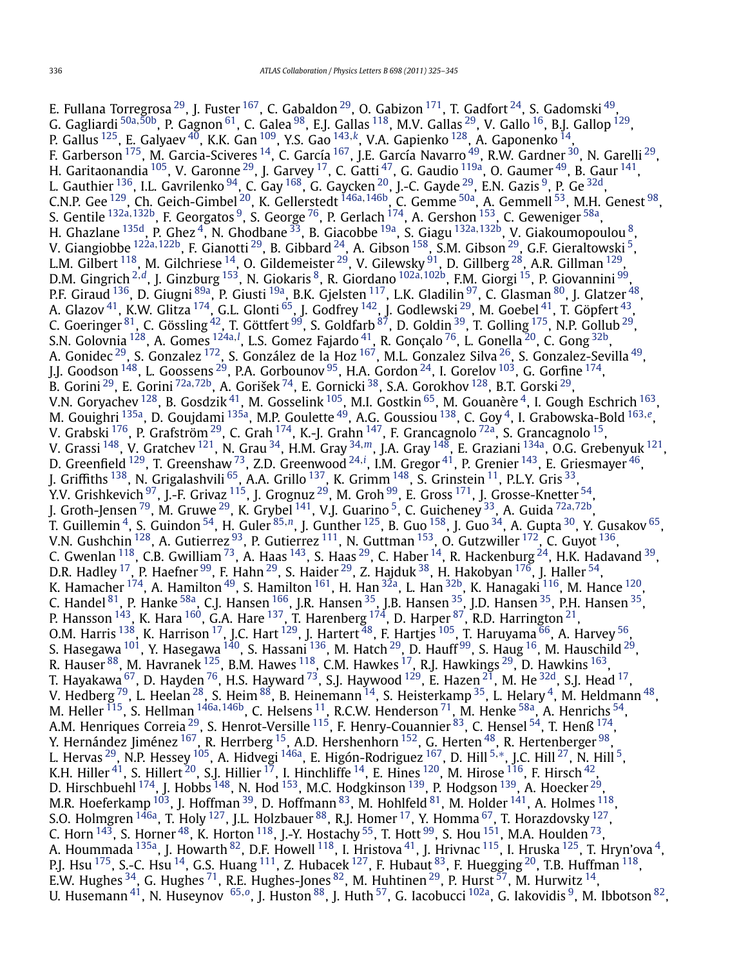E. Fullana Torregrosa $^{29}$ , J. Fuster  $^{167}$ , C. Gabaldon $^{29}$ , O. Gabizon  $^{171}$ , T. Gadfort  $^{24}$ , S. Gadomski  $^{49}$  $^{49}$  $^{49}$ , G. Gagliardi [50a](#page-18-0)*,*[50b,](#page-18-0) P. Gagnon [61,](#page-18-0) C. Galea [98,](#page-18-0) E.J. Gallas [118](#page-19-0), M.V. Gallas [29,](#page-17-0) V. Gallo [16,](#page-17-0) B.J. Gallop [129,](#page-19-0) P. Gallus [125,](#page-19-0) E. Galyaev [40,](#page-18-0) K.K. Gan [109,](#page-19-0) Y.S. Gao [143](#page-19-0)*,[k](#page-20-0)*, V.A. Gapienko [128,](#page-19-0) A. Gaponenko [14,](#page-17-0) F. Garberson <sup>175</sup>, M. Garcia-Sciveres <sup>14</sup>, C. García <sup>167</sup>, J.E. García Navarro <sup>49</sup>, R.W. Gardner <sup>30</sup>, N. Garelli <sup>29</sup>, H. Garitaonandia  $^{105}$ , V. Garonne  $^{29}$  $^{29}$  $^{29}$ , J. Garvey  $^{17}$ , C. Gatti  $^{47}$ , G. Gaudio  $^{119$ a, O. Gaumer  $^{49}$ , B. Gaur  $^{141}$ , L. Gauthier  $^{136}$ , I.L. Gavrilenko  $^{94}$ , C. Gay  $^{168}$ , G. Gaycken  $^{20}$ , J.-C. Gayde  $^{29}$ , E.N. Gazis  $^9$ , P. Ge  $^{32{\rm d}}$ , C.N.P. Gee [129](#page-19-0), Ch. Geich-Gimbel [20,](#page-17-0) K. Gellerstedt [146a](#page-19-0)*,*[146b,](#page-19-0) C. Gemme [50a,](#page-18-0) A. Gemmell [53,](#page-18-0) M.H. Genest [98,](#page-18-0) S. Gentile [132a](#page-19-0)*,*[132b,](#page-19-0) F. Georgatos [9,](#page-17-0) S. George [76,](#page-18-0) P. Gerlach [174,](#page-19-0) A. Gershon [153,](#page-19-0) C. Geweniger [58a,](#page-18-0) H. Ghazlane [135d,](#page-19-0) P. Ghez [4,](#page-17-0) N. Ghodbane [33,](#page-18-0) B. Giacobbe [19a,](#page-17-0) S. Giagu [132a](#page-19-0)*,*[132b,](#page-19-0) V. Giakoumopoulou [8,](#page-17-0) V. Giangiobbe [122a](#page-19-0)*,*[122b,](#page-19-0) F. Gianotti [29,](#page-17-0) B. Gibbard [24,](#page-17-0) A. Gibson [158,](#page-19-0) S.M. Gibson [29,](#page-17-0) G.F. Gieraltowski [5](#page-17-0), L.M. Gilbert  $^{118}$ , M. Gilchriese  $^{14}$ , O. Gildemeister  $^{29}$ , V. Gilewsky  $^{91}$ , D. Gillberg  $^{28}$ , A.R. Gillman  $^{129}$ , D.M. Gingrich [2](#page-17-0)*,[d](#page-20-0)*, J. Ginzburg [153,](#page-19-0) N. Giokaris [8,](#page-17-0) R. Giordano [102a](#page-18-0)*,*[102b,](#page-18-0) F.M. Giorgi [15](#page-17-0), P. Giovannini [99,](#page-18-0) P.F. Giraud <sup>136</sup>, D. Giugni <sup>89a</sup>, P. Giusti <sup>19a</sup>, B.K. Gjelsten <sup>117</sup>, L.K. Gladilin <sup>97</sup>, C. Glasman <sup>80</sup>, J. Glatzer <sup>48</sup>, A. Glazov $^{41}$ , K.W. Glitza  $^{174}$ , G.L. Glonti  $^{65}$ , J. Godfrey  $^{142}$ , J. Godlewski  $^{29}$ , M. Goebel  $^{41}$ , T. Göpfert  $^{43}$  $^{43}$  $^{43}$ , C. Goeringer  $^{81}$ , C. Gössling  $^{42}$ , T. Göttfert  $^{99}$ , S. Goldfarb  $^{87}$ , D. Goldin  $^{39}$ , T. Golling  $^{175}$ , N.P. Gollub  $^{29}$ , S.N. Golovnia <sup>128</sup>, A. Gomes <sup>[124a](#page-19-0), !</sup>, L.S. Gomez Fajardo <sup>41</sup>, R. Gonça[l](#page-20-0)o <sup>76</sup>, L. Gonella <sup>20</sup>, C. Gong <sup>32b</sup>, A. Gonidec<sup>29</sup>, S. Gonzalez <sup>172</sup>, S. González de la Hoz <sup>167</sup>, M.L. Gonzalez Silva <sup>26</sup>, S. Gonzalez-Sevilla <sup>49</sup>, J.J. Goodson  $^{148}$ , L. Goossens  $^{29}$ , P.A. Gorbounov  $^{95}$ , H.A. Gordon  $^{24}$ , I. Gorelov  $^{103}$ , G. Gorfine  $^{174}$ , B. Gorini [29,](#page-17-0) E. Gorini [72a](#page-18-0)*,*[72b,](#page-18-0) A. Gorišek [74](#page-18-0), E. Gornicki [38,](#page-18-0) S.A. Gorokhov [128,](#page-19-0) B.T. Gorski [29,](#page-17-0) V.N. Goryachev [128,](#page-19-0) B. Gosdzik [41,](#page-18-0) M. Gosselink [105,](#page-18-0) M.I. Gostkin [65,](#page-18-0) M. Gouanère [4,](#page-17-0) I. Gough Eschrich [163,](#page-19-0) M. Gouighri [135a](#page-19-0), D. Goujdami [135a,](#page-19-0) M.P. Goulette [49,](#page-18-0) A.G. Goussiou [138,](#page-19-0) C. Goy [4,](#page-17-0) I. Grabowska-Bold [163](#page-19-0)*,[e](#page-20-0)*, V. Grabski  $^{176}$ , P. Grafström  $^{29}$ , C. Grah  $^{174}$ , K.-J. Grahn  $^{147}$ , F. Grancagnolo  $^{72}$ a, S. Grancagnolo  $^{15}$ , V. Grassi [148,](#page-19-0) V. Gratchev [121,](#page-19-0) N. Grau [34,](#page-18-0) H.M. Gray [34](#page-18-0)*,[m](#page-20-0)*, J.A. Gray [148](#page-19-0), E. Graziani [134a,](#page-19-0) O.G. Grebenyuk [121,](#page-19-0) D. Greenfield <sup>129</sup>, T. Greenshaw <sup>73</sup>, Z.D. Greenwood <sup>[24](#page-17-0),*[i](#page-20-0)*</sup>, I.M. Gregor <sup>41</sup>, P. Grenier <sup>[143](#page-19-0)</sup>, E. Griesmayer <sup>[46](#page-18-0)</sup>, J. Griffiths <sup>138</sup>, N. Grigalashvili <sup>65</sup>, A.A. Grillo <sup>137</sup>, K. Grimm <sup>148</sup>, S. Grinstein <sup>[11](#page-17-0)</sup>, P.L.Y. Gris <sup>[33](#page-18-0)</sup>, Y.V. Grishkevich  $^{97}$ , J.-F. Grivaz  $^{115}$ , J. Grognuz  $^{29}$ , M. Groh  $^{99}$ , E. Gross  $^{171}$ , J. Grosse-Knetter  $^{54}$ , J. Groth-Jensen [79,](#page-18-0) M. Gruwe [29,](#page-17-0) K. Grybel [141,](#page-19-0) V.J. Guarino [5](#page-17-0), C. Guicheney [33,](#page-18-0) A. Guida [72a](#page-18-0)*,*[72b,](#page-18-0) T. Guillemin [4,](#page-17-0) S. Guindon [54,](#page-18-0) H. Guler [85](#page-18-0)*,[n](#page-20-0)*, J. Gunther [125,](#page-19-0) B. Guo [158](#page-19-0), J. Guo [34,](#page-18-0) A. Gupta [30,](#page-17-0) Y. Gusakov [65,](#page-18-0) V.N. Gushchin  $^{128}$ , A. Gutierrez  $^{93}$ , P. Gutierrez  $^{111}$ , N. Guttman  $^{153}$ , O. Gutzwiller  $^{172}$ , C. Guyot  $^{136}$ , C. Gwenlan  $^{118}$  $^{118}$  $^{118}$ , C.B. Gwilliam  $^{73}$ , A. Haas  $^{143}$ , S. Haas  $^{29}$ , C. Haber  $^{14}$ , R. Hackenburg  $^{24}$ , H.K. Hadavand  $^{39}$ , D.R. Hadley  $^{17}$ , P. Haefner  $^{99}$ , F. Hahn  $^{29}$ , S. Haider  $^{29}$ , Z. Hajduk  $^{38}$ , H. Hakobyan  $^{176}$ , J. Haller  $^{54}$ , K. Hamacher  $^{174}$ , A. Hamilton  $^{49}$ , S. Hamilton  $^{161}$ , H. Han  $^{32a}$ , L. Han  $^{32b}$ , K. Hanagaki  $^{116}$ , M. Hance  $^{120}$ , C. Handel <sup>81</sup>, P. Hanke <sup>58a</sup>, C.J. Hansen <sup>[166](#page-19-0)</sup>, J.R. Hansen <sup>[35](#page-18-0)</sup>, J.B. Hansen <sup>35</sup>, J.D. Hansen <sup>35</sup>, P.H. Hansen <sup>35</sup>, P. Hansson  $^{143}$ , K. Hara  $^{160}$ , G.A. Hare  $^{137}$  $^{137}$  $^{137}$ , T. Harenberg  $^{174}$ , D. Harper  $^{87}$ , R.D. Harrington  $^{21}$ , O.M. Harris <sup>138</sup>, K. Harrison <sup>17</sup>, J.C. Hart <sup>129</sup>, J. Hartert <sup>48</sup>, F. Hartjes <sup>105</sup>, T. Haruyama <sup>66</sup>, A. Harvey <sup>56</sup>, S. Hasegawa  $^{101}$ , Y. Hasegawa  $^{140}$  $^{140}$  $^{140}$ , S. Hassani  $^{136}$ , M. Hatch  $^{29}$ , D. Hauff  $^{99}$  $^{99}$  $^{99}$ , S. Haug  $^{16}$ , M. Hauschild  $^{29}$ , R. Hauser  $^{88}$ , M. Havranek  $^{125}$ , B.M. Hawes  $^{118}$ , C.M. Hawkes  $^{17}$ , R.J. Hawkings  $^{29}$ , D. Hawkins  $^{163}$ , T. Hayakawa  $^{67}$ , D. Hayden  $^{76}$ , H.S. Hayward  $^{73}$ , S.J. Haywood  $^{129}$ , E. Hazen  $^{21}$ , M. He  $^{32{\rm d}}$ , S.J. Head  $^{17}$ , V. Hedberg  $^{79}$ , L. Heelan  $^{28}$  $^{28}$  $^{28}$ , S. Heim  $^{88}$ , B. Heinemann  $^{14}$ , S. Heisterkamp  $^{35}$ , L. Helary  $^4$ , M. Heldmann  $^{48}$ , M. Heller [115,](#page-19-0) S. Hellman [146a](#page-19-0)*,*[146b,](#page-19-0) C. Helsens [11,](#page-17-0) R.C.W. Henderson [71](#page-18-0), M. Henke [58a,](#page-18-0) A. Henrichs [54,](#page-18-0) A.M. Henriques Correia $^{29}$ , S. Henrot-Versille  $^{115}$ , F. Henry-Couannier  $^{83}$ , C. Hensel  $^{54}$ , T. Henß  $^{174}$ , Y. Hernández Jiménez <sup>167</sup>, R. Herrberg <sup>[15](#page-17-0)</sup>, A.D. Hershenhorn <sup>152</sup>, G. Herten <sup>48</sup>, R. Hertenberger <sup>98</sup>, L. Hervas [29,](#page-17-0) N.P. Hessey [105,](#page-18-0) A. Hidvegi [146a,](#page-19-0) E. Higón-Rodriguez [167,](#page-19-0) D. Hill [5](#page-17-0)*,*[∗](#page-20-0), J.C. Hill [27](#page-17-0), N. Hill [5,](#page-17-0) K.H. Hiller  $^{41}$ , S. Hillert  $^{20}$ , S.J. Hillier  $^{17}$ , I. Hinchliffe  $^{14}$ , E. Hines  $^{120}$ , M. Hirose  $^{116}$ , F. Hirsch  $^{42}$ , D. Hirschbuehl  $^{174}$  $^{174}$  $^{174}$ , J. Hobbs  $^{148}$ , N. Hod  $^{153}$  $^{153}$  $^{153}$ , M.C. Hodgkinson  $^{139}$ , P. Hodgson  $^{139}$ , A. Hoecker  $^{29}$ , M.R. Hoeferkamp  $^{103}$ , J. Hoffman  $^{39}$ , D. Hoffmann  $^{83}$ , M. Hohlfeld  $^{81}$ , M. Holder  $^{141}$ , A. Holmes  $^{118},$ S.O. Holmgren  $^{146\text{a}}$ , T. Holy  $^{127}$ , J.L. Holzbauer  $^{88}$ , R.J. Homer  $^{17}$ , Y. Homma  $^{67}$ , T. Horazdovsky  $^{127}$ , C. Horn  $^{143}$ , S. Horner  $^{48}$ , K. Horton  $^{118}$  $^{118}$  $^{118}$ , J.-Y. Hostachy  $^{55}$ , T. Hott  $^{99}$ , S. Hou  $^{151}$ , M.A. Houlden  $^{73}$ , A. Hoummada <sup>135a</sup>, J. Howarth <sup>82</sup>, D.F. Howell <sup>118</sup>, I. Hristova <sup>41</sup>, J. Hrivnac <sup>115</sup>, I. Hruska <sup>125</sup>, T. Hryn'ova <sup>4</sup>, P.J. Hsu  $^{175}$ , S.-C. Hsu  $^{14}$ , G.S. Huang  $^{111}$ , Z. Hubacek  $^{127}$ , F. Hubaut  $^{83}$ , F. Huegging  $^{20}$ , T.B. Huffman  $^{118}$ , E.W. Hughes  $^{34}$ , G. Hughes  $^{71}$ , R.E. Hughes-Jones  $^{82}$ , M. Huhtinen  $^{29}$ , P. Hurst  $^{57}$ , M. Hurwitz  $^{14}$  $^{14}$  $^{14}$ , U. Husemann [41,](#page-18-0) N. Huseynov [65](#page-18-0)*,[o](#page-20-0)*, J. Huston [88,](#page-18-0) J. Huth [57,](#page-18-0) G. Iacobucci [102a,](#page-18-0) G. Iakovidis [9,](#page-17-0) M. Ibbotson [82,](#page-18-0)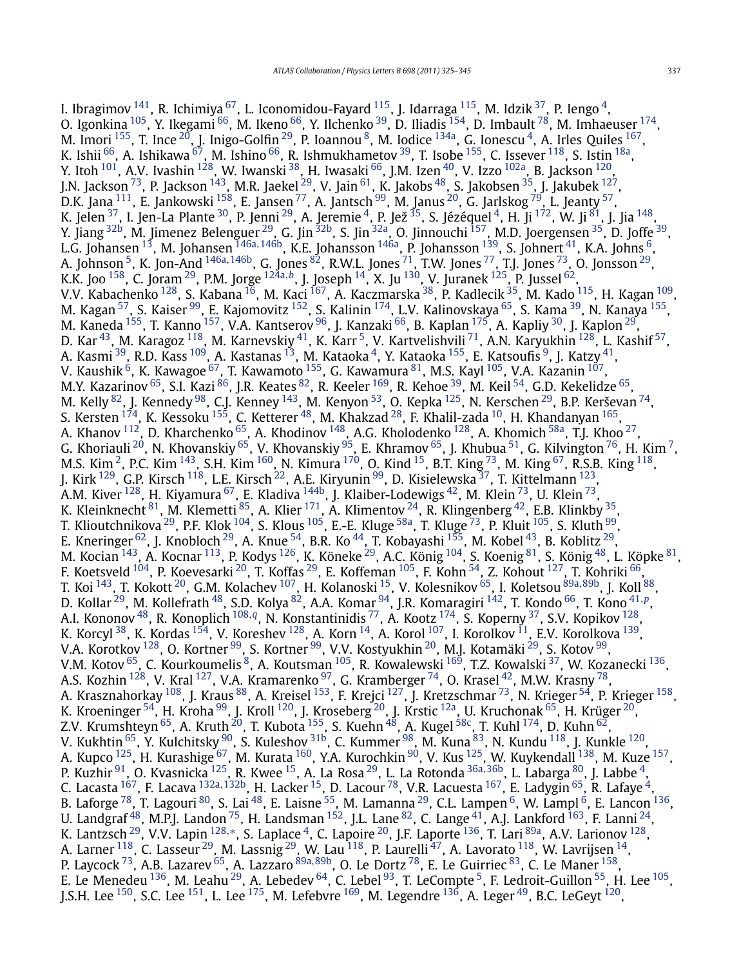I. Ibragimov  $141$ , R. Ichimiya  $67$ , L. Iconomidou-Fayard  $115$ , J. Idarraga  $115$ , M. Idzik  $37$ , P. Iengo  $4$ , O. Igonkina  $^{105}$ , Y. Ikegami  $^{66}$ , M. Ikeno  $^{66}$ , Y. Ilchenko  $^{39}$ , D. Iliadis  $^{154}$ , D. Imbault  $^{78}$ , M. Imhaeuser  $^{174}$ , M. Imori  $^{155}$ , T. Ince  $^{20}$ , J. Inigo-Golfin  $^{29}$ , P. Ioannou  $^8$ , M. Iodice  $^{134}$ , G. Ionescu  $^4$ , A. Irles Quiles  $^{167},$ K. Ishii  $^{66}$ , A. Ishikawa  $^{67}$ , M. Ishino  $^{66}$ , R. Ishmukhametov  $^{39}$ , T. Isobe  $^{155}$ , C. Issever  $^{118}$ , S. Istin  $^{18a}$  $^{18a}$  $^{18a}$ , Y. Itoh  $^{101}$ , A.V. Ivashin  $^{128}$  $^{128}$  $^{128}$ , W. Iwanski  $^{38}$ , H. Iwasaki  $^{66}$ , J.M. Izen  $^{40}$  $^{40}$  $^{40}$ , V. Izzo  $^{102}$ , B. Jackson  $^{120}$ , J.N. Jackson <sup>73</sup>, P. Jackson <sup>143</sup>, M.R. Jaekel <sup>29</sup>, V. Jain <sup>61</sup>, K. Jakobs <sup>[48](#page-18-0)</sup>, S. Jakobsen <sup>35</sup>, J. Jakubek <sup>127</sup>, D.K. Jana  $^{111}$ , E. Jankowski  $^{158}$ , E. Jansen  $^{77}$ , A. Jantsch  $^{99}$ , M. Janus  $^{20}$ , G. Jarlskog  $^{79}$ , L. Jeanty  $^{57}$ , K. Jelen $^{37}$ , I. Jen-La Plante $^{30}$ , P. Jenni $^{29}$ , A. Jeremie $^4$  $^4$ , P. Jež $^{35}$ , S. Jézéquel $^4$ , H. Ji $^{172}$ , W. Ji $^{81}$ , J. Jia $^{148}$ , Y. Jiang <sup>[32b](#page-18-0)</sup>, M. Jimenez Belenguer <sup>29</sup>, G. Jin <sup>32b</sup>, S. Jin <sup>32a</sup>, O. Jinnouchi <sup>157</sup>, M.D. Joergensen <sup>35</sup>, D. Joffe <sup>39</sup>, L.G. Johansen [13](#page-17-0), M. Johansen [146a](#page-19-0)*,*[146b,](#page-19-0) K.E. Johansson [146a,](#page-19-0) P. Johansson [139](#page-19-0), S. Johnert [41,](#page-18-0) K.A. Johns [6,](#page-17-0) A. Johnson [5,](#page-17-0) K. Jon-And [146a](#page-19-0)*,*[146b,](#page-19-0) G. Jones [82,](#page-18-0) R.W.L. Jones [71,](#page-18-0) T.W. Jones [77,](#page-18-0) T.J. Jones [73,](#page-18-0) O. Jonsson [29,](#page-17-0) K.K. Joo [158,](#page-19-0) C. Joram [29,](#page-17-0) P.M. Jorge [124a](#page-19-0)*,[b](#page-20-0)*, J. Joseph [14,](#page-17-0) X. Ju [130,](#page-19-0) V. Juranek [125,](#page-19-0) P. Jussel [62,](#page-18-0) V.V. Kabachenko [128,](#page-19-0) S. Kabana [16,](#page-17-0) M. Kaci [167,](#page-19-0) A. Kaczmarska [38,](#page-18-0) P. Kadlecik [35,](#page-18-0) M. Kado [115,](#page-19-0) H. Kagan [109,](#page-19-0) M. Kagan <sup>57</sup>, S. Kaiser <sup>99</sup>, E. Kajomovitz <sup>152</sup>, S. Kalinin <sup>174</sup>, L.V. Kalinovskaya <sup>65</sup>, S. Kama <sup>39</sup>, N. Kanaya <sup>[155](#page-19-0)</sup>, M. Kaneda <sup>155</sup>, T. Kanno <sup>157</sup>, V.A. Kantserov <sup>96</sup>, J. Kanzaki <sup>66</sup>, B. Kaplan <sup>175</sup>, A. Kapliy <sup>30</sup>, J. Kaplon <sup>29</sup>, D. Kar<sup>43</sup>, M. Karagoz <sup>118</sup>, M. Karnevskiy <sup>41</sup>, K. Karr<sup>5</sup>, V. Kartvelishvili <sup>71</sup>, A.N. Karyukhin <sup>128</sup>, L. Kashif <sup>57</sup>, A. Kasmi <sup>39</sup>, R.D. Kass <sup>[109](#page-19-0)</sup>, A. Kastanas <sup>13</sup>, M. Kataoka <sup>4</sup>, Y. Kataoka <sup>155</sup>, E. Katsoufis <sup>9</sup>, J. Katzy <sup>41</sup>, V. Kaushik  $^{6}$ , K. Kawagoe  $^{67}$ , T. Kawamoto  $^{155}$ , G. Kawamura  $^{81}$  $^{81}$  $^{81}$ , M.S. Kayl  $^{105}$ , V.A. Kazanin  $^{107}$ , M.Y. Kazarinov <sup>65</sup>, S.I. Kazi <sup>86</sup>, J.R. Keates <sup>82</sup>, R. Keeler <sup>169</sup>, R. Kehoe <sup>39</sup>, M. Keil <sup>54</sup>, G.D. Kekelidze <sup>65</sup>, M. Kelly  $^{82}$ , J. Kennedy  $^{98}$ , C.J. Kenney  $^{143}$ , M. Kenyon  $^{53}$ , O. Kepka  $^{125}$ , N. Kerschen  $^{29}$ , B.P. Kerševan  $^{74},$ S. Kersten  $^{174}$ , K. Kessoku  $^{155}$ , C. Ketterer  $^{48}$ , M. Khakzad  $^{28}$ , F. Khalil-zada  $^{10}$ , H. Khandanyan  $^{165}$ , A. Khanov  $^{112}$  $^{112}$  $^{112}$ , D. Kharchenko  $^{65}$ , A. Khodinov  $^{148}$ , A.G. Kholodenko  $^{128}$ , A. Khomich  $^{58\mathrm{a}}$ , T.J. Khoo  $^{27}$ , G. Khoriauli <sup>20</sup>, N. Khovanskiy <sup>65</sup>, V. Khovanskiy <sup>95</sup>, E. Khramov <sup>65</sup>, J. Khubua <sup>51</sup>, G. Kilvington <sup>76</sup>, H. Kim <sup>7</sup>, M.S. Kim<sup>2</sup>, P.C. Kim <sup>143</sup>, S.H. Kim <sup>[160](#page-19-0)</sup>, N. Kimura <sup>170</sup>, O. Kind <sup>15</sup>, B.T. King <sup>73</sup>, M. King <sup>67</sup>, R.S.B. King <sup>118</sup>, J. Kirk [129,](#page-19-0) G.P. Kirsch [118,](#page-19-0) L.E. Kirsch [22,](#page-17-0) A.E. Kiryunin [99,](#page-18-0) D. Kisielewska [37,](#page-18-0) T. Kittelmann [123,](#page-19-0) A.M. Kiver  $^{128}$  $^{128}$  $^{128}$ , H. Kiyamura  $^{67}$  $^{67}$  $^{67}$ , E. Kladiva  $^{144\mathrm{b}}$ , J. Klaiber-Lodewigs  $^{42}$ , M. Klein  $^{73}$ , U. Klein  $^{73}$ , K. Kleinknecht  $^{81}$ , M. Klemetti  $^{85}$ , A. Klier  $^{171}$  $^{171}$  $^{171}$ , A. Klimentov  $^{24}$ , R. Klingenberg  $^{42}$ , E.B. Klinkby  $^{35}$  $^{35}$  $^{35}$ , T. Klioutchnikova  $^{29}$ , P.F. Klok  $^{104}$ , S. Klous  $^{105}$ , E.-E. Kluge  $^{58}$ , T. Kluge  $^{73}$ , P. Kluit  $^{105}$ , S. Kluth  $^{99}$ , E. Kneringer  $^{62}$ , J. Knobloch  $^{29}$ , A. Knue  $^{54}$ , B.R. Ko  $^{44}$ , T. Kobayashi  $^{155}$ , M. Kobel  $^{43}$ , B. Koblitz  $^{29}$ , M. Kocian  $^{143}$ , A. Kocnar  $^{113}$ , P. Kodys  $^{126}$ , K. Köneke  $^{29}$ , A.C. König  $^{104}$ , S. Koenig  $^{81}$ , S. König  $^{48}$ , L. Köpke  $^{81}$ , F. Koetsveld <sup>[104](#page-18-0)</sup>, P. Koevesarki <sup>20</sup>, T. Koffas <sup>29</sup>, E. Koffeman <sup>105</sup>, F. Kohn <sup>54</sup>, Z. Kohout <sup>127</sup>, T. Kohriki <sup>66</sup>, T. Koi [143,](#page-19-0) T. Kokott [20,](#page-17-0) G.M. Kolachev [107,](#page-19-0) H. Kolanoski [15,](#page-17-0) V. Kolesnikov [65,](#page-18-0) I. Koletsou [89a](#page-18-0)*,*[89b,](#page-18-0) J. Koll [88,](#page-18-0) D. Kollar [29,](#page-17-0) M. Kollefrath [48,](#page-18-0) S.D. Kolya [82,](#page-18-0) A.A. Komar [94,](#page-18-0) J.R. Komaragiri [142,](#page-19-0) T. Kondo [66,](#page-18-0) T. Kono [41](#page-18-0)*,[p](#page-20-0)*, A.I. Kononov [48,](#page-18-0) R. Konoplich [108](#page-19-0)*,[q](#page-20-0)*, N. Konstantinidis [77,](#page-18-0) A. Kootz [174,](#page-19-0) S. Koperny [37,](#page-18-0) S.V. Kopikov [128,](#page-19-0) K. Korcyl $^{38}$  $^{38}$  $^{38}$ , K. Kordas  $^{154}$  $^{154}$  $^{154}$ , V. Koreshev  $^{128}$ , A. Korn  $^{14}$ , A. Korol  $^{107}$ , I. Korolkov  $^{11}$ , E.V. Korolkova  $^{139}$ , V.A. Korotkov  $^{128}$ , O. Kortner  $^{99}$ , S. Kortner  $^{99}$ , V.V. Kostyukhin  $^{20}$ , M.J. Kotamäki  $^{29}$ , S. Kotov  $^{99}$ , V.M. Kotov  $^{65}$ , C. Kourkoumelis  $^8$ , A. Koutsman  $^{105}$ , R. Kowalewski  $^{169}$ , T.Z. Kowalski  $^{37}$ , W. Kozanecki  $^{136}$  $^{136}$  $^{136}$ , A.S. Kozhin  $^{128}$ , V. Kral  $^{127}$ , V.A. Kramarenko  $^{97}$ , G. Kramberger  $^{74}$ , O. Krasel  $^{42}$  $^{42}$  $^{42}$ , M.W. Krasny  $^{78},$ A. Krasznahorkay <sup>108</sup>, J. Kraus <sup>88</sup>, A. Kreisel <sup>153</sup>, F. Krejci <sup>127</sup>, J. Kretzschmar <sup>73</sup>, N. Krieger <sup>[54](#page-18-0)</sup>, P. Krieger <sup>158</sup>, K. Kroeninger  $^{54}$ , H. Kroha  $^{99}$ , J. Kroll  $^{120}$ , J. Kroseberg  $^{20}$ , J. Krstic  $^{12a}$ , U. Kruchonak  $^{65}$ , H. Krüger  $^{20}$ , Z.V. Krumshteyn  $^{65}$ , A. Kruth  $^{20}$ , T. Kubota  $^{155}$ , S. Kuehn  $^{48}$ , A. Kugel  $^{58\mathrm{c}}$ , T. Kuhl  $^{174}$ , D. Kuhn  $^{62}$ , V. Kukhtin <sup>65</sup>, Y. Kulchitsky <sup>90</sup>, S. Kuleshov <sup>[31b](#page-18-0)</sup>, C. Kummer <sup>[98](#page-18-0)</sup>, M. Kuna <sup>[83](#page-18-0)</sup>, N. Kundu <sup>118</sup>, J. Kunkle <sup>120</sup>, A. Kupco <sup>125</sup>, H. Kurashige  $^{67}$ , M. Kurata  $^{160}$ , Y.A. Kurochkin  $^{90}$ , V. Kus  $^{125}$ , W. Kuykendall  $^{138}$ , M. Kuze  $^{157}$ , P. Kuzhir [91,](#page-18-0) O. Kvasnicka [125,](#page-19-0) R. Kwee [15,](#page-17-0) A. La Rosa [29,](#page-17-0) L. La Rotonda [36a](#page-18-0)*,*[36b,](#page-18-0) L. Labarga [80,](#page-18-0) J. Labbe [4,](#page-17-0) C. Lacasta [167,](#page-19-0) F. Lacava [132a](#page-19-0)*,*[132b,](#page-19-0) H. Lacker [15,](#page-17-0) D. Lacour [78,](#page-18-0) V.R. Lacuesta [167,](#page-19-0) E. Ladygin [65,](#page-18-0) R. Lafaye [4,](#page-17-0) B. Laforge  $^{78}$ , T. Lagouri  $^{80}$ , S. Lai  $^{48}$ , E. Laisne  $^{55}$  $^{55}$  $^{55}$ , M. Lamanna  $^{29}$ , C.L. Lampen  $^6$ , W. Lampl  $^6$ , E. Lancon  $^{136}$ , U. Landgraf  $^{48}$  $^{48}$  $^{48}$ , M.P.J. Landon  $^{75}$ , H. Landsman  $^{152}$  $^{152}$  $^{152}$ , J.L. Lane  $^{82}$ , C. Lange  $^{41}$ , A.J. Lankford  $^{163}$  $^{163}$  $^{163}$ , F. Lanni  $^{24}$ , K. Lantzsch [29,](#page-17-0) V.V. Lapin [128](#page-19-0)*,*[∗](#page-20-0), S. Laplace [4,](#page-17-0) C. Lapoire [20,](#page-17-0) J.F. Laporte [136,](#page-19-0) T. Lari [89a,](#page-18-0) A.V. Larionov [128](#page-19-0), A. Larner  $^{118}$ , C. Lasseur  $^{29}$ , M. Lassnig  $^{29}$ , W. Lau  $^{118}$ , P. Laurelli  $^{47}$ , A. Lavorato  $^{118}$ , W. Lavrijsen  $^{14}$ , P. Laycock [73,](#page-18-0) A.B. Lazarev [65,](#page-18-0) A. Lazzaro [89a](#page-18-0)*,*[89b,](#page-18-0) O. Le Dortz [78](#page-18-0), E. Le Guirriec [83,](#page-18-0) C. Le Maner [158,](#page-19-0) E. Le Menedeu <sup>136</sup>, M. Leahu<sup>29</sup>, A. Lebedev <sup>64</sup>, C. Lebel <sup>[93](#page-18-0)</sup>, T. LeCompte <sup>5</sup>, F. Ledroit-Guillon <sup>[55](#page-18-0)</sup>, H. Lee <sup>105</sup>, J.S.H. Lee <sup>150</sup>, S.C. Lee <sup>151</sup>, L. Lee <sup>175</sup>, M. Lefebvre <sup>169</sup>, M. Legendre <sup>[136](#page-19-0)</sup>, A. Leger <sup>49</sup>, B.C. LeGeyt <sup>120</sup>,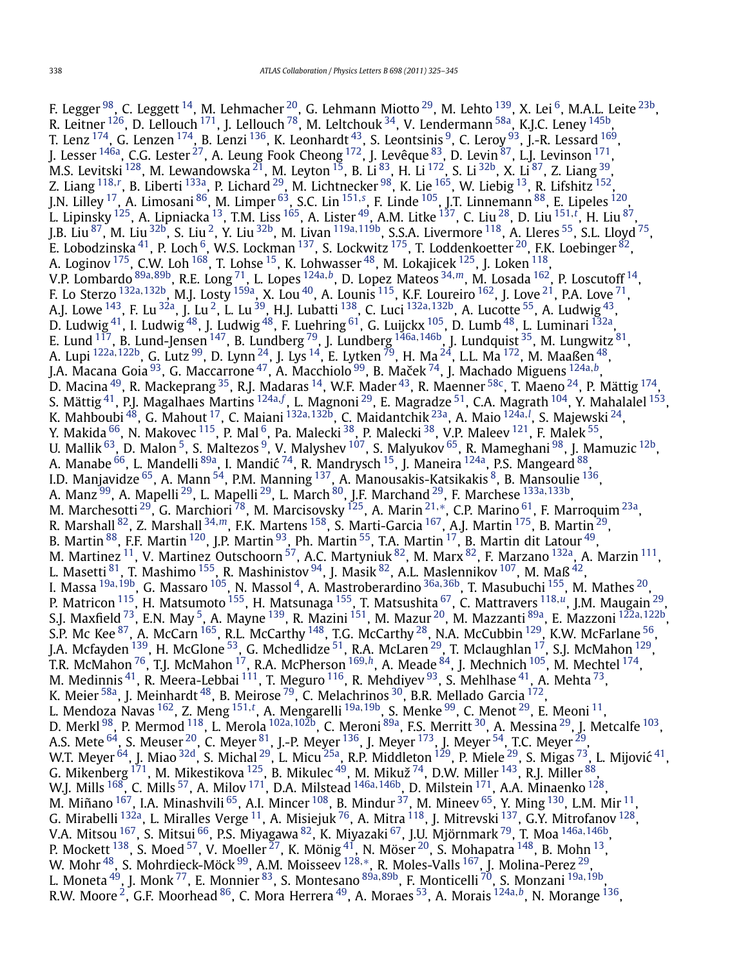F. Legger <sup>98</sup>, C. Leggett <sup>14</sup>, M. Lehmacher <sup>20</sup>, G. Lehmann Miotto <sup>29</sup>, M. Lehto <sup>[139](#page-19-0)</sup>, X. Lei <sup>6</sup>, M.A.L. Leite <sup>23b</sup>, R. Leitner  $^{126}$ , D. Lellouch  $^{171}$ , J. Lellouch  $^{78}$ , M. Leltchouk  $^{34}$ , V. Lendermann  $^{58a}$ , K.J.C. Leney  $^{145b}$ , T. Lenz  $^{174}$  $^{174}$  $^{174}$ , G. Lenzen  $^{174}$ , B. Lenzi  $^{136}$ , K. Leonhardt  $^{43}$ , S. Leontsinis  $^{9}$ , C. Leroy  $^{93}$ , J.-R. Lessard  $^{169}$ , J. Lesser <sup>[146a](#page-19-0)</sup>, C.G. Lester <sup>27</sup>, A. Leung Fook Cheong <sup>172</sup>, J. Levêque <sup>[83](#page-18-0)</sup>, D. Levin <sup>[87](#page-18-0)</sup>, L.J. Levinson <sup>171</sup>, M.S. Levitski  $^{128}$ , M. Lewandowska  $^{21}$ , M. Leyton  $^{15}$ , B. Li  $^{83}$ , H. Li  $^{172}$ , S. Li  $^{32\mathrm{b}}$ , X. Li  $^{87}$ , Z. Liang  $^{39}$ , Z. Liang <sup>[118](#page-19-0),</sup><sup>[r](#page-20-0)</sup>, B. Liberti <sup>[133a](#page-19-0)</sup>, P. Lichard <sup>29</sup>, M. Lichtnecker <sup>98</sup>, K. Lie <sup>165</sup>, W. Liebig <sup>13</sup>, R. Lifshitz <sup>152</sup>, J.N. Lilley [17,](#page-17-0) A. Limosani [86,](#page-18-0) M. Limper [63,](#page-18-0) S.C. Lin [151](#page-19-0)*,[s](#page-20-0)* , F. Linde [105,](#page-18-0) J.T. Linnemann [88,](#page-18-0) E. Lipeles [120,](#page-19-0) L. Lipinsky <sup>125</sup>, A. Lipniacka <sup>13</sup>, T.M. Liss <sup>165</sup>, A. Lister <sup>49</sup>, A.M. Litke <sup>[137](#page-19-0)</sup>, C. Liu <sup>28</sup>, D. Liu <sup>[151](#page-19-0),[t](#page-20-0)</sup>, H. Liu <sup>87</sup>, J.B. Liu [87,](#page-18-0) M. Liu [32b,](#page-18-0) S. Liu [2,](#page-17-0) Y. Liu [32b](#page-18-0), M. Livan [119a](#page-19-0)*,*[119b,](#page-19-0) S.S.A. Livermore [118,](#page-19-0) A. Lleres [55,](#page-18-0) S.L. Lloyd [75,](#page-18-0) E. Lobodzinska $^{41}$ , P. Loch  $^6$ , W.S. Lockman  $^{137}$ , S. Lockwitz  $^{175}$ , T. Loddenkoetter  $^{20}$  $^{20}$  $^{20}$ , F.K. Loebinger  $^{82}$ , A. Loginov  $^{175}$ , C.W. Loh  $^{168}$ , T. Lohse  $^{15}$ , K. Lohwasser  $^{48}$ , M. Lokajicek  $^{125}$ , J. Loken  $^{118}$ , V.P. Lombardo [89a](#page-18-0)*,*[89b,](#page-18-0) R.E. Long [71,](#page-18-0) L. Lopes [124a](#page-19-0)*,[b](#page-20-0)*, D. Lopez Mateos [34](#page-18-0)*,[m](#page-20-0)*, M. Losada [162,](#page-19-0) P. Loscutoff [14,](#page-17-0) F. Lo Sterzo [132a](#page-19-0)*,*[132b,](#page-19-0) M.J. Losty [159a,](#page-19-0) X. Lou [40,](#page-18-0) A. Lounis [115,](#page-19-0) K.F. Loureiro [162,](#page-19-0) J. Love [21,](#page-17-0) P.A. Love [71,](#page-18-0) A.J. Lowe [143,](#page-19-0) F. Lu [32a,](#page-18-0) J. Lu [2,](#page-17-0) L. Lu [39,](#page-18-0) H.J. Lubatti [138,](#page-19-0) C. Luci [132a](#page-19-0)*,*[132b,](#page-19-0) A. Lucotte [55,](#page-18-0) A. Ludwig [43,](#page-18-0) D. Ludwig  $^{41}$ , I. Ludwig  $^{48}$ , J. Ludwig  $^{48}$ , F. Luehring  $^{61}$ , G. Luijckx  $^{105}$ , D. Lumb  $^{48}$ , L. Luminari  $^{132}$ , E. Lund [117,](#page-19-0) B. Lund-Jensen [147,](#page-19-0) B. Lundberg [79,](#page-18-0) J. Lundberg [146a](#page-19-0)*,*[146b,](#page-19-0) J. Lundquist [35,](#page-18-0) M. Lungwitz [81,](#page-18-0) A. Lupi [122a](#page-19-0)*,*[122b,](#page-19-0) G. Lutz [99](#page-18-0), D. Lynn [24,](#page-17-0) J. Lys [14,](#page-17-0) E. Lytken [79](#page-18-0), H. Ma [24,](#page-17-0) L.L. Ma [172](#page-19-0), M. Maaßen [48,](#page-18-0) J.A. Macana Goia [93,](#page-18-0) G. Maccarrone [47,](#page-18-0) A. Macchiolo [99,](#page-18-0) B. Macek ˇ [74,](#page-18-0) J. Machado Miguens [124a](#page-19-0)*,[b](#page-20-0)*, D. Macina <sup>49</sup>, R. Mackeprang <sup>35</sup>, R.J. Madaras <sup>14</sup>, W.F. Mader <sup>43</sup>, R. Maenner <sup>58c</sup>, T. Maeno <sup>24</sup>, P. Mättig <sup>174</sup>, S. Mättig <sup>41</sup>, P.J. Magalhaes Martins <sup>[124a](#page-19-0),[f](#page-20-0)</sup>, L. Magnoni <sup>29</sup>, E. Magradze <sup>51</sup>, C.A. Magrath <sup>[104](#page-18-0)</sup>, Y. Mahalalel <sup>153</sup>, K. Mahboubi [48,](#page-18-0) G. Mahout [17,](#page-17-0) C. Maiani [132a](#page-19-0)*,*[132b,](#page-19-0) C. Maidantchik [23a,](#page-17-0) A. Maio [124a](#page-19-0)*,[l](#page-20-0)* , S. Majewski [24,](#page-17-0) Y. Makida  $^{66}$ , N. Makovec  $^{115}$ , P. Mal  $^{6}$ , Pa. Malecki  $^{38}$ , P. Malecki  $^{38}$ , V.P. Maleev  $^{121}$ , F. Malek  $^{55}$ , U. Mallik <sup>63</sup>, D. Malon <sup>5</sup>, S. Maltezos <sup>9</sup>, V. Malyshev <sup>107</sup>, S. Malyukov <sup>65</sup>, R. Mameghani <sup>98</sup>, J. Mamuzic <sup>12b</sup>, A. Manabe <sup>66</sup>, L. Mandelli <sup>89a</sup>, I. Mandić <sup>74</sup>, R. Mandrysch <sup>15</sup>, J. Maneira <sup>124a</sup>, P.S. Mangeard <sup>88</sup>, I.D. Manjavidze <sup>65</sup>, A. Mann <sup>[54](#page-18-0)</sup>, P.M. Manning <sup>137</sup>, A. Manousakis-Katsikakis <sup>8</sup>, B. Mansoulie <sup>136</sup>, A. Manz [99,](#page-18-0) A. Mapelli [29,](#page-17-0) L. Mapelli [29,](#page-17-0) L. March [80](#page-18-0), J.F. Marchand [29,](#page-17-0) F. Marchese [133a](#page-19-0)*,*[133b](#page-19-0), M. Marchesotti [29,](#page-17-0) G. Marchiori [78](#page-18-0), M. Marcisovsky [125](#page-19-0), A. Marin [21](#page-17-0)*,*[∗](#page-20-0), C.P. Marino [61,](#page-18-0) F. Marroquim [23a,](#page-17-0) R. Marshall [82,](#page-18-0) Z. Marshall [34](#page-18-0)*,[m](#page-20-0)*, F.K. Martens [158,](#page-19-0) S. Marti-Garcia [167,](#page-19-0) A.J. Martin [175,](#page-19-0) B. Martin [29,](#page-17-0) B. Martin<sup>88</sup>, F.F. Martin<sup>120</sup>, J.P. Martin<sup>93</sup>, Ph. Martin<sup>55</sup>, T.A. Martin<sup>17</sup>, B. Martin dit Latour<sup>49</sup>, M. Martinez <sup>11</sup>, V. Martinez Outschoorn  $^{57}$ , A.C. Martyniuk  $^{82}$ , M. Marx  $^{82}$ , F. Marzano  $^{132}$ , A. Marzin  $^{111}$ , L. Masetti  $81$ , T. Mashimo  $155$ , R. Mashinistov  $94$ , J. Masik  $82$ , A.L. Maslennikov  $107$ , M. Maß  $42$ , I. Massa [19a](#page-17-0)*,*[19b,](#page-17-0) G. Massaro [105,](#page-18-0) N. Massol [4,](#page-17-0) A. Mastroberardino [36a](#page-18-0)*,*[36b,](#page-18-0) T. Masubuchi [155,](#page-19-0) M. Mathes [20,](#page-17-0) P. Matricon [115,](#page-19-0) H. Matsumoto [155,](#page-19-0) H. Matsunaga [155,](#page-19-0) T. Matsushita [67,](#page-18-0) C. Mattravers [118](#page-19-0)*,[u](#page-20-0)*, J.M. Maugain [29,](#page-17-0) S.J. Maxfield [73,](#page-18-0) E.N. May [5,](#page-17-0) A. Mayne [139,](#page-19-0) R. Mazini [151,](#page-19-0) M. Mazur [20](#page-17-0), M. Mazzanti [89a,](#page-18-0) E. Mazzoni [122a](#page-19-0)*,*[122b,](#page-19-0) S.P. Mc Kee  $^{87}$ , A. McCarn  $^{165}$ , R.L. McCarthy  $^{148}$ , T.G. McCarthy  $^{28}$ , N.A. McCubbin  $^{129}$ , K.W. McFarlane  $^{56}$ , J.A. Mcfayden <sup>[139](#page-19-0)</sup>, H. McGlone <sup>53</sup>, G. Mchedlidze <sup>51</sup>, R.A. McLaren <sup>29</sup>, T. Mclaughlan <sup>17</sup>, S.J. McMahon <sup>129</sup>, T.R. McMahon [76](#page-18-0), T.J. McMahon [17,](#page-17-0) R.A. McPherson [169](#page-19-0)*,[h](#page-20-0)*, A. Meade [84,](#page-18-0) J. Mechnich [105,](#page-18-0) M. Mechtel [174,](#page-19-0) M. Medinnis  $^{41}$ , R. Meera-Lebbai  $^{111}$ , T. Meguro  $^{116}$ , R. Mehdiyev  $^{93}$ , S. Mehlhase  $^{41}$ , A. Mehta  $^{73}$ , K. Meier  $^{58\mathrm{a}}$ , J. Meinhardt  $^{48}$ , B. Meirose  $^{79}$  $^{79}$  $^{79}$ , C. Melachrinos  $^{30}$ , B.R. Mellado Garcia  $^{172}$ , L. Mendoza Navas [162,](#page-19-0) Z. Meng [151](#page-19-0)*,[t](#page-20-0)* , A. Mengarelli [19a](#page-17-0)*,*[19b,](#page-17-0) S. Menke [99,](#page-18-0) C. Menot [29,](#page-17-0) E. Meoni [11,](#page-17-0) D. Merkl [98](#page-18-0), P. Mermod [118,](#page-19-0) L. Merola [102a](#page-18-0)*,*[102b,](#page-18-0) C. Meroni [89a](#page-18-0), F.S. Merritt [30,](#page-17-0) A. Messina [29,](#page-17-0) J. Metcalfe [103](#page-18-0), A.S. Mete  $^{64}$ , S. Meuser  $^{20}$ , C. Meyer  $^{81}$ , J.-P. Meyer  $^{136}$ , J. Meyer  $^{173}$ , J. Meyer  $^{54}$ , T.C. Meyer  $^{29}$ , W.T. Meyer  $^{64}$ , J. Miao  $^{32d}$ , S. Michal  $^{29}$ , L. Micu  $^{25a}$  $^{25a}$  $^{25a}$ , R.P. Middleton  $^{129}$ , P. Miele  $^{29}$ , S. Migas  $^{73}$ , L. Mijović  $^{41}$ , G. Mikenberg  $^{171}$ , M. Mikestikova  $^{125}$ , B. Mikulec  $^{49}$ , M. Mikuž  $^{74}$ , D.W. Miller  $^{143}$ , R.J. Miller  $^{88},$  $^{88},$  $^{88},$ W.J. Mills [168,](#page-19-0) C. Mills [57,](#page-18-0) A. Milov [171,](#page-19-0) D.A. Milstead [146a](#page-19-0)*,*[146b,](#page-19-0) D. Milstein [171,](#page-19-0) A.A. Minaenko [128](#page-19-0), M. Miñano  $^{167}$ , I.A. Minashvili  $^{65}$ , A.I. Mincer  $^{108}$ , B. Mindur  $^{37}$ , M. Mineev  $^{65}$ , Y. Ming  $^{130}$  $^{130}$  $^{130}$ , L.M. Mir  $^{11}$ , G. Mirabelli <sup>132a</sup>, L. Miralles Verge  $^{11}$ , A. Misiejuk  $^{76}$ , A. Mitra  $^{118}$ , J. Mitrevski  $^{137}$ , G.Y. Mitrofanov  $^{128},$ V.A. Mitsou [167](#page-19-0), S. Mitsui [66,](#page-18-0) P.S. Miyagawa [82,](#page-18-0) K. Miyazaki [67,](#page-18-0) J.U. Mjörnmark [79](#page-18-0), T. Moa [146a](#page-19-0)*,*[146b,](#page-19-0) P. Mockett <sup>138</sup>, S. Moed <sup>[57](#page-18-0)</sup>, V. Moeller  $^{27}$  $^{27}$  $^{27}$ , K. Mönig <sup>41</sup>, N. Möser <sup>20</sup>, S. Mohapatra <sup>148</sup>, B. Mohn <sup>13</sup>, W. Mohr [48,](#page-18-0) S. Mohrdieck-Möck [99,](#page-18-0) A.M. Moisseev [128](#page-19-0)*,*[∗](#page-20-0), R. Moles-Valls [167,](#page-19-0) J. Molina-Perez [29,](#page-17-0) L. Moneta [49,](#page-18-0) J. Monk [77,](#page-18-0) E. Monnier [83,](#page-18-0) S. Montesano [89a](#page-18-0)*,*[89b,](#page-18-0) F. Monticelli [70,](#page-18-0) S. Monzani [19a](#page-17-0)*,*[19b,](#page-17-0) R.W. Moore [2,](#page-17-0) G.F. Moorhead [86,](#page-18-0) C. Mora Herrera [49,](#page-18-0) A. Moraes [53,](#page-18-0) A. Morais [124a](#page-19-0)*,[b](#page-20-0)*, N. Morange [136,](#page-19-0)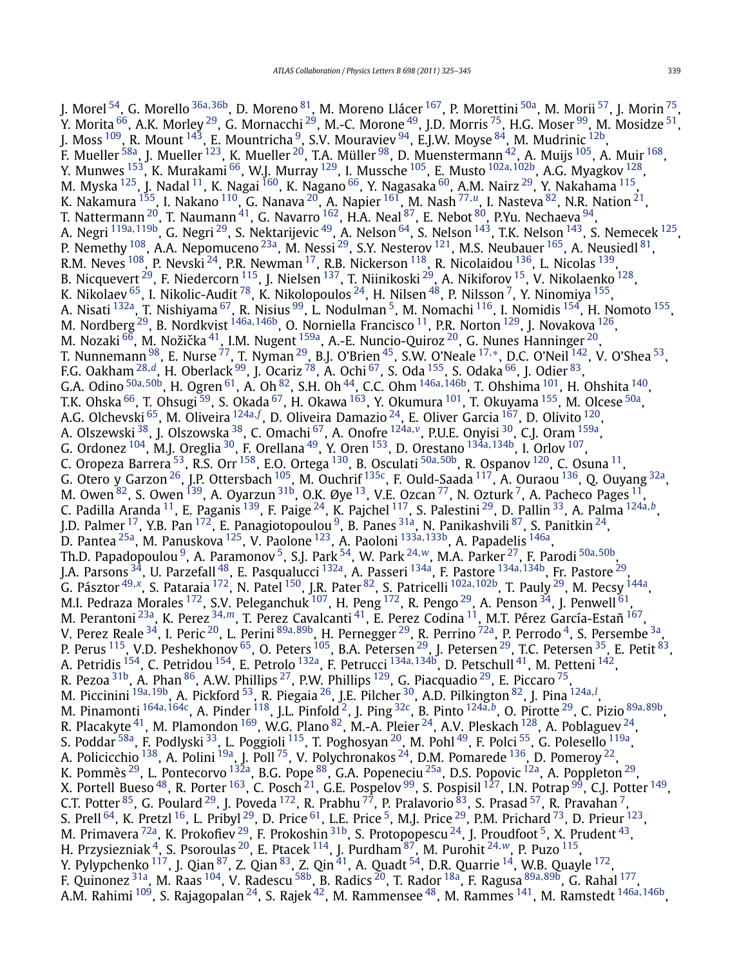J. Morel [54,](#page-18-0) G. Morello [36a](#page-18-0)*,*[36b,](#page-18-0) D. Moreno [81,](#page-18-0) M. Moreno Llácer [167,](#page-19-0) P. Morettini [50a,](#page-18-0) M. Morii [57,](#page-18-0) J. Morin [75,](#page-18-0) Y. Morita  $^{66}$  $^{66}$  $^{66}$ , A.K. Morley  $^{29}$ , G. Mornacchi  $^{29}$ , M.-C. Morone  $^{49}$ , J.D. Morris  $^{75}$ , H.G. Moser  $^{99}$ , M. Mosidze  $^{51}$ , J. Moss  $^{109}$ , R. Mount  $^{143}$ , E. Mountricha  $^9$ , S.V. Mouraviev  $^{94}$ , E.J.W. Moyse  $^{84}$  $^{84}$  $^{84}$ , M. Mudrinic  $^{12\mathrm{b}}$ , F. Mueller  $^{58a}$ , J. Mueller  $^{123}$ , K. Mueller  $^{20}$ , T.A. Müller  $^{98}$ , D. Muenstermann  $^{42}$ , A. Muijs  $^{105}$ , A. Muir  $^{168}$ , Y. Munwes [153,](#page-19-0) K. Murakami [66,](#page-18-0) W.J. Murray [129,](#page-19-0) I. Mussche [105,](#page-18-0) E. Musto [102a](#page-18-0)*,*[102b,](#page-18-0) A.G. Myagkov [128,](#page-19-0) M. Myska  $^{125}$ , J. Nadal  $^{11}$ , K. Nagai  $^{160}$ , K. Nagano  $^{66}$ , Y. Nagasaka  $^{60}$ , A.M. Nairz  $^{29}$ , Y. Nakahama  $^{115}$ , K. Nakamura [155,](#page-19-0) I. Nakano [110,](#page-19-0) G. Nanava [20,](#page-17-0) A. Napier [161,](#page-19-0) M. Nash [77](#page-18-0)*,[u](#page-20-0)*, I. Nasteva [82](#page-18-0), N.R. Nation [21,](#page-17-0) T. Nattermann  $^{20}$ , T. Naumann  $^{41}$ , G. Navarro  $^{162}$ , H.A. Neal  $^{87}$ , E. Nebot  $^{80}$ , P.Yu. Nechaeva  $^{94},$ A. Negri [119a](#page-19-0)*,*[119b,](#page-19-0) G. Negri [29,](#page-17-0) S. Nektarijevic [49,](#page-18-0) A. Nelson [64,](#page-18-0) S. Nelson [143,](#page-19-0) T.K. Nelson [143,](#page-19-0) S. Nemecek [125,](#page-19-0) P. Nemethy  $^{108}$ , A.A. Nepomuceno  $^{23a}$ , M. Nessi  $^{29}$ , S.Y. Nesterov  $^{121}$ , M.S. Neubauer  $^{165}$ , A. Neusiedl  $^{81}$ , R.M. Neves  $^{108}$  $^{108}$  $^{108}$ , P. Nevski  $^{24}$ , P.R. Newman  $^{17}$  $^{17}$  $^{17}$ , R.B. Nickerson  $^{118}$  $^{118}$  $^{118}$ , R. Nicolaidou  $^{136}$  $^{136}$  $^{136}$ , L. Nicolas  $^{139}$ , B. Nicquevert<sup>29</sup>, F. Niedercorn<sup>115</sup>, J. Nielsen<sup>[137](#page-19-0)</sup>, T. Niinikoski <sup>29</sup>, A. Nikiforov <sup>15</sup>, V. Nikolaenko <sup>128</sup>, K. Nikolaev  $^{65}$  $^{65}$  $^{65}$ , I. Nikolic-Audit  $^{78}$ , K. Nikolopoulos  $^{24}$  $^{24}$  $^{24}$ , H. Nilsen  $^{48}$  $^{48}$  $^{48}$ , P. Nilsson  $^7$ , Y. Ninomiya  $^{155}$ , A. Nisati <sup>132a</sup>, T. Nishiyama <sup>67</sup>, R. Nisius <sup>99</sup>, L. Nodulman <sup>5</sup>, M. Nomachi <sup>116</sup>, I. Nomidis <sup>154</sup>, H. Nomoto <sup>155</sup>, M. Nordberg [29,](#page-17-0) B. Nordkvist [146a](#page-19-0)*,*[146b,](#page-19-0) O. Norniella Francisco [11,](#page-17-0) P.R. Norton [129,](#page-19-0) J. Novakova [126,](#page-19-0) M. Nozaki  $^{66}$ , M. Nožička <sup>41</sup>, I.M. Nugent <sup>159a</sup>, A.-E. Nuncio-Quiroz <sup>20</sup>, G. Nunes Hanninger <sup>20</sup>, T. Nunnemann [98,](#page-18-0) E. Nurse [77,](#page-18-0) T. Nyman [29,](#page-17-0) B.J. O'Brien [45,](#page-18-0) S.W. O'Neale [17](#page-17-0)*,*[∗](#page-20-0), D.C. O'Neil [142](#page-19-0), V. O'Shea [53,](#page-18-0) F.G. Oakham [28](#page-17-0)*,[d](#page-20-0)*, H. Oberlack [99,](#page-18-0) J. Ocariz [78,](#page-18-0) A. Ochi [67,](#page-18-0) S. Oda [155,](#page-19-0) S. Odaka [66](#page-18-0), J. Odier [83,](#page-18-0) G.A. Odino [50a](#page-18-0)*,*[50b,](#page-18-0) H. Ogren [61,](#page-18-0) A. Oh [82,](#page-18-0) S.H. Oh [44,](#page-18-0) C.C. Ohm [146a](#page-19-0)*,*[146b,](#page-19-0) T. Ohshima [101,](#page-18-0) H. Ohshita [140,](#page-19-0) T.K. Ohska <sup>66</sup>, T. Ohsugi <sup>59</sup>, S. Okada <sup>67</sup>, H. Okawa <sup>[163](#page-19-0)</sup>, Y. Okumura <sup>101</sup>, T. Okuyama <sup>155</sup>, M. Olcese <sup>50a</sup>, A.G. Olchevski <sup>65</sup>, M. Oliveira <sup>[124a](#page-19-0), [f](#page-20-0)</sup>, D. Oliveira Damazio <sup>24</sup>, E. Oliver Garcia <sup>167</sup>, D. Olivito <sup>120</sup>, A. Olszewski [38,](#page-18-0) J. Olszowska [38,](#page-18-0) C. Omachi [67,](#page-18-0) A. Onofre [124a](#page-19-0)*,[v](#page-20-0)*, P.U.E. Onyisi [30,](#page-17-0) C.J. Oram [159a,](#page-19-0) G. Ordonez [104,](#page-18-0) M.J. Oreglia [30,](#page-17-0) F. Orellana [49,](#page-18-0) Y. Oren [153,](#page-19-0) D. Orestano [134a](#page-19-0)*,*[134b,](#page-19-0) I. Orlov [107](#page-19-0), C. Oropeza Barrera [53,](#page-18-0) R.S. Orr [158,](#page-19-0) E.O. Ortega [130](#page-19-0), B. Osculati [50a](#page-18-0)*,*[50b,](#page-18-0) R. Ospanov [120,](#page-19-0) C. Osuna [11,](#page-17-0) G. Otero y Garzon  $^{26}$ , J.P. Ottersbach  $^{105}$ , M. Ouchrif  $^{135c}$ , F. Ould-Saada  $^{117}$ , A. Ouraou  $^{136}$ , Q. Ouyang  $^{32a}$  $^{32a}$  $^{32a}$ , M. Owen  $^{82}$ , S. Owen  $^{139}$ , A. Oyarzun  $^{31\mathrm{b}}$ , O.K. Øye  $^{13}$ , V.E. Ozcan  $^{77}$ , N. Ozturk  $^7$ , A. Pacheco Pages  $^{11}$  $^{11}$  $^{11}$ , C. Padilla Aranda [11,](#page-17-0) E. Paganis [139,](#page-19-0) F. Paige [24,](#page-17-0) K. Pajchel [117,](#page-19-0) S. Palestini [29,](#page-17-0) D. Pallin [33,](#page-18-0) A. Palma [124a](#page-19-0)*,[b](#page-20-0)*, J.D. Palmer <sup>[17](#page-17-0)</sup>, Y.B. Pan <sup>172</sup>, E. Panagiotopoulou <sup>9</sup>, B. Panes <sup>31a</sup>, N. Panikashvili <sup>87</sup>, S. Panitkin <sup>24</sup>, D. Pantea [25a,](#page-17-0) M. Panuskova [125](#page-19-0), V. Paolone [123,](#page-19-0) A. Paoloni [133a](#page-19-0)*,*[133b,](#page-19-0) A. Papadelis [146a,](#page-19-0) Th.D. Papadopoulou [9,](#page-17-0) A. Paramonov [5,](#page-17-0) S.J. Park [54,](#page-18-0) W. Park [24](#page-17-0)*,[w](#page-20-0)*, M.A. Parker [27](#page-17-0), F. Parodi [50a](#page-18-0)*,*[50b](#page-18-0), J.A. Parsons [34](#page-18-0), U. Parzefall [48,](#page-18-0) E. Pasqualucci [132a,](#page-19-0) A. Passeri [134a,](#page-19-0) F. Pastore [134a](#page-19-0)*,*[134b](#page-19-0), Fr. Pastore [29,](#page-17-0) G. Pásztor [49](#page-18-0)*,[x](#page-20-0)*, S. Pataraia [172](#page-19-0), N. Patel [150,](#page-19-0) J.R. Pater [82,](#page-18-0) S. Patricelli [102a](#page-18-0)*,*[102b,](#page-18-0) T. Pauly [29,](#page-17-0) M. Pecsy [144a,](#page-19-0) M.I. Pedraza Morales  $^{172}$ , S.V. Peleganchuk  $^{107}$  $^{107}$  $^{107}$ , H. Peng  $^{172}$ , R. Pengo  $^{29}$ , A. Penson  $^{34}$ , J. Penwell  $^{61}$  $^{61}$  $^{61}$ , M. Perantoni [23a,](#page-17-0) K. Perez [34](#page-18-0)*,[m](#page-20-0)*, T. Perez Cavalcanti [41,](#page-18-0) E. Perez Codina [11,](#page-17-0) M.T. Pérez García-Estañ [167,](#page-19-0) V. Perez Reale [34,](#page-18-0) I. Peric [20,](#page-17-0) L. Perini [89a](#page-18-0)*,*[89b,](#page-18-0) H. Pernegger [29,](#page-17-0) R. Perrino [72a,](#page-18-0) P. Perrodo [4,](#page-17-0) S. Persembe [3a,](#page-17-0) P. Perus <sup>[115](#page-19-0)</sup>, V.D. Peshekhonov <sup>65</sup>, O. Peters <sup>[105](#page-18-0)</sup>, B.A. Petersen <sup>[29](#page-17-0)</sup>, J. Petersen <sup>29</sup>, T.C. Petersen <sup>35</sup>, E. Petit <sup>83</sup>, A. Petridis [154,](#page-19-0) C. Petridou [154](#page-19-0), E. Petrolo [132a,](#page-19-0) F. Petrucci [134a](#page-19-0)*,*[134b,](#page-19-0) D. Petschull [41,](#page-18-0) M. Petteni [142,](#page-19-0) R. Pezoa  $^{\rm 31b}$ , A. Phan  $^{\rm 86}$ , A.W. Phillips  $^{\rm 27}$ , P.W. Phillips  $^{\rm 129}$  $^{\rm 129}$  $^{\rm 129}$ , G. Piacquadio  $^{\rm 29}$ , E. Piccaro  $^{\rm 75}$ , M. Piccinini [19a](#page-17-0)*,*[19b](#page-17-0), A. Pickford [53,](#page-18-0) R. Piegaia [26,](#page-17-0) J.E. Pilcher [30,](#page-17-0) A.D. Pilkington [82,](#page-18-0) J. Pina [124a](#page-19-0)*,[l](#page-20-0)* , M. Pinamonti [164a](#page-19-0)*,*[164c,](#page-19-0) A. Pinder [118,](#page-19-0) J.L. Pinfold [2,](#page-17-0) J. Ping [32c,](#page-18-0) B. Pinto [124a](#page-19-0)*,[b](#page-20-0)*, O. Pirotte [29,](#page-17-0) C. Pizio [89a](#page-18-0)*,*[89b](#page-18-0), R. Placakyte  $^{41}$ , M. Plamondon  $^{169}$ , W.G. Plano  $^{82}$ , M.-A. Pleier  $^{24}$ , A.V. Pleskach  $^{128}$ , A. Poblaguev  $^{24}$ , S. Poddar <sup>58a</sup>, F. Podlyski <sup>33</sup>, L. Poggioli <sup>115</sup>, T. Poghosyan <sup>20</sup>, M. Pohl <sup>49</sup>, F. Polci <sup>55</sup>, G. Polesello <sup>119a</sup>, A. Policicchio  $^{138}$ , A. Polini  $^{19a}$ , J. Poll  $^{75}$ , V. Polychronakos  $^{24}$ , D.M. Pomarede  $^{136}$  $^{136}$  $^{136}$ , D. Pomeroy  $^{22}$  $^{22}$  $^{22}$ , K. Pommès <sup>29</sup>, L. Pontecorvo <sup>132a</sup>, B.G. Pope <sup>88</sup>, G.A. Popeneciu <sup>25a</sup>, D.S. Popovic <sup>12a</sup>, A. Poppleton <sup>29</sup>, X. Portell Bueso <sup>48</sup>, R. Porter <sup>163</sup>, C. Posch <sup>21</sup>, G.E. Pospelov <sup>99</sup>, S. Pospisil <sup>127</sup>, I.N. Potrap <sup>99</sup>, C.J. Potter <sup>149</sup>, C.T. Potter  $^{85}$  $^{85}$  $^{85}$ , G. Poulard  $^{29}$ , J. Poveda  $^{172}$ , R. Prabhu  $^{77}$ , P. Pralavorio  $^{83}$ , S. Prasad  $^{57}$ , R. Pravahan  $^7$ , S. Prell  $^{64}$ , K. Pretzl  $^{16}$ , L. Pribyl  $^{29}$ , D. Price  $^{61}$ , L.E. Price  $^5$ , M.J. Price  $^{29}$ , P.M. Prichard  $^{73}$ , D. Prieur  $^{123}$ , M. Primavera <sup>72a</sup>, K. Prokofiev <sup>29</sup>, F. Prokoshin <sup>[31b](#page-18-0)</sup>, S. Protopopescu <sup>[24](#page-17-0)</sup>, J. Proudfoot <sup>[5](#page-17-0)</sup>, X. Prudent <sup>43</sup>, H. Przysiezniak [4,](#page-17-0) S. Psoroulas [20,](#page-17-0) E. Ptacek [114,](#page-19-0) J. Purdham [87](#page-18-0), M. Purohit [24](#page-17-0)*,[w](#page-20-0)*, P. Puzo [115,](#page-19-0) Y. Pylypchenko  $^{117}$ , J. Qian $^{87}$  $^{87}$  $^{87}$ , Z. Qian $^{83}$  $^{83}$  $^{83}$ , Z. Qin $^{41}$ , A. Quadt  $^{54}$ , D.R. Quarrie  $^{14}$ , W.B. Quayle  $^{172}$ , F. Quinonez [31a,](#page-17-0) M. Raas [104,](#page-18-0) V. Radescu [58b,](#page-18-0) B. Radics [20,](#page-17-0) T. Rador [18a,](#page-17-0) F. Ragusa [89a](#page-18-0)*,*[89b,](#page-18-0) G. Rahal [177,](#page-19-0) A.M. Rahimi [109,](#page-19-0) S. Rajagopalan [24](#page-17-0), S. Rajek [42,](#page-18-0) M. Rammensee [48](#page-18-0), M. Rammes [141,](#page-19-0) M. Ramstedt [146a](#page-19-0)*,*[146b,](#page-19-0)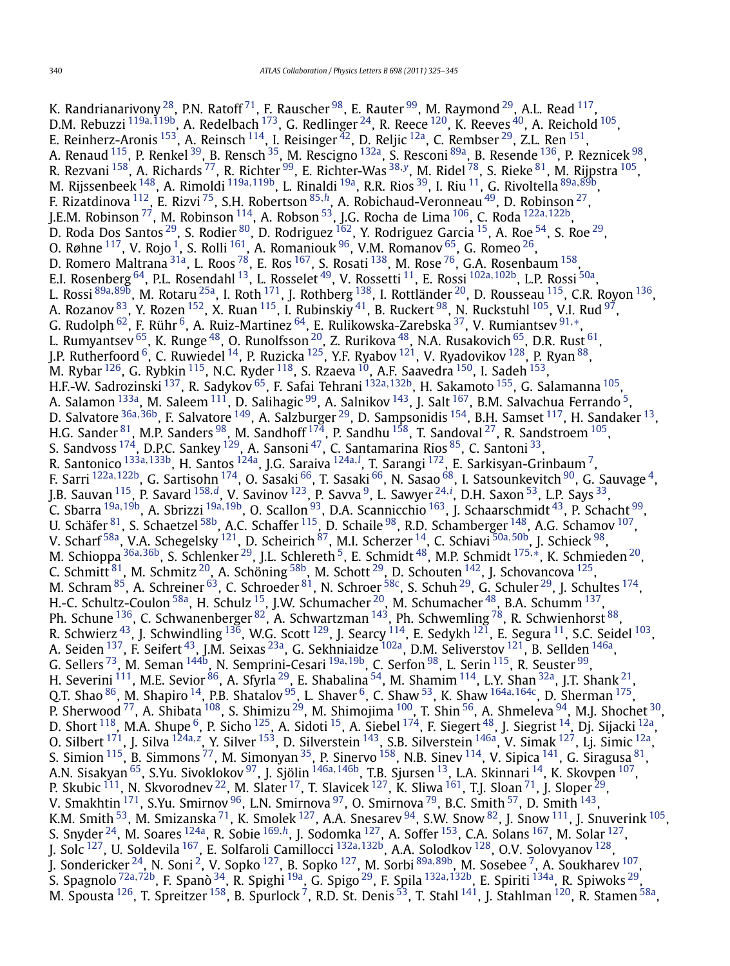K. Randrianarivony  $^{28}$ , P.N. Ratoff  $^{71}$ , F. Rauscher  $^{98}$ , E. Rauter  $^{99}$ , M. Raymond  $^{29}$ , A.L. Read  $^{117}$ , D.M. Rebuzzi [119a](#page-19-0)*,*[119b](#page-19-0), A. Redelbach [173,](#page-19-0) G. Redlinger [24,](#page-17-0) R. Reece [120](#page-19-0), K. Reeves [40,](#page-18-0) A. Reichold [105,](#page-18-0) E. Reinherz-Aronis <sup>153</sup>, A. Reinsch <sup>114</sup>, I. Reisinger <sup>42</sup>, D. Reljic <sup>12a</sup>, C. Rembser <sup>29</sup>, Z.L. Ren <sup>151</sup>, A. Renaud <sup>115</sup>, P. Renkel <sup>39</sup>, B. Rensch <sup>[35](#page-18-0)</sup>, M. Rescigno <sup>132a</sup>, S. Resconi <sup>89a</sup>, B. Resende <sup>[136](#page-19-0)</sup>, P. Reznicek <sup>98</sup>, R. Rezvani [158,](#page-19-0) A. Richards [77,](#page-18-0) R. Richter [99,](#page-18-0) E. Richter-Was [38](#page-18-0)*,[y](#page-20-0)*, M. Ridel [78,](#page-18-0) S. Rieke [81,](#page-18-0) M. Rijpstra [105,](#page-18-0) M. Rijssenbeek [148,](#page-19-0) A. Rimoldi [119a](#page-19-0)*,*[119b,](#page-19-0) L. Rinaldi [19a,](#page-17-0) R.R. Rios [39,](#page-18-0) I. Riu [11,](#page-17-0) G. Rivoltella [89a](#page-18-0)*,*[89b,](#page-18-0) F. Rizatdinova [112,](#page-19-0) E. Rizvi [75,](#page-18-0) S.H. Robertson [85](#page-18-0)*,[h](#page-20-0)*, A. Robichaud-Veronneau [49,](#page-18-0) D. Robinson [27,](#page-17-0) J.E.M. Robinson [77,](#page-18-0) M. Robinson [114,](#page-19-0) A. Robson [53,](#page-18-0) J.G. Rocha de Lima [106,](#page-19-0) C. Roda [122a](#page-19-0)*,*[122b,](#page-19-0) D. Roda Dos Santos  $^{29}$ , S. Rodier  $^{80}$ , D. Rodriguez  $^{162}$ , Y. Rodriguez Garcia  $^{15}$  $^{15}$  $^{15}$ , A. Roe  $^{54}$ , S. Roe  $^{29}$ , O. Røhne  $^{117}$ , V. Rojo  $^1$ , S. Rolli  $^{161}$ , A. Romaniouk  $^{96}$ , V.M. Romanov  $^{65}$ , G. Romeo  $^{26}$ , D. Romero Maltrana $^{\text{31a}}$ , L. Roos $^{\text{78}}$ , E. Ros $^{\text{167}}$ , S. Rosati $^{\text{138}}$ , M. Rose $^{\text{76}}$ , G.A. Rosenbaum  $^{\text{158}}$ , E.I. Rosenberg [64,](#page-18-0) P.L. Rosendahl [13,](#page-17-0) L. Rosselet [49](#page-18-0), V. Rossetti [11,](#page-17-0) E. Rossi [102a](#page-18-0)*,*[102b,](#page-18-0) L.P. Rossi [50a,](#page-18-0) L. Rossi [89a](#page-18-0)*,*[89b,](#page-18-0) M. Rotaru [25a,](#page-17-0) I. Roth [171,](#page-19-0) J. Rothberg [138,](#page-19-0) I. Rottländer [20,](#page-17-0) D. Rousseau [115,](#page-19-0) C.R. Royon [136,](#page-19-0) A. Rozanov  $^{83}$ , Y. Rozen  $^{152}$ , X. Ruan  $^{115}$ , I. Rubinskiy  $^{41}$ , B. Ruckert  $^{98}$ , N. Ruckstuhl  $^{105}$ , V.I. Rud  $^{97}$ , G. Rudolph [62](#page-18-0), F. Rühr [6,](#page-17-0) A. Ruiz-Martinez [64,](#page-18-0) E. Rulikowska-Zarebska [37,](#page-18-0) V. Rumiantsev [91](#page-18-0)*,*[∗](#page-20-0), L. Rumyantsev  $^{65}$ , K. Runge  $^{48}$ , O. Runolfsson  $^{20}$ , Z. Rurikova  $^{48}$ , N.A. Rusakovich  $^{65}$ , D.R. Rust  $^{61}$  $^{61}$  $^{61}$ , J.P. Rutherfoord  $^6$ , C. Ruwiedel  $^{14}$  $^{14}$  $^{14}$ , P. Ruzicka  $^{125}$ , Y.F. Ryabov  $^{121}$ , V. Ryadovikov  $^{128}$ , P. Ryan  $^{88}$ , M. Rybar  $^{126}$ , G. Rybkin  $^{115}$ , N.C. Ryder  $^{118}$ , S. Rzaeva  $^{10}$ , A.F. Saavedra  $^{150}$ , I. Sadeh  $^{153}$ , H.F.-W. Sadrozinski [137,](#page-19-0) R. Sadykov [65,](#page-18-0) F. Safai Tehrani [132a](#page-19-0)*,*[132b,](#page-19-0) H. Sakamoto [155,](#page-19-0) G. Salamanna [105,](#page-18-0) A. Salamon <sup>133a</sup>, M. Saleem <sup>111</sup>, D. Salihagic <sup>99</sup>, A. Salnikov <sup>143</sup>, J. Salt <sup>167</sup>, B.M. Salvachua Ferrando <sup>5</sup>, D. Salvatore [36a](#page-18-0)*,*[36b,](#page-18-0) F. Salvatore [149,](#page-19-0) A. Salzburger [29,](#page-17-0) D. Sampsonidis [154,](#page-19-0) B.H. Samset [117,](#page-19-0) H. Sandaker [13,](#page-17-0) H.G. Sander  $^{81}$ , M.P. Sanders  $^{98}$ , M. Sandhoff  $^{174}$ , P. Sandhu  $^{158}$ , T. Sandoval  $^{27}$  $^{27}$  $^{27}$ , R. Sandstroem  $^{105}$ , S. Sandvoss <sup>174</sup>, D.P.C. Sankey <sup>129</sup>, A. Sansoni <sup>47</sup>, C. Santamarina Rios <sup>85</sup>, C. Santoni <sup>33</sup>, R. Santonico [133a](#page-19-0)*,*[133b,](#page-19-0) H. Santos [124a,](#page-19-0) J.G. Saraiva [124a](#page-19-0)*,[l](#page-20-0)* , T. Sarangi [172,](#page-19-0) E. Sarkisyan-Grinbaum [7,](#page-17-0) F. Sarri [122a](#page-19-0)*,*[122b,](#page-19-0) G. Sartisohn [174,](#page-19-0) O. Sasaki [66,](#page-18-0) T. Sasaki [66,](#page-18-0) N. Sasao [68,](#page-18-0) I. Satsounkevitch [90](#page-18-0), G. Sauvage [4,](#page-17-0) J.B. Sauvan [115,](#page-19-0) P. Savard [158](#page-19-0)*,[d](#page-20-0)*, V. Savinov [123,](#page-19-0) P. Savva [9,](#page-17-0) L. Sawyer [24](#page-17-0)*,[i](#page-20-0)* , D.H. Saxon [53,](#page-18-0) L.P. Says [33,](#page-18-0) C. Sbarra [19a](#page-17-0)*,*[19b,](#page-17-0) A. Sbrizzi [19a](#page-17-0)*,*[19b,](#page-17-0) O. Scallon [93,](#page-18-0) D.A. Scannicchio [163,](#page-19-0) J. Schaarschmidt [43,](#page-18-0) P. Schacht [99,](#page-18-0) U. Schäfer $^{81}$ , S. Schaetzel $^{58\mathsf{b}}$ , A.C. Schaffer $^{115}$ , D. Schaile $^{98}$ , R.D. Schamberger $^{148}$ , A.G. Schamov $^{107}$ , V. Scharf [58a,](#page-18-0) V.A. Schegelsky [121](#page-19-0), D. Scheirich [87,](#page-18-0) M.I. Scherzer [14,](#page-17-0) C. Schiavi [50a](#page-18-0)*,*[50b,](#page-18-0) J. Schieck [98,](#page-18-0) M. Schioppa [36a](#page-18-0)*,*[36b,](#page-18-0) S. Schlenker [29,](#page-17-0) J.L. Schlereth [5,](#page-17-0) E. Schmidt [48,](#page-18-0) M.P. Schmidt [175](#page-19-0)*,*[∗](#page-20-0), K. Schmieden [20,](#page-17-0) C. Schmitt  $^{81}$ , M. Schmitz  $^{20}$ , A. Schöning  $^{58b}$ , M. Schott  $^{29}$ , D. Schouten  $^{142}$ , J. Schovancova  $^{125}$ , M. Schram  $^{85}$  $^{85}$  $^{85}$ , A. Schreiner  $^{63}$ , C. Schroeder  $^{81}$ , N. Schroer  $^{58c}$ , S. Schuh  $^{29}$ , G. Schuler  $^{29}$ , J. Schultes  $^{174}$ , H.-C. Schultz-Coulon  $^{58\mathrm{a}}$ , H. Schulz  $^{15}$ , J.W. Schumacher  $^{20}$ , M. Schumacher  $^{48}$ , B.A. Schumm  $^{137}$ , Ph. Schune <sup>[136](#page-19-0)</sup>, C. Schwanenberger <sup>82</sup>, A. Schwartzman <sup>143</sup>, Ph. Schwemling <sup>78</sup>, R. Schwienhorst <sup>[88](#page-18-0)</sup>, R. Schwierz  $^{43}$ , J. Schwindling  $^{136}$ , W.G. Scott  $^{129}$ , J. Searcy  $^{114}$ , E. Sedykh  $^{121}$ , E. Segura  $^{11}$ , S.C. Seidel  $^{103}$ , A. Seiden <sup>137</sup>, F. Seifert <sup>43</sup>, J.M. Seixas <sup>23a</sup>, G. Sekhniaidze <sup>102a</sup>, D.M. Seliverstov <sup>121</sup>, B. Sellden <sup>146a</sup>, G. Sellers [73,](#page-18-0) M. Seman [144b,](#page-19-0) N. Semprini-Cesari [19a](#page-17-0)*,*[19b,](#page-17-0) C. Serfon [98,](#page-18-0) L. Serin [115,](#page-19-0) R. Seuster [99,](#page-18-0) H. Severini  $^{111}$ , M.E. Sevior  $^{86}$ , A. Sfyrla  $^{29}$ , E. Shabalina  $^{54}$ , M. Shamim  $^{114}$ , L.Y. Shan  $^{32}$ , J.T. Shank  $^{21}$ , Q.T. Shao [86,](#page-18-0) M. Shapiro [14,](#page-17-0) P.B. Shatalov [95,](#page-18-0) L. Shaver [6,](#page-17-0) C. Shaw [53](#page-18-0), K. Shaw [164a](#page-19-0)*,*[164c,](#page-19-0) D. Sherman [175](#page-19-0), P. Sherwood <sup>77</sup>, A. Shibata <sup>[108](#page-19-0)</sup>, S. Shimizu <sup>29</sup>, M. Shimojima <sup>100</sup>, T. Shin <sup>56</sup>, A. Shmeleva <sup>94</sup>, M.J. Shochet <sup>30</sup>, D. Short <sup>118</sup>, M.A. Shupe <sup>6</sup>, P. Sicho <sup>125</sup>, A. Sidoti <sup>15</sup>, A. Siebel <sup>174</sup>, F. Siegert <sup>48</sup>, J. Siegrist <sup>14</sup>, Dj. Sijacki <sup>12a</sup>, O. Silbert <sup>171</sup>, J. Silva <sup>[124a](#page-19-0),[z](#page-20-0)</sup>, Y. Silver <sup>153</sup>, D. Silverstein <sup>[143](#page-19-0)</sup>, S.B. Silverstein <sup>146a</sup>, V. Simak <sup>127</sup>, Lj. Simic <sup>[12a](#page-17-0)</sup>, S. Simion  $^{115}$  $^{115}$  $^{115}$ , B. Simmons  $^{77}$ , M. Simonyan  $^{35}$ , P. Sinervo  $^{158}$ , N.B. Sinev  $^{114}$ , V. Sipica  $^{141}$ , G. Siragusa  $^{81}$ , A.N. Sisakyan [65,](#page-18-0) S.Yu. Sivoklokov [97,](#page-18-0) J. Sjölin [146a](#page-19-0)*,*[146b,](#page-19-0) T.B. Sjursen [13,](#page-17-0) L.A. Skinnari [14,](#page-17-0) K. Skovpen [107,](#page-19-0) P. Skubic <sup>111</sup>, N. Skvorodnev <sup>22</sup>, M. Slater <sup>17</sup>, T. Slavicek <sup>127</sup>, K. Sliwa <sup>161</sup>, T.J. Sloan <sup>71</sup>, J. Sloper <sup>[29](#page-17-0)</sup>, V. Smakhtin  $^{171}$  $^{171}$  $^{171}$ , S.Yu. Smirnov  $^{96}$ , L.N. Smirnova  $^{97}$ , O. Smirnova  $^{79}$ , B.C. Smith  $^{57}$ , D. Smith  $^{143}$ , K.M. Smith  $^{53}$ , M. Smizanska  $^{71}$ , K. Smolek  $^{127}$ , A.A. Snesarev  $^{94}$ , S.W. Snow  $^{82}$ , J. Snow  $^{111}$ , J. Snuverink  $^{105}$ , S. Snyder [24,](#page-17-0) M. Soares [124a,](#page-19-0) R. Sobie [169](#page-19-0)*,[h](#page-20-0)*, J. Sodomka [127](#page-19-0), A. Soffer [153,](#page-19-0) C.A. Solans [167,](#page-19-0) M. Solar [127,](#page-19-0) J. Solc [127,](#page-19-0) U. Soldevila [167,](#page-19-0) E. Solfaroli Camillocci [132a](#page-19-0)*,*[132b,](#page-19-0) A.A. Solodkov [128,](#page-19-0) O.V. Solovyanov [128](#page-19-0), J. Sondericker [24,](#page-17-0) N. Soni [2,](#page-17-0) V. Sopko [127,](#page-19-0) B. Sopko [127,](#page-19-0) M. Sorbi [89a](#page-18-0)*,*[89b,](#page-18-0) M. Sosebee [7,](#page-17-0) A. Soukharev [107,](#page-19-0) S. Spagnolo [72a](#page-18-0)*,*[72b](#page-18-0), F. Spanò [34,](#page-18-0) R. Spighi [19a,](#page-17-0) G. Spigo [29,](#page-17-0) F. Spila [132a](#page-19-0)*,*[132b,](#page-19-0) E. Spiriti [134a,](#page-19-0) R. Spiwoks [29](#page-17-0), M. Spousta  $^{126}$ , T. Spreitzer  $^{158}$ , B. Spurlock  $^7$  $^7$ , R.D. St. Denis  $^{53}$  $^{53}$  $^{53}$ , T. Stahl  $^{141}$ , J. Stahlman  $^{120}$ , R. Stamen  $^{58a}$ ,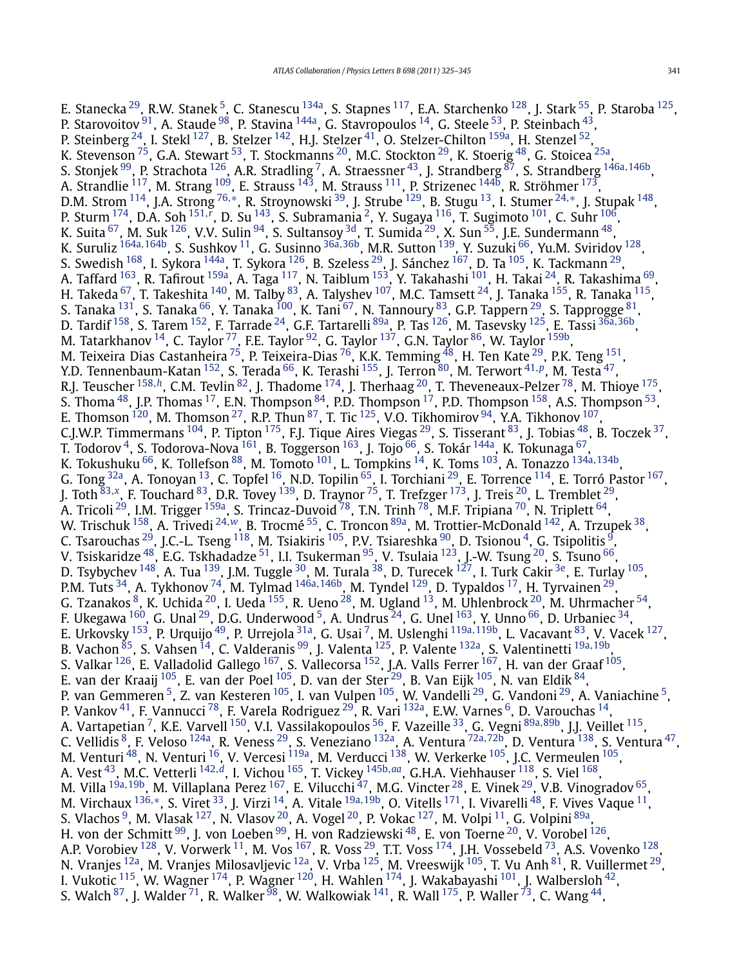E. Stanecka <sup>29</sup>, R.W. Stanek <sup>[5](#page-17-0)</sup>, C. Stanescu <sup>134a</sup>, S. Stapnes <sup>117</sup>, E.A. Starchenko <sup>128</sup>, J. Stark <sup>55</sup>, P. Staroba <sup>125</sup>, P. Starovoitov  $91$ , A. Staude  $98$ , P. Stavina  $144a$ , G. Stavropoulos  $14$ , G. Steele  $53$ , P. Steinbach  $43$ , P. Steinberg  $^{24}$ , I. Stekl  $^{127}$ , B. Stelzer  $^{142}$  $^{142}$  $^{142}$ , H.J. Stelzer  $^{41}$  $^{41}$  $^{41}$ , O. Stelzer-Chilton  $^{159\mathrm{a}}$ , H. Stenzel  $^{52}$ , K. Stevenson  $^{75}$ , G.A. Stewart  $^{53}$ , T. Stockmanns  $^{20}$ , M.C. Stockton  $^{29}$ , K. Stoerig  $^{48}$ , G. Stoicea  $^{25\mathrm{a}}$ , S. Stonjek [99,](#page-18-0) P. Strachota [126,](#page-19-0) A.R. Stradling [7,](#page-17-0) A. Straessner [43](#page-18-0), J. Strandberg [87](#page-18-0), S. Strandberg [146a](#page-19-0)*,*[146b,](#page-19-0) A. Strandlie  $^{117}$ , M. Strang  $^{109}$ , E. Strauss  $^{143}$ , M. Strauss  $^{111}$ , P. Strizenec  $^{144\mathrm{b}}$ , R. Ströhmer  $^{173}$ , D.M. Strom [114,](#page-19-0) J.A. Strong [76](#page-18-0)*,*[∗](#page-20-0), R. Stroynowski [39,](#page-18-0) J. Strube [129,](#page-19-0) B. Stugu [13,](#page-17-0) I. Stumer [24](#page-17-0)*,*[∗](#page-20-0), J. Stupak [148,](#page-19-0) P. Sturm [174,](#page-19-0) D.A. Soh [151](#page-19-0)*,[r](#page-20-0)* , D. Su [143](#page-19-0), S. Subramania [2,](#page-17-0) Y. Sugaya [116,](#page-19-0) T. Sugimoto [101,](#page-18-0) C. Suhr [106,](#page-19-0) K. Suita  $^{67}$ , M. Suk  $^{126}$ , V.V. Sulin  $^{94}$  $^{94}$  $^{94}$ , S. Sultansoy  $^{3d}$ , T. Sumida  $^{29}$ , X. Sun  $^{55}$ , J.E. Sundermann  $^{48}$ , K. Suruliz [164a](#page-19-0)*,*[164b,](#page-19-0) S. Sushkov [11,](#page-17-0) G. Susinno [36a](#page-18-0)*,*[36b,](#page-18-0) M.R. Sutton [139,](#page-19-0) Y. Suzuki [66,](#page-18-0) Yu.M. Sviridov [128,](#page-19-0) S. Swedish <sup>168</sup>, I. Sykora <sup>144a</sup>, T. Sykora <sup>126</sup>, B. Szeless <sup>[29](#page-17-0)</sup>, J. Sánchez <sup>167</sup>, D. Ta <sup>105</sup>, K. Tackmann <sup>29</sup>, A. Taffard <sup>163</sup>, R. Tafirout <sup>159a</sup>, A. Taga <sup>117</sup>, N. Taiblum <sup>153</sup>, Y. Takahashi <sup>101</sup>, H. Takai <sup>24</sup>, R. Takashima <sup>[69](#page-18-0)</sup>, H. Takeda  $^{67}$ , T. Takeshita  $^{140}$ , M. Talby  $^{83}$ , A. Talyshev  $^{107}$ , M.C. Tamsett  $^{24}$ , J. Tanaka  $^{155}$ , R. Tanaka  $^{115},$ S. Tancua [131,](#page-19-0) S. Tancsinia 1, W. Tanby 1, A. Taryshev 1, W.C. Tanisett 1, J. Tanaka 1, N. Tanaka 131, S. Tanaka  $\frac{66}{100}$ , K. Tanaka  $\frac{100}{100}$ , K. Tannoury  $\frac{67}{100}$  $\frac{67}{100}$  $\frac{67}{100}$ , N. Tannoury  $\frac{83}{100}$ , G.P. Tappern  $\frac{$ D. Tardif [158,](#page-19-0) S. Tarem [152,](#page-19-0) F. Tarrade [24,](#page-17-0) G.F. Tartarelli [89a,](#page-18-0) P. Tas [126,](#page-19-0) M. Tasevsky [125,](#page-19-0) E. Tassi [36a](#page-18-0)*,*[36b,](#page-18-0) M. Tatarkhanov  $^{14}$ , C. Taylor  $^{77}$ , F.E. Taylor  $^{92}$ , G. Taylor  $^{137}$ , G.N. Taylor  $^{86}$ , W. Taylor  $^{159b}$ , M. Teixeira Dias Castanheira $^{\,75}$ , P. Teixeira-Dias $^{\,76}$ , K.K. Temming $^{\,48}$ , H. Ten Kate $^{\,29}$ , P.K. Teng $^{\,151}$ , Y.D. Tennenbaum-Katan [152,](#page-19-0) S. Terada [66,](#page-18-0) K. Terashi [155,](#page-19-0) J. Terron [80,](#page-18-0) M. Terwort [41](#page-18-0)*,[p](#page-20-0)*, M. Testa [47,](#page-18-0) R.J. Teuscher <sup>[158](#page-19-0),[h](#page-20-0)</sup>, C.M. Tevlin <sup>82</sup>, J. Thadome <sup>174</sup>, J. Therhaag <sup>20</sup>, T. Theveneaux-Pelzer <sup>78</sup>, M. Thioye <sup>[175](#page-19-0)</sup>, S. Thoma  $^{48}$ , J.P. Thomas  $^{17}$  $^{17}$  $^{17}$ , E.N. Thompson  $^{84}$  $^{84}$  $^{84}$ , P.D. Thompson  $^{17}$ , P.D. Thompson  $^{158}$ , A.S. Thompson  $^{53}$ , E. Thomson  $^{120}$ , M. Thomson  $^{27}$ , R.P. Thun  $^{87}$ , T. Tic  $^{125}$ , V.O. Tikhomirov  $^{94}$ , Y.A. Tikhonov  $^{107}$ , C.J.W.P. Timmermans  $^{104}$ , P. Tipton  $^{175}$ , F.J. Tique Aires Viegas  $^{29}$ , S. Tisserant  $^{83}$ , J. Tobias  $^{48}$ , B. Toczek  $^{37}$ , T. Todorov <sup>4</sup>, S. Todorova-Nova <sup>161</sup>, B. Toggerson <sup>163</sup>, J. Tojo <sup>66</sup>, S. Tokár <sup>144a</sup>, K. Tokunaga <sup>67</sup>, K. Tokushuku <sup>66</sup>, K. Tollefson <sup>88</sup>, M. Tomoto <sup>[101](#page-18-0)</sup>, L. Tompkins <sup>14</sup>, K. Toms <sup>103</sup>, A. Tonazzo <sup>[134a](#page-19-0),134b</sup>, G. Tong <sup>32a</sup>, A. Tonoyan<sup>13</sup>, C. Topfel <sup>16</sup>, N.D. Topilin <sup>[65](#page-18-0)</sup>, I. Torchiani<sup>29</sup>, E. Torrence <sup>114</sup>, E. Torró Pastor <sup>167</sup>, J. Toth [83](#page-18-0)*,[x](#page-20-0)*, F. Touchard [83,](#page-18-0) D.R. Tovey [139,](#page-19-0) D. Traynor [75,](#page-18-0) T. Trefzger [173,](#page-19-0) J. Treis [20](#page-17-0), L. Tremblet [29,](#page-17-0) A. Tricoli <sup>29</sup>, I.M. Trigger <sup>159a</sup>, S. Trincaz-Duvoid <sup>[78](#page-18-0)</sup>, T.N. Trinh <sup>78</sup>, M.F. Tripiana <sup>70</sup>, N. Triplett <sup>64</sup>, W. Trischuk [158](#page-19-0), A. Trivedi [24](#page-17-0)*,[w](#page-20-0)*, B. Trocmé [55,](#page-18-0) C. Troncon [89a,](#page-18-0) M. Trottier-McDonald [142,](#page-19-0) A. Trzupek [38,](#page-18-0) C. Tsarouchas  $^{29}$ , J.C.-L. Tseng  $^{118}$ , M. Tsiakiris  $^{105}$ , P.V. Tsiareshka  $^{90}$ , D. Tsionou  $^{4}$ , G. Tsipolitis  $^{9}$ , V. Tsiskaridze  $^{48}$ , E.G. Tskhadadze  $^{51}$ , I.I. Tsukerman  $^{95}$ , V. Tsulaia  $^{123}$ , J.-W. Tsung  $^{20}$ , S. Tsuno  $^{66}$ , D. Tsybychev <sup>148</sup>, A. Tua <sup>139</sup>, J.M. Tuggle <sup>30</sup>, M. Turala <sup>38</sup>, D. Turecek <sup>127</sup>, I. Turk Cakir <sup>3e</sup>, E. Turlay <sup>105</sup>, P.M. Tuts [34,](#page-18-0) A. Tykhonov [74](#page-18-0), M. Tylmad [146a](#page-19-0)*,*[146b,](#page-19-0) M. Tyndel [129,](#page-19-0) D. Typaldos [17,](#page-17-0) H. Tyrvainen [29,](#page-17-0) G. Tzanakos  $^8$ , K. Uchida  $^{20}$ , I. Ueda  $^{155}$ , R. Ueno  $^{28}$  $^{28}$  $^{28}$ , M. Ugland  $^{13}$ , M. Uhlenbrock  $^{20}$ , M. Uhrmacher  $^{54}$ , F. Ukegawa  $^{160}$ , G. Unal  $^{29}$  $^{29}$  $^{29}$ , D.G. Underwood <sup>5</sup>, A. Undrus  $^{24}$ , G. Unel  $^{163}$ , Y. Unno  $^{66}$ , D. Urbaniec  $^{34}$ , E. Urkovsky [153,](#page-19-0) P. Urquijo [49,](#page-18-0) P. Urrejola [31a,](#page-17-0) G. Usai [7,](#page-17-0) M. Uslenghi [119a](#page-19-0)*,*[119b,](#page-19-0) L. Vacavant [83,](#page-18-0) V. Vacek [127,](#page-19-0) B. Vachon [85,](#page-18-0) S. Vahsen [14,](#page-17-0) C. Valderanis [99,](#page-18-0) J. Valenta [125](#page-19-0), P. Valente [132a,](#page-19-0) S. Valentinetti [19a](#page-17-0)*,*[19b,](#page-17-0) S. Valkar  $^{126}$ , E. Valladolid Gallego  $^{167}$ , S. Vallecorsa  $^{152}$ , J.A. Valls Ferrer  $^{167}$ , H. van der Graaf  $^{105}$ , E. van der Kraaij  $^{105}$  $^{105}$  $^{105}$ , E. van der Poel $^{105}$ , D. van der Ster $^{29}$ , B. Van Eijk $^{105}$ , N. van Eldik $^{84},$ P. van Gemmeren [5,](#page-17-0) Z. van Kesteren [105,](#page-18-0) I. van Vulpen [105](#page-18-0), W. Vandelli [29,](#page-17-0) G. Vandoni [29,](#page-17-0) A. Vaniachine [5,](#page-17-0) P. Vankov  $^{41}$ , F. Vannucci  $^{78}$ , F. Varela Rodriguez  $^{29}$ , R. Vari  $^{132}$ , E.W. Varnes  $^{6}$ , D. Varouchas  $^{14}$ , A. Vartapetian<sup>7</sup>, K.E. Varvell<sup>150</sup>, V.I. Vassilakopoulos <sup>56</sup>, F. Vazeille <sup>33</sup>, G. Vegni <sup>[89a](#page-18-0), 89b</sup>, J.I. Veillet <sup>115</sup>, C. Vellidis [8,](#page-17-0) F. Veloso [124a,](#page-19-0) R. Veness [29,](#page-17-0) S. Veneziano [132a,](#page-19-0) A. Ventura [72a](#page-18-0)*,*[72b,](#page-18-0) D. Ventura [138,](#page-19-0) S. Ventura [47](#page-18-0), M. Venturi  $^{48}$ , N. Venturi  $^{16}$ , V. Vercesi  $^{119a}$ , M. Verducci  $^{138}$ , W. Verkerke  $^{105}$  $^{105}$  $^{105}$ , J.C. Vermeulen  $^{105}$ , A. Vest [43,](#page-18-0) M.C. Vetterli [142](#page-19-0)*,[d](#page-20-0)*, I. Vichou [165,](#page-19-0) T. Vickey [145b](#page-19-0)*,[aa](#page-20-0)*, G.H.A. Viehhauser [118,](#page-19-0) S. Viel [168,](#page-19-0) M. Villa [19a](#page-17-0)*,*[19b,](#page-17-0) M. Villaplana Perez [167,](#page-19-0) E. Vilucchi [47,](#page-18-0) M.G. Vincter [28,](#page-17-0) E. Vinek [29,](#page-17-0) V.B. Vinogradov [65,](#page-18-0) M. Virchaux [136](#page-19-0)*,*[∗](#page-20-0), S. Viret [33,](#page-18-0) J. Virzi [14,](#page-17-0) A. Vitale [19a](#page-17-0)*,*[19b,](#page-17-0) O. Vitells [171,](#page-19-0) I. Vivarelli [48,](#page-18-0) F. Vives Vaque [11,](#page-17-0) S. Vlachos  $^9$ , M. Vlasak  $^{127}$  $^{127}$  $^{127}$ , N. Vlasov  $^{20}$ , A. Vogel  $^{20}$ , P. Vokac  $^{127}$ , M. Volpi  $^{11}$ , G. Volpini  $^{89\mathrm{a}},$ H. von der Schmitt<sup>[99](#page-18-0)</sup>, J. von Loeben<sup>99</sup>, H. von Radziewski<sup>48</sup>, E. von Toerne<sup>20</sup>, V. Vorobel<sup>126</sup>, A.P. Vorobiev  $^{128}$ , V. Vorwerk  $^{11}$ , M. Vos  $^{167}$ , R. Voss  $^{29}$ , T.T. Voss  $^{174}$ , J.H. Vossebeld  $^{73}$ , A.S. Vovenko  $^{128},$ N. Vranjes <sup>[12a](#page-17-0)</sup>, M. Vranjes Milosavljevic <sup>12a</sup>, V. Vrba <sup>125</sup>, M. Vreeswijk <sup>105</sup>, T. Vu Anh <sup>81</sup>, R. Vuillermet <sup>29</sup>, I. Vukotic  $^{115}$ , W. Wagner  $^{174}$ , P. Wagner  $^{120}$ , H. Wahlen  $^{174}$ , J. Wakabayashi  $^{101}$ , J. Walbersloh  $^{42}$ , S. Walch <sup>87</sup>, J. Walder <sup>71</sup>, R. Walker <sup>98</sup>, W. Walkowiak <sup>141</sup>, R. Wall <sup>175</sup>, P. Waller <sup>[73](#page-18-0)</sup>, C. Wang <sup>44</sup>,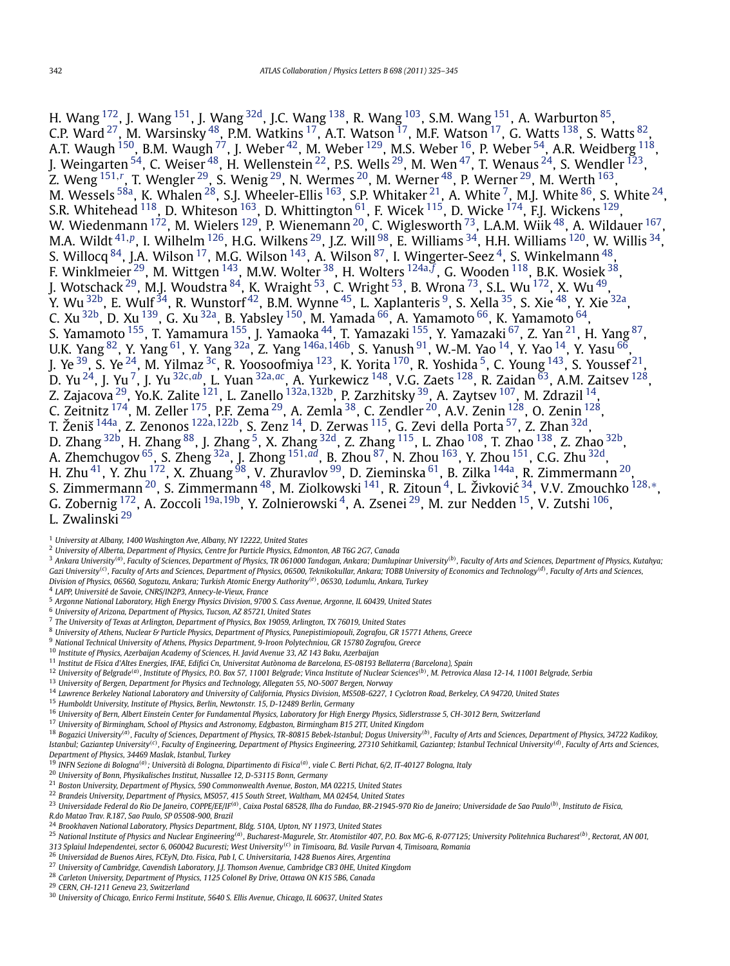<span id="page-17-0"></span>H. Wang  $^{172}$ , J. Wang  $^{151}$  $^{151}$  $^{151}$ , J. Wang  $^{32d}$ , J.C. Wang  $^{138}$ , R. Wang  $^{103}$  $^{103}$  $^{103}$ , S.M. Wang  $^{151}$ , A. Warburton  $^{85}$ , C.P. Ward  $^{27}$ , M. Warsinsky  $^{48}$ , P.M. Watkins  $^{17}$ , A.T. Watson  $^{17}$ , M.F. Watson  $^{17}$ , G. Watts  $^{138}$ , S. Watts  $^{82}$ , A.T. Waugh  $^{150}$ , B.M. Waugh  $^{77}$  $^{77}$  $^{77}$ , J. Weber  $^{42}$ , M. Weber  $^{129}$ , M.S. Weber  $^{16}$ , P. Weber  $^{54}$ , A.R. Weidberg  $^{118}$ , J. Weingarten  $^{54}$ , C. Weiser  $^{48}$ , H. Wellenstein  $^{22}$ , P.S. Wells  $^{29}$ , M. Wen  $^{47}$ , T. Wenaus  $^{24}$ , S. Wendler  $^{123}$ , Z. Weng <sup>[151](#page-19-0),*[r](#page-20-0)*</sup>, T. Wengler <sup>29</sup>, S. Wenig <sup>29</sup>, N. Wermes <sup>20</sup>, M. Werner <sup>48</sup>, P. Werner <sup>29</sup>, M. Werth <sup>163</sup>, M. Wessels  $^{58\text{a}}$ , K. Whalen  $^{28}$ , S.J. Wheeler-Ellis  $^{163}$ , S.P. Whitaker  $^{21}$ , A. White  $^7$ , M.J. White  $^{86}$ , S. White  $^{24}$ , S.R. Whitehead  $^{118}$ , D. Whiteson  $^{163}$ , D. Whittington  $^{61}$ , F. Wicek  $^{115}$ , D. Wicke  $^{174}$ , F.J. Wickens  $^{129}$ , W. Wiedenmann  $^{172}$ , M. Wielers  $^{129}$ , P. Wienemann  $^{20}$ , C. Wiglesworth  $^{73}$ , L.A.M. Wiik  $^{48}$ , A. Wildauer  $^{167},$ M.A. Wildt [41](#page-18-0)*,[p](#page-20-0)*, I. Wilhelm [126,](#page-19-0) H.G. Wilkens 29, J.Z. Will [98,](#page-18-0) E. Williams [34,](#page-18-0) H.H. Williams [120,](#page-19-0) W. Willis [34](#page-18-0), S. Willocq  $84$ , J.A. Wilson  $17$ , M.G. Wilson  $143$ , A. Wilson  $87$ , I. Wingerter-Seez  $4$ , S. Winkelmann  $48$ , F. Winklmeier 29, M. Wittgen [143,](#page-19-0) M.W. Wolter [38,](#page-18-0) H. Wolters [124a](#page-19-0)*,[f](#page-20-0)* , G. Wooden [118,](#page-19-0) B.K. Wosiek [38](#page-18-0), J. Wotschack  $^{29}$ , M.J. Woudstra  $^{84}$ , K. Wraight  $^{53}$ , C. Wright  $^{53}$ , B. Wrona  $^{73}$ , S.L. Wu  $^{172}$ , X. Wu  $^{49}$ , Y. Wu <sup>32b</sup>, E. Wulf <sup>34</sup>, R. Wunstorf <sup>42</sup>, B.M. Wynne <sup>45</sup>, L. Xaplanteris <sup>9</sup>, S. Xella <sup>35</sup>, S. Xie <sup>48</sup>, Y. Xie <sup>32a</sup>, C. Xu  $^{32\text{b}}$ , D. Xu  $^{139}$ , G. Xu  $^{32\text{a}}$ , B. Yabsley  $^{150}$ , M. Yamada  $^{66}$  $^{66}$  $^{66}$ , A. Yamamoto  $^{66}$ , K. Yamamoto  $^{64}$ , S. Yamamoto <sup>155</sup>, T. Yamamura <sup>155</sup>, J. Yamaoka <sup>44</sup>, T. Yamazaki <sup>155</sup>, Y. Yamazaki <sup>67</sup>, Z. Yan <sup>21</sup>, H. Yang <sup>87</sup>, U.K. Yang [82,](#page-18-0) Y. Yang [61](#page-18-0), Y. Yang [32a,](#page-18-0) Z. Yang [146a](#page-19-0)*,*[146b,](#page-19-0) S. Yanush [91,](#page-18-0) W.-M. Yao 14, Y. Yao 14, Y. Yasu [66](#page-18-0), J. Ye  $^{39}$ , S. Ye  $^{24}$ , M. Yilmaz  $^{3c}$ , R. Yoosoofmiya  $^{123}$ , K. Yorita  $^{170}$ , R. Yoshida  $^5$ , C. Young  $^{143}$  $^{143}$  $^{143}$ , S. Youssef  $^{21}$ , D. Yu 24, J. Yu 7, J. Yu [32c](#page-18-0)*,[ab](#page-20-0)*, L. Yuan [32a](#page-18-0)*,[ac](#page-20-0)*, A. Yurkewicz [148,](#page-19-0) V.G. Zaets [128,](#page-19-0) R. Zaidan [63,](#page-18-0) A.M. Zaitsev [128,](#page-19-0) Z. Zajacova 29, Yo.K. Zalite [121,](#page-19-0) L. Zanello [132a](#page-19-0)*,*[132b,](#page-19-0) P. Zarzhitsky [39,](#page-18-0) A. Zaytsev [107,](#page-19-0) M. Zdrazil 14, C. Zeitnitz  $^{174}$ , M. Zeller  $^{175}$ , P.F. Zema  $^{29}$ , A. Zemla  $^{38}$ , C. Zendler  $^{20}$ , A.V. Zenin  $^{128}$ , O. Zenin  $^{128}$ , T. Ženiš [144a,](#page-19-0) Z. Zenonos [122a](#page-19-0)*,*[122b,](#page-19-0) S. Zenz 14, D. Zerwas [115,](#page-19-0) G. Zevi della Porta [57,](#page-18-0) Z. Zhan [32d,](#page-18-0) D. Zhang  $^{32\text{b}}$ , H. Zhang  $^{88}$ , J. Zhang  $^5$ , X. Zhang  $^{32\text{d}}$ , Z. Zhang  $^{115}$ , L. Zhao  $^{108}$ , T. Zhao  $^{138}$ , Z. Zhao  $^{32\text{b}}$ , A. Zhemchugov [65,](#page-18-0) S. Zheng [32a,](#page-18-0) J. Zhong [151](#page-19-0)*,[ad](#page-20-0)*, B. Zhou [87,](#page-18-0) N. Zhou [163](#page-19-0), Y. Zhou [151,](#page-19-0) C.G. Zhu [32d,](#page-18-0) H. Zhu $^{41}$ , Y. Zhu $^{172}$ , X. Zhuang $^{98}$ , V. Zhuravlov $^{99}$ , D. Zieminska $^{61}$ , B. Zilka $^{144}$ , R. Zimmermann $^{20}$ , S. Zimmermann 20, S. Zimmermann [48,](#page-18-0) M. Ziolkowski [141,](#page-19-0) R. Zitoun 4, L. Živkovic´ [34,](#page-18-0) V.V. Zmouchko [128](#page-19-0)*,*[∗](#page-20-0), G. Zobernig [172,](#page-19-0) A. Zoccoli 19a*,*19b, Y. Zolnierowski 4, A. Zsenei 29, M. zur Nedden 15, V. Zutshi [106,](#page-19-0) L. Zwalinski <sup>29</sup>

- <sup>2</sup> *University of Alberta, Department of Physics, Centre for Particle Physics, Edmonton, AB T6G 2G7, Canada*
- $^3$  Ankara University<sup>(a)</sup>, Faculty of Sciences, Department of Physics, TR 061000 Tandogan, Ankara; Dumlupinar University<sup>(b)</sup>, Faculty of Arts and Sciences, Department of Physics, Kutahya; Gazi University<sup>(c)</sup>, Faculty of Arts and Sciences, Department of Physics, 06500, Teknikokullar, Ankara; TOBB University of Economics and Technology<sup>(d)</sup>, Faculty of Arts and Sciences, *Division of Physics, 06560, Sogutozu, Ankara; Turkish Atomic Energy Authority(e), 06530, Lodumlu, Ankara, Turkey*
- <sup>4</sup> *LAPP, Université de Savoie, CNRS/IN2P3, Annecy-le-Vieux, France*
- <sup>5</sup> *Argonne National Laboratory, High Energy Physics Division, 9700 S. Cass Avenue, Argonne, IL 60439, United States*
- <sup>6</sup> *University of Arizona, Department of Physics, Tucson, AZ 85721, United States*
- <sup>7</sup> *The University of Texas at Arlington, Department of Physics, Box 19059, Arlington, TX 76019, United States*
- <sup>8</sup> *University of Athens, Nuclear & Particle Physics, Department of Physics, Panepistimiopouli, Zografou, GR 15771 Athens, Greece*
- <sup>9</sup> *National Technical University of Athens, Physics Department, 9-Iroon Polytechniou, GR 15780 Zografou, Greece*
- <sup>10</sup> *Institute of Physics, Azerbaijan Academy of Sciences, H. Javid Avenue 33, AZ 143 Baku, Azerbaijan*
- <sup>11</sup> *Institut de Física d'Altes Energies, IFAE, Edifici Cn, Universitat Autònoma de Barcelona, ES-08193 Bellaterra (Barcelona), Spain*
- <sup>12</sup> University of Belgrade<sup>(a)</sup>, Institute of Physics, P.O. Box 57, 11001 Belgrade; Vinca Institute of Nuclear Sciences<sup>(b)</sup>, M. Petrovica Alasa 12-14, 11001 Belgrade, Serbia
- <sup>13</sup> *University of Bergen, Department for Physics and Technology, Allegaten 55, NO-5007 Bergen, Norway*
- <sup>14</sup> *Lawrence Berkeley National Laboratory and University of California, Physics Division, MS50B-6227, 1 Cyclotron Road, Berkeley, CA 94720, United States*
- <sup>15</sup> *Humboldt University, Institute of Physics, Berlin, Newtonstr. 15, D-12489 Berlin, Germany*
- <sup>16</sup> *University of Bern, Albert Einstein Center for Fundamental Physics, Laboratory for High Energy Physics, Sidlerstrasse 5, CH-3012 Bern, Switzerland*
- <sup>17</sup> *University of Birmingham, School of Physics and Astronomy, Edgbaston, Birmingham B15 2TT, United Kingdom*

18 Sourcesty 1 Secure 1 Secure 1 Secure 1 Secure 1 Secure 1 Secure 1 Secure 1 Secure 1 Secure 1 Secure 1 Secure 1 Secure 1 Secure 1 Secure 1 Secure 1 Secure 1 Secure 1 Secure 1 Secure 1 Secure 1 Secure 1 Secure 1 Secure 1 Istanbul; Gaziantep University<sup>(c)</sup>, Faculty of Engineering, Department of Physics Engineering, 27310 Sehitkamil, Gaziantep; Istanbul Technical University<sup>(d)</sup>, Faculty of Arts and Sciences, *Department of Physics, 34469 Maslak, Istanbul, Turkey*

<sup>19</sup> *INFN Sezione di Bologna(a); Università di Bologna, Dipartimento di Fisica(a), viale C. Berti Pichat, 6/2, IT-40127 Bologna, Italy*

- <sup>20</sup> *University of Bonn, Physikalisches Institut, Nussallee 12, D-53115 Bonn, Germany*
- <sup>21</sup> *Boston University, Department of Physics, 590 Commonwealth Avenue, Boston, MA 02215, United States*
- <sup>22</sup> *Brandeis University, Department of Physics, MS057, 415 South Street, Waltham, MA 02454, United States*
- <sup>23</sup> Universidade Federal do Rio De Janeiro, COPPE/EE/IF<sup>(a)</sup>. Caixa Postal 68528, Ilha do Fundao, BR-21945-970 Rio de Janeiro; Universidade de Sao Paulo<sup>(b)</sup>. Instituto de Fisica,

*R.do Matao Trav. R.187, Sao Paulo, SP 05508-900, Brazil*

<sup>24</sup> *Brookhaven National Laboratory, Physics Department, Bldg. 510A, Upton, NY 11973, United States*

- <sup>25</sup> National Institute of Physics and Nuclear Engineering<sup>(a)</sup>, Bucharest-Magurele, Str. Atomistilor 407, P.O. Box MG-6, R-077125; University Politehnica Bucharest<sup>(b)</sup>, Rectorat, AN 001, *313 Splaiul Independentei, sector 6, 060042 Bucuresti; West University(c) in Timisoara, Bd. Vasile Parvan 4, Timisoara, Romania*
- <sup>26</sup> *Universidad de Buenos Aires, FCEyN, Dto. Fisica, Pab I, C. Universitaria, 1428 Buenos Aires, Argentina*
- <sup>27</sup> *University of Cambridge, Cavendish Laboratory, J.J. Thomson Avenue, Cambridge CB3 0HE, United Kingdom*

<sup>28</sup> *Carleton University, Department of Physics, 1125 Colonel By Drive, Ottawa ON K1S 5B6, Canada*

<sup>29</sup> *CERN, CH-1211 Geneva 23, Switzerland*

<sup>1</sup> *University at Albany, 1400 Washington Ave, Albany, NY 12222, United States*

<sup>30</sup> *University of Chicago, Enrico Fermi Institute, 5640 S. Ellis Avenue, Chicago, IL 60637, United States*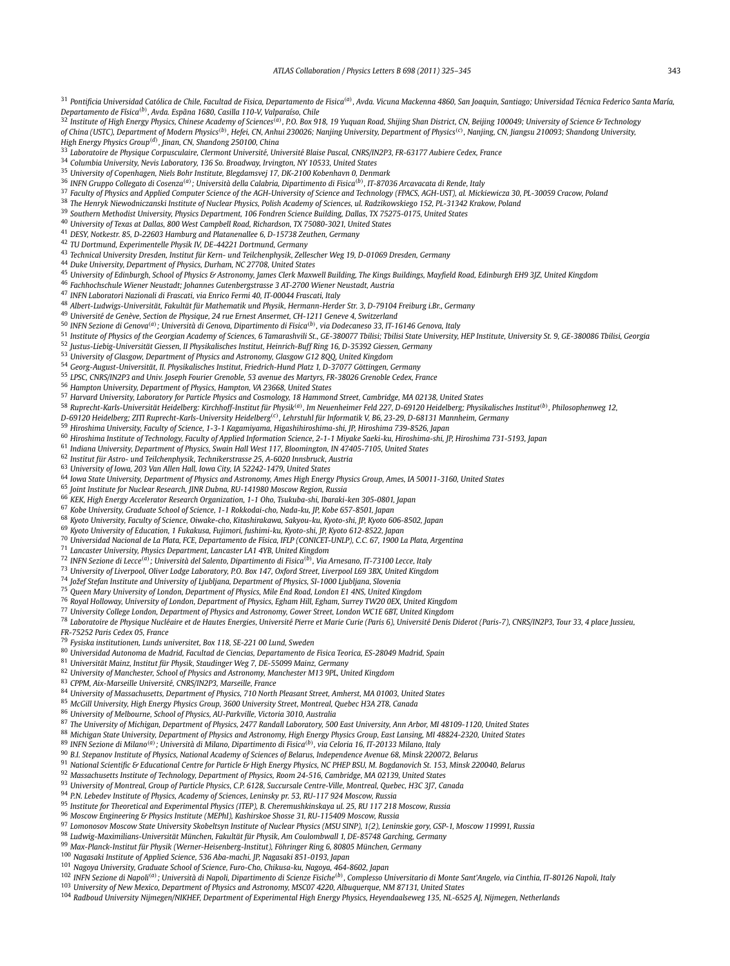<span id="page-18-0"></span>

| <sup>31</sup> Pontificia Universidad Católica de Chile, Facultad de Fisica, Departamento de Fisica <sup>(a)</sup> , Avda. Vicuna Mackenna 4860, San Joaquin, Santiago; Universidad Técnica Federico Santa María,                                                                                                                                      |
|-------------------------------------------------------------------------------------------------------------------------------------------------------------------------------------------------------------------------------------------------------------------------------------------------------------------------------------------------------|
| Departamento de Física <sup>(b)</sup> , Avda. Espãna 1680, Casilla 110-V, Valparaíso, Chile                                                                                                                                                                                                                                                           |
| <sup>32</sup> Institute of High Energy Physics, Chinese Academy of Sciences <sup>(a)</sup> , P.O. Box 918, 19 Yuquan Road, Shijing Shan District, CN, Beijing 100049; University of Science & Technology                                                                                                                                              |
| of China (USTC), Department of Modern Physics <sup>(b)</sup> , Hefei, CN, Anhui 230026; Nanjing University, Department of Physics <sup>(c)</sup> , Nanjing, CN, Jiangsu 210093; Shandong University,                                                                                                                                                  |
| High Energy Physics Group <sup>(d)</sup> , Jinan, CN, Shandong 250100, China                                                                                                                                                                                                                                                                          |
| 33 Laboratoire de Physique Corpusculaire, Clermont Université, Université Blaise Pascal, CNRS/IN2P3, FR-63177 Aubiere Cedex, France                                                                                                                                                                                                                   |
| <sup>34</sup> Columbia University, Nevis Laboratory, 136 So. Broadway, Irvington, NY 10533, United States                                                                                                                                                                                                                                             |
| <sup>35</sup> University of Copenhagen, Niels Bohr Institute, Blegdamsvej 17, DK-2100 Kobenhavn 0, Denmark                                                                                                                                                                                                                                            |
| <sup>36</sup> INFN Gruppo Collegato di Cosenza <sup>(a)</sup> ; Università della Calabria, Dipartimento di Fisica <sup>(b)</sup> , IT-87036 Arcavacata di Rende, Italy<br><sup>37</sup> Faculty of Physics and Applied Computer Science of the AGH-University of Science and Technology (FPACS, AGH-UST), al. Mickiewicza 30, PL-30059 Cracow, Poland |
| <sup>38</sup> The Henryk Niewodniczanski Institute of Nuclear Physics, Polish Academy of Sciences, ul. Radzikowskiego 152, PL-31342 Krakow, Poland                                                                                                                                                                                                    |
| <sup>39</sup> Southern Methodist University, Physics Department, 106 Fondren Science Building, Dallas, TX 75275-0175, United States                                                                                                                                                                                                                   |
| <sup>40</sup> University of Texas at Dallas, 800 West Campbell Road, Richardson, TX 75080-3021, United States                                                                                                                                                                                                                                         |
| <sup>41</sup> DESY, Notkestr. 85, D-22603 Hamburg and Platanenallee 6, D-15738 Zeuthen, Germany                                                                                                                                                                                                                                                       |
| <sup>42</sup> TU Dortmund, Experimentelle Physik IV, DE-44221 Dortmund, Germany                                                                                                                                                                                                                                                                       |
| <sup>43</sup> Technical University Dresden, Institut für Kern- und Teilchenphysik, Zellescher Weg 19, D-01069 Dresden, Germany                                                                                                                                                                                                                        |
| <sup>44</sup> Duke University, Department of Physics, Durham, NC 27708, United States                                                                                                                                                                                                                                                                 |
| <sup>45</sup> University of Edinburgh, School of Physics & Astronomy, James Clerk Maxwell Building, The Kings Buildings, Mayfield Road, Edinburgh EH9 3JZ, United Kingdom<br><sup>46</sup> Fachhochschule Wiener Neustadt; Johannes Gutenbergstrasse 3 AT-2700 Wiener Neustadt, Austria                                                               |
| <sup>47</sup> INFN Laboratori Nazionali di Frascati, via Enrico Fermi 40, IT-00044 Frascati, Italy                                                                                                                                                                                                                                                    |
| <sup>48</sup> Albert-Ludwigs-Universität, Fakultät für Mathematik und Physik, Hermann-Herder Str. 3, D-79104 Freiburg i.Br., Germany                                                                                                                                                                                                                  |
| <sup>49</sup> Université de Genève, Section de Physique, 24 rue Ernest Ansermet, CH-1211 Geneve 4, Switzerland                                                                                                                                                                                                                                        |
| <sup>50</sup> INFN Sezione di Genova <sup>(a)</sup> ; Università di Genova, Dipartimento di Fisica <sup>(b)</sup> , via Dodecaneso 33, IT-16146 Genova, Italy                                                                                                                                                                                         |
| <sup>51</sup> Institute of Physics of the Georgian Academy of Sciences, 6 Tamarashvili St., GE-380077 Tbilisi; Tbilisi State University, HEP Institute, University St. 9, GE-380086 Tbilisi, Georgia                                                                                                                                                  |
| <sup>52</sup> Justus-Liebig-Universität Giessen, II Physikalisches Institut, Heinrich-Buff Ring 16, D-35392 Giessen, Germany                                                                                                                                                                                                                          |
| <sup>53</sup> University of Glasgow, Department of Physics and Astronomy, Glasgow G12 800, United Kingdom<br><sup>54</sup> Georg-August-Universität, II. Physikalisches Institut, Friedrich-Hund Platz 1, D-37077 Göttingen, Germany                                                                                                                  |
| <sup>55</sup> LPSC, CNRS/IN2P3 and Univ. Joseph Fourier Grenoble, 53 avenue des Martyrs, FR-38026 Grenoble Cedex, France                                                                                                                                                                                                                              |
| <sup>56</sup> Hampton University, Department of Physics, Hampton, VA 23668, United States                                                                                                                                                                                                                                                             |
| <sup>57</sup> Harvard University, Laboratory for Particle Physics and Cosmology, 18 Hammond Street, Cambridge, MA 02138, United States                                                                                                                                                                                                                |
| <sup>58</sup> Ruprecht-Karls-Universität Heidelberg: Kirchhoff-Institut für Physik <sup>(a)</sup> , Im Neuenheimer Feld 227, D-69120 Heidelberg; Physikalisches Institut <sup>(b)</sup> , Philosophenweg 12,                                                                                                                                          |
| D-69120 Heidelberg; ZITI Ruprecht-Karls-University Heidelberg <sup>(c)</sup> , Lehrstuhl für Informatik V, B6, 23-29, D-68131 Mannheim, Germany                                                                                                                                                                                                       |
| <sup>59</sup> Hiroshima University, Faculty of Science, 1-3-1 Kagamiyama, Higashihiroshima-shi, JP, Hiroshima 739-8526, Japan                                                                                                                                                                                                                         |
| 60 Hiroshima Institute of Technology, Faculty of Applied Information Science, 2-1-1 Miyake Saeki-ku, Hiroshima-shi, JP, Hiroshima 731-5193, Japan                                                                                                                                                                                                     |
| <sup>61</sup> Indiana University, Department of Physics, Swain Hall West 117, Bloomington, IN 47405-7105, United States                                                                                                                                                                                                                               |
| <sup>62</sup> Institut für Astro- und Teilchenphysik, Technikerstrasse 25, A-6020 Innsbruck, Austria<br><sup>63</sup> University of Iowa, 203 Van Allen Hall, Iowa City, IA 52242-1479, United States                                                                                                                                                 |
| <sup>64</sup> Iowa State University, Department of Physics and Astronomy, Ames High Energy Physics Group, Ames, IA 50011-3160, United States                                                                                                                                                                                                          |
| <sup>65</sup> Joint Institute for Nuclear Research, JINR Dubna, RU-141980 Moscow Region, Russia                                                                                                                                                                                                                                                       |
| <sup>66</sup> KEK, High Energy Accelerator Research Organization, 1-1 Oho, Tsukuba-shi, Ibaraki-ken 305-0801, Japan                                                                                                                                                                                                                                   |
| 67 Kobe University, Graduate School of Science, 1-1 Rokkodai-cho, Nada-ku, JP, Kobe 657-8501, Japan                                                                                                                                                                                                                                                   |
| <sup>68</sup> Kyoto University, Faculty of Science, Oiwake-cho, Kitashirakawa, Sakyou-ku, Kyoto-shi, JP, Kyoto 606-8502, Japan                                                                                                                                                                                                                        |
| 69 Kyoto University of Education, 1 Fukakusa, Fujimori, fushimi-ku, Kyoto-shi, JP, Kyoto 612-8522, Japan                                                                                                                                                                                                                                              |
| <sup>70</sup> Universidad Nacional de La Plata, FCE, Departamento de Física, IFLP (CONICET-UNLP), C.C. 67, 1900 La Plata, Argentina<br><sup>71</sup> Lancaster University, Physics Department, Lancaster LA1 4YB, United Kingdom                                                                                                                      |
| <sup>72</sup> INFN Sezione di Lecce <sup>(a)</sup> ; Università del Salento, Dipartimento di Fisica <sup>(b)</sup> , Via Arnesano, IT-73100 Lecce, Italy                                                                                                                                                                                              |
| 73 University of Liverpool, Oliver Lodge Laboratory, P.O. Box 147, Oxford Street, Liverpool L69 3BX, United Kingdom                                                                                                                                                                                                                                   |
| <sup>74</sup> Jožef Stefan Institute and University of Ljubljana, Department of Physics, SI-1000 Ljubljana, Slovenia                                                                                                                                                                                                                                  |
| <sup>75</sup> Queen Mary University of London, Department of Physics, Mile End Road, London E1 4NS, United Kingdom                                                                                                                                                                                                                                    |
| <sup>76</sup> Royal Holloway, University of London, Department of Physics, Egham Hill, Egham, Surrey TW20 0EX, United Kingdom                                                                                                                                                                                                                         |
| <sup>77</sup> University College London, Department of Physics and Astronomy, Gower Street, London WC1E 6BT, United Kingdom                                                                                                                                                                                                                           |
| <sup>78</sup> Laboratoire de Physique Nucléaire et de Hautes Energies, Université Pierre et Marie Curie (Paris 6), Université Denis Diderot (Paris-7), CNRS/IN2P3, Tour 33, 4 place Jussieu,<br>FR-75252 Paris Cedex 05, France                                                                                                                       |
| <sup>79</sup> Fysiska institutionen, Lunds universitet, Box 118, SE-221 00 Lund, Sweden                                                                                                                                                                                                                                                               |
| <sup>80</sup> Universidad Autonoma de Madrid, Facultad de Ciencias, Departamento de Fisica Teorica, ES-28049 Madrid, Spain                                                                                                                                                                                                                            |
| <sup>81</sup> Universität Mainz, Institut für Physik, Staudinger Weg 7, DE-55099 Mainz, Germany                                                                                                                                                                                                                                                       |
| <sup>82</sup> University of Manchester, School of Physics and Astronomy, Manchester M13 9PL, United Kingdom                                                                                                                                                                                                                                           |
| <sup>83</sup> CPPM, Aix-Marseille Université, CNRS/IN2P3, Marseille, France                                                                                                                                                                                                                                                                           |
| 84 University of Massachusetts, Department of Physics, 710 North Pleasant Street, Amherst, MA 01003, United States                                                                                                                                                                                                                                    |
| <sup>85</sup> McGill University, High Energy Physics Group, 3600 University Street, Montreal, Quebec H3A 2T8, Canada                                                                                                                                                                                                                                  |
| <sup>86</sup> University of Melbourne, School of Physics, AU-Parkville, Victoria 3010, Australia<br><sup>87</sup> The University of Michigan, Department of Physics, 2477 Randall Laboratory, 500 East University, Ann Arbor, MI 48109-1120, United States                                                                                            |
| <sup>88</sup> Michigan State University, Department of Physics and Astronomy, High Energy Physics Group, East Lansing, MI 48824-2320, United States                                                                                                                                                                                                   |
| <sup>89</sup> INFN Sezione di Milano <sup>(a)</sup> ; Università di Milano, Dipartimento di Fisica <sup>(b)</sup> , via Celoria 16, IT-20133 Milano, Italy                                                                                                                                                                                            |
| 90 B.I. Stepanov Institute of Physics, National Academy of Sciences of Belarus, Independence Avenue 68, Minsk 220072, Belarus                                                                                                                                                                                                                         |
| 91 National Scientific & Educational Centre for Particle & High Energy Physics, NC PHEP BSU, M. Bogdanovich St. 153, Minsk 220040, Belarus                                                                                                                                                                                                            |
| 92 Massachusetts Institute of Technology, Department of Physics, Room 24-516, Cambridge, MA 02139, United States                                                                                                                                                                                                                                      |
| 93 University of Montreal, Group of Particle Physics, C.P. 6128, Succursale Centre-Ville, Montreal, Quebec, H3C 3J7, Canada                                                                                                                                                                                                                           |
| <sup>94</sup> P.N. Lebedev Institute of Physics, Academy of Sciences, Leninsky pr. 53, RU-117 924 Moscow, Russia<br>95 Institute for Theoretical and Experimental Physics (ITEP), B. Cheremushkinskaya ul. 25, RU 117 218 Moscow, Russia                                                                                                              |
| <sup>96</sup> Moscow Engineering & Physics Institute (MEPhI), Kashirskoe Shosse 31, RU-115409 Moscow, Russia                                                                                                                                                                                                                                          |
| 97 Lomonosov Moscow State University Skobeltsyn Institute of Nuclear Physics (MSU SINP), 1(2), Leninskie gory, GSP-1, Moscow 119991, Russia                                                                                                                                                                                                           |
|                                                                                                                                                                                                                                                                                                                                                       |

*Ludwig-Maximilians-Universität München, Fakultät für Physik, Am Coulombwall 1, DE-85748 Garching, Germany*

*Max-Planck-Institut für Physik (Werner-Heisenberg-Institut), Föhringer Ring 6, 80805 München, Germany*

*Nagasaki Institute of Applied Science, 536 Aba-machi, JP, Nagasaki 851-0193, Japan*

*Nagoya University, Graduate School of Science, Furo-Cho, Chikusa-ku, Nagoya, 464-8602, Japan*

<sup>102</sup> INFN Sezione di Napoli<sup>(a)</sup> ; Università di Napoli, Dipartimento di Scienze Fisiche<sup>(b)</sup>, Complesso Universitario di Monte Sant'Angelo, via Cinthia, IT-80126 Napoli, Italy

*University of New Mexico, Department of Physics and Astronomy, MSC07 4220, Albuquerque, NM 87131, United States*

*Radboud University Nijmegen/NIKHEF, Department of Experimental High Energy Physics, Heyendaalseweg 135, NL-6525 AJ, Nijmegen, Netherlands*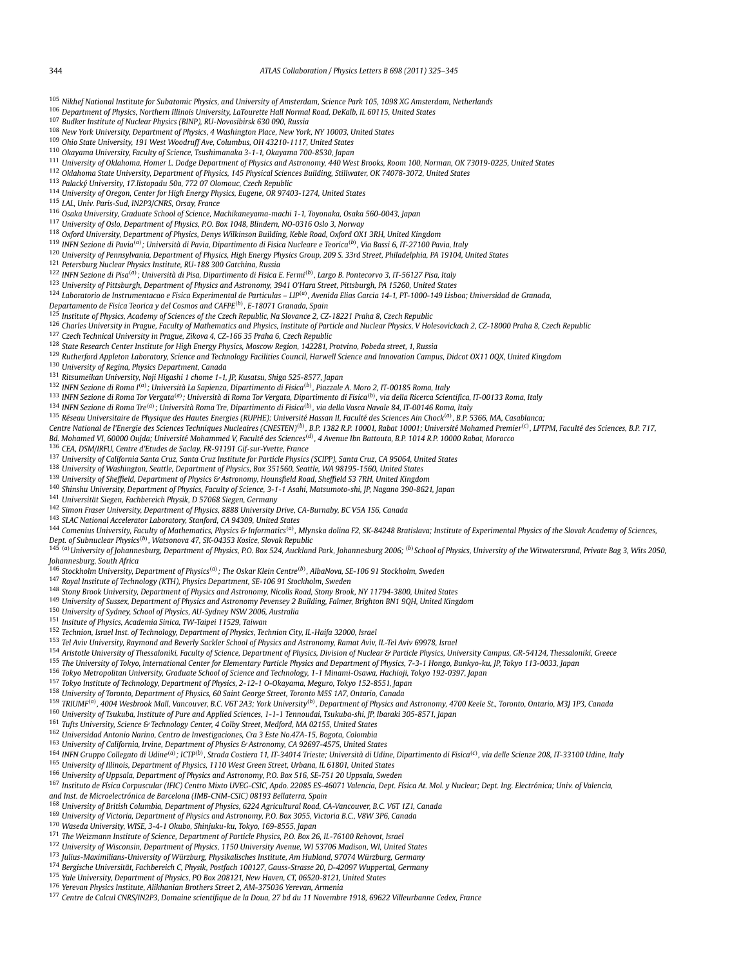<span id="page-19-0"></span>*Nikhef National Institute for Subatomic Physics, and University of Amsterdam, Science Park 105, 1098 XG Amsterdam, Netherlands*

*Department of Physics, Northern Illinois University, LaTourette Hall Normal Road, DeKalb, IL 60115, United States*

*Budker Institute of Nuclear Physics (BINP), RU-Novosibirsk 630 090, Russia*

*New York University, Department of Physics, 4 Washington Place, New York, NY 10003, United States*

*Ohio State University, 191 West Woodruff Ave, Columbus, OH 43210-1117, United States*

*Okayama University, Faculty of Science, Tsushimanaka 3-1-1, Okayama 700-8530, Japan*

*University of Oklahoma, Homer L. Dodge Department of Physics and Astronomy, 440 West Brooks, Room 100, Norman, OK 73019-0225, United States*

*Oklahoma State University, Department of Physics, 145 Physical Sciences Building, Stillwater, OK 74078-3072, United States*

*Palacký University, 17.listopadu 50a, 772 07 Olomouc, Czech Republic*

*University of Oregon, Center for High Energy Physics, Eugene, OR 97403-1274, United States*

*LAL, Univ. Paris-Sud, IN2P3/CNRS, Orsay, France*

*Osaka University, Graduate School of Science, Machikaneyama-machi 1-1, Toyonaka, Osaka 560-0043, Japan*

*University of Oslo, Department of Physics, P.O. Box 1048, Blindern, NO-0316 Oslo 3, Norway*

*Oxford University, Department of Physics, Denys Wilkinson Building, Keble Road, Oxford OX1 3RH, United Kingdom*

*INFN Sezione di Pavia(a); Università di Pavia, Dipartimento di Fisica Nucleare e Teorica(b), Via Bassi 6, IT-27100 Pavia, Italy*

*University of Pennsylvania, Department of Physics, High Energy Physics Group, 209 S. 33rd Street, Philadelphia, PA 19104, United States*

*Petersburg Nuclear Physics Institute, RU-188 300 Gatchina, Russia*

*INFN Sezione di Pisa(a); Università di Pisa, Dipartimento di Fisica E. Fermi(b), Largo B. Pontecorvo 3, IT-56127 Pisa, Italy*

*University of Pittsburgh, Department of Physics and Astronomy, 3941 O'Hara Street, Pittsburgh, PA 15260, United States*

*Laboratorio de Instrumentacao e Fisica Experimental de Particulas – LIP(a), Avenida Elias Garcia 14-1, PT-1000-149 Lisboa; Universidad de Granada,*

*Departamento de Fisica Teorica y del Cosmos and CAFPE(b), E-18071 Granada, Spain*

*Institute of Physics, Academy of Sciences of the Czech Republic, Na Slovance 2, CZ-18221 Praha 8, Czech Republic*

<sup>126</sup> Charles University in Prague, Faculty of Mathematics and Physics, Institute of Particle and Nuclear Physics, V Holesovickach 2, CZ-18000 Praha 8, Czech Republic

*Czech Technical University in Prague, Zikova 4, CZ-166 35 Praha 6, Czech Republic*

*State Research Center Institute for High Energy Physics, Moscow Region, 142281, Protvino, Pobeda street, 1, Russia*

*Rutherford Appleton Laboratory, Science and Technology Facilities Council, Harwell Science and Innovation Campus, Didcot OX11 0QX, United Kingdom*

*University of Regina, Physics Department, Canada*

*Ritsumeikan University, Noji Higashi 1 chome 1-1, JP, Kusatsu, Shiga 525-8577, Japan*

*INFN Sezione di Roma I(a); Università La Sapienza, Dipartimento di Fisica(b), Piazzale A. Moro 2, IT-00185 Roma, Italy*

*INFN Sezione di Roma Tor Vergata(a); Università di Roma Tor Vergata, Dipartimento di Fisica(b), via della Ricerca Scientifica, IT-00133 Roma, Italy*

*INFN Sezione di Roma Tre(a); Università Roma Tre, Dipartimento di Fisica(b), via della Vasca Navale 84, IT-00146 Roma, Italy*

*Réseau Universitaire de Physique des Hautes Energies (RUPHE): Université Hassan II, Faculté des Sciences Ain Chock(a) , B.P. 5366, MA, Casablanca;*

Centre National de l'Energie des Sciences Techniques Nucleaires (CNESTEN)<sup>(b)</sup>, B.P. 1382 R.P. 10001, Rabat 10001; Université Mohamed Premier<sup>(c)</sup>, LPTPM, Faculté des Sciences, B.P. 717, *Bd. Mohamed VI, 60000 Oujda; Université Mohammed V, Faculté des Sciences(d), 4 Avenue Ibn Battouta, B.P. 1014 R.P. 10000 Rabat, Morocco*

*CEA, DSM/IRFU, Centre d'Etudes de Saclay, FR-91191 Gif-sur-Yvette, France*

*University of California Santa Cruz, Santa Cruz Institute for Particle Physics (SCIPP), Santa Cruz, CA 95064, United States*

*University of Washington, Seattle, Department of Physics, Box 351560, Seattle, WA 98195-1560, United States*

*University of Sheffield, Department of Physics & Astronomy, Hounsfield Road, Sheffield S3 7RH, United Kingdom*

*Shinshu University, Department of Physics, Faculty of Science, 3-1-1 Asahi, Matsumoto-shi, JP, Nagano 390-8621, Japan*

*Universität Siegen, Fachbereich Physik, D 57068 Siegen, Germany*

*Simon Fraser University, Department of Physics, 8888 University Drive, CA-Burnaby, BC V5A 1S6, Canada*

*SLAC National Accelerator Laboratory, Stanford, CA 94309, United States*

 *Comenius University, Faculty of Mathematics, Physics & Informatics(a), Mlynska dolina F2, SK-84248 Bratislava; Institute of Experimental Physics of the Slovak Academy of Sciences, Dept. of Subnuclear Physics(b), Watsonova 47, SK-04353 Kosice, Slovak Republic*

<sup>145</sup> (a) University of Johannesburg, Department of Physics, P.O. Box 524, Auckland Park, Johannesburg 2006; <sup>(b)</sup> School of Physics, University of the Witwatersrand, Private Bag 3, Wits 2050, *Johannesburg, South Africa*

*Stockholm University, Department of Physics(a); The Oskar Klein Centre(b), AlbaNova, SE-106 91 Stockholm, Sweden*

*Royal Institute of Technology (KTH), Physics Department, SE-106 91 Stockholm, Sweden*

*Stony Brook University, Department of Physics and Astronomy, Nicolls Road, Stony Brook, NY 11794-3800, United States*

*University of Sussex, Department of Physics and Astronomy Pevensey 2 Building, Falmer, Brighton BN1 9QH, United Kingdom*

*University of Sydney, School of Physics, AU-Sydney NSW 2006, Australia*

*Insitute of Physics, Academia Sinica, TW-Taipei 11529, Taiwan*

*Technion, Israel Inst. of Technology, Department of Physics, Technion City, IL-Haifa 32000, Israel*

*Tel Aviv University, Raymond and Beverly Sackler School of Physics and Astronomy, Ramat Aviv, IL-Tel Aviv 69978, Israel*

*Aristotle University of Thessaloniki, Faculty of Science, Department of Physics, Division of Nuclear & Particle Physics, University Campus, GR-54124, Thessaloniki, Greece*

*The University of Tokyo, International Center for Elementary Particle Physics and Department of Physics, 7-3-1 Hongo, Bunkyo-ku, JP, Tokyo 113-0033, Japan*

*Tokyo Metropolitan University, Graduate School of Science and Technology, 1-1 Minami-Osawa, Hachioji, Tokyo 192-0397, Japan*

*Tokyo Institute of Technology, Department of Physics, 2-12-1 O-Okayama, Meguro, Tokyo 152-8551, Japan*

*University of Toronto, Department of Physics, 60 Saint George Street, Toronto M5S 1A7, Ontario, Canada*

<sup>159</sup> TRIUMF<sup>(a)</sup>, 4004 Wesbrook Mall, Vancouver, B.C. V6T 2A3; York University<sup>(b)</sup>, Department of Physics and Astronomy, 4700 Keele St., Toronto, Ontario, M3J 1P3, Canada

*University of Tsukuba, Institute of Pure and Applied Sciences, 1-1-1 Tennoudai, Tsukuba-shi, JP, Ibaraki 305-8571, Japan*

*Tufts University, Science & Technology Center, 4 Colby Street, Medford, MA 02155, United States*

*Universidad Antonio Narino, Centro de Investigaciones, Cra 3 Este No.47A-15, Bogota, Colombia*

*University of California, Irvine, Department of Physics & Astronomy, CA 92697-4575, United States*

<sup>164</sup> INFN Gruppo Collegato di Udine<sup>(a)</sup>; ICTP<sup>(b)</sup>, Strada Costiera 11, IT-34014 Trieste; Università di Udine, Dipartimento di Fisica<sup>(c)</sup>, via delle Scienze 208, IT-33100 Udine, Italy

*University of Illinois, Department of Physics, 1110 West Green Street, Urbana, IL 61801, United States*

*University of Uppsala, Department of Physics and Astronomy, P.O. Box 516, SE-751 20 Uppsala, Sweden*

*Instituto de Física Corpuscular (IFIC) Centro Mixto UVEG-CSIC, Apdo. 22085 ES-46071 Valencia, Dept. Física At. Mol. y Nuclear; Dept. Ing. Electrónica; Univ. of Valencia,*

*and Inst. de Microelectrónica de Barcelona (IMB-CNM-CSIC) 08193 Bellaterra, Spain*

*University of British Columbia, Department of Physics, 6224 Agricultural Road, CA-Vancouver, B.C. V6T 1Z1, Canada*

*University of Victoria, Department of Physics and Astronomy, P.O. Box 3055, Victoria B.C., V8W 3P6, Canada*

*Waseda University, WISE, 3-4-1 Okubo, Shinjuku-ku, Tokyo, 169-8555, Japan*

*The Weizmann Institute of Science, Department of Particle Physics, P.O. Box 26, IL-76100 Rehovot, Israel*

*University of Wisconsin, Department of Physics, 1150 University Avenue, WI 53706 Madison, WI, United States*

*Julius-Maximilians-University of Würzburg, Physikalisches Institute, Am Hubland, 97074 Würzburg, Germany*

*Bergische Universität, Fachbereich C, Physik, Postfach 100127, Gauss-Strasse 20, D-42097 Wuppertal, Germany*

*Yale University, Department of Physics, PO Box 208121, New Haven, CT, 06520-8121, United States*

*Yerevan Physics Institute, Alikhanian Brothers Street 2, AM-375036 Yerevan, Armenia*

*Centre de Calcul CNRS/IN2P3, Domaine scientifique de la Doua, 27 bd du 11 Novembre 1918, 69622 Villeurbanne Cedex, France*